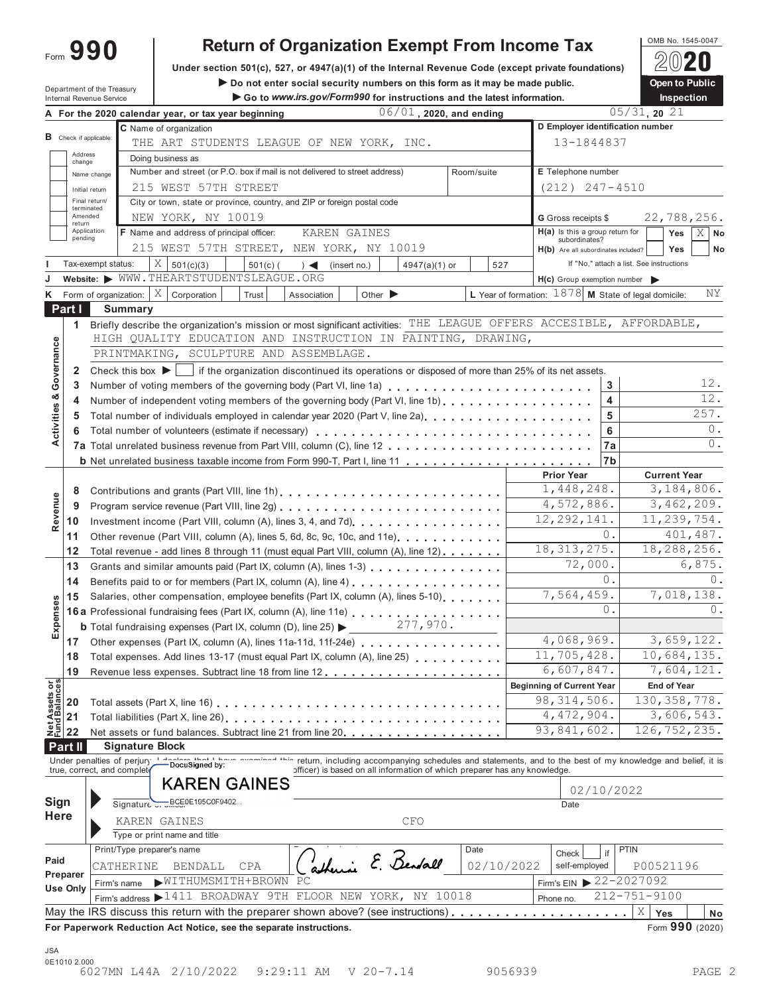# **OMB No. 1545-0047 Return of Organization Exempt From Income Tax**  $\frac{1000 \text{ NLO. 1545-0047}}{600 \text{ NLO.}}$

**Under section 501(c), 527, or 4947(a)(1)** of the Internal Revenue Code (except private foundations)  $2020$ 

**Do Dumber Section 501(c), 527, or 4947(a)(1) of the Internal Revenue Code (except private foundations) <u>A</u> △ △ △ △<br>Do not enter social security numbers on this form as it may be made public. ● ● ● ● ● ● ● ● ● ● ● ● ● ● ● Department of the Treasury Conserver internal Revenue Service and Treasury <b>Co to** *Go* **and the Internal Revenue Service Conserver inspection**<br>
■ Go to *www.irs.gov/Form990* for instructions and the latest information

|                                        |                   |                               | $06/01$ , 2020, and ending<br>A For the 2020 calendar year, or tax year beginning                                                                                                                                                |                                                        | $05/31$ , 20 21                          |                          |                       |  |
|----------------------------------------|-------------------|-------------------------------|----------------------------------------------------------------------------------------------------------------------------------------------------------------------------------------------------------------------------------|--------------------------------------------------------|------------------------------------------|--------------------------|-----------------------|--|
|                                        |                   |                               | C Name of organization                                                                                                                                                                                                           | D Employer identification number                       |                                          |                          |                       |  |
|                                        |                   | <b>B</b> Check if applicable: | THE ART STUDENTS LEAGUE OF NEW YORK, INC.                                                                                                                                                                                        | 13-1844837                                             |                                          |                          |                       |  |
|                                        | Address<br>change |                               | Doing business as                                                                                                                                                                                                                |                                                        |                                          |                          |                       |  |
|                                        |                   | Name change                   | Number and street (or P.O. box if mail is not delivered to street address)<br>Room/suite                                                                                                                                         | E Telephone number                                     |                                          |                          |                       |  |
|                                        |                   | Initial return                | 215 WEST 57TH STREET                                                                                                                                                                                                             | $(212)$ $247 - 4510$                                   |                                          |                          |                       |  |
|                                        |                   | Final return/                 | City or town, state or province, country, and ZIP or foreign postal code                                                                                                                                                         |                                                        |                                          |                          |                       |  |
|                                        |                   | terminated<br>Amended         | NEW YORK, NY 10019                                                                                                                                                                                                               | G Gross receipts \$                                    |                                          |                          | 22,788,256.           |  |
|                                        | return            | Application                   | F Name and address of principal officer:<br>KAREN GAINES                                                                                                                                                                         | H(a) Is this a group return for                        |                                          | Yes                      | $X \mid N$ o          |  |
|                                        | pending           |                               | 215 WEST 57TH STREET, NEW YORK, NY 10019                                                                                                                                                                                         | subordinates?<br>H(b) Are all subordinates included?   |                                          | Yes                      | No                    |  |
|                                        |                   | Tax-exempt status:            | $X \big  501(c)(3)$<br>$501(c)$ (<br>(insert no.)<br>4947(a)(1) or<br>527                                                                                                                                                        |                                                        | If "No," attach a list. See instructions |                          |                       |  |
|                                        |                   |                               | $\rightarrow$<br>Website: WWW.THEARTSTUDENTSLEAGUE.ORG                                                                                                                                                                           | $H(c)$ Group exemption number $\blacktriangleright$    |                                          |                          |                       |  |
| κ                                      |                   |                               | Form of organization: $\mid X \mid$ Corporation<br>Trust<br>Association<br>Other $\blacktriangleright$                                                                                                                           | L Year of formation: $1878$ M State of legal domicile: |                                          |                          | ΝY                    |  |
|                                        | Part I            |                               | <b>Summary</b>                                                                                                                                                                                                                   |                                                        |                                          |                          |                       |  |
|                                        | 1                 |                               | Briefly describe the organization's mission or most significant activities: THE LEAGUE OFFERS ACCESIBLE, AFFORDABLE,                                                                                                             |                                                        |                                          |                          |                       |  |
|                                        |                   |                               | HIGH QUALITY EDUCATION AND INSTRUCTION IN PAINTING, DRAWING,                                                                                                                                                                     |                                                        |                                          |                          |                       |  |
|                                        |                   |                               | PRINTMAKING, SCULPTURE AND ASSEMBLAGE.                                                                                                                                                                                           |                                                        |                                          |                          |                       |  |
| Governance                             |                   |                               |                                                                                                                                                                                                                                  |                                                        |                                          |                          |                       |  |
|                                        | 2<br>3            |                               | if the organization discontinued its operations or disposed of more than 25% of its net assets.<br>Check this box $\blacktriangleright$                                                                                          |                                                        | 3                                        |                          | 12.                   |  |
|                                        |                   |                               |                                                                                                                                                                                                                                  |                                                        | 4                                        |                          | 12.                   |  |
|                                        | 4                 |                               | Number of independent voting members of the governing body (Part VI, line 1b)                                                                                                                                                    |                                                        |                                          |                          | 257.                  |  |
|                                        | 5                 |                               | Total number of individuals employed in calendar year 2020 (Part V, line 2a)                                                                                                                                                     |                                                        | 5                                        |                          | $0$ .                 |  |
| Activities &                           | 6                 |                               |                                                                                                                                                                                                                                  |                                                        | 6                                        |                          | $0$ .                 |  |
|                                        |                   |                               |                                                                                                                                                                                                                                  |                                                        | 7a                                       |                          |                       |  |
|                                        |                   |                               |                                                                                                                                                                                                                                  |                                                        | 7b                                       |                          |                       |  |
|                                        |                   |                               |                                                                                                                                                                                                                                  | <b>Prior Year</b><br>1,448,248.                        |                                          | <b>Current Year</b>      |                       |  |
|                                        | 8                 |                               |                                                                                                                                                                                                                                  | 4,572,886.                                             |                                          | 3,184,806.<br>3,462,209. |                       |  |
| Revenue                                | 9                 |                               |                                                                                                                                                                                                                                  | 12, 292, 141.                                          |                                          |                          | 11,239,754.           |  |
|                                        | 10                |                               | Investment income (Part VIII, column (A), lines 3, 4, and 7d)<br>[10] The Letter Letter Letter Letter Letter Letter Letter Letter Multiple Letter Letter Letter Letter Letter Letter Letter Letter Letter Letter Letter Letter L |                                                        | 0.                                       |                          | 401,487.              |  |
|                                        | 11                |                               | Other revenue (Part VIII, column (A), lines 5, 6d, 8c, 9c, 10c, and 11e)                                                                                                                                                         | 18, 313, 275.                                          |                                          |                          | 18,288,256.           |  |
|                                        | 12                |                               | Total revenue - add lines 8 through 11 (must equal Part VIII, column (A), line 12)                                                                                                                                               | 72,000.                                                |                                          |                          | 6,875.                |  |
|                                        | 13                |                               |                                                                                                                                                                                                                                  |                                                        | 0.                                       |                          | $()$ .                |  |
|                                        | 14                |                               | Benefits paid to or for members (Part IX, column (A), line 4)                                                                                                                                                                    | 7,564,459.                                             |                                          |                          | 7,018,138.            |  |
|                                        | 15                |                               | Salaries, other compensation, employee benefits (Part IX, column (A), lines 5-10).                                                                                                                                               |                                                        | 0.                                       |                          | 0.                    |  |
| Expenses                               |                   |                               | 16a Professional fundraising fees (Part IX, column (A), line 11e)                                                                                                                                                                |                                                        |                                          |                          |                       |  |
|                                        |                   |                               | <b>b</b> Total fundraising expenses (Part IX, column (D), line 25) $\triangleright$ 277, 970.                                                                                                                                    | 4,068,969.                                             |                                          |                          | 3,659,122.            |  |
|                                        | 17                |                               | Other expenses (Part IX, column (A), lines 11a-11d, 11f-24e)                                                                                                                                                                     | 11,705,428.                                            |                                          |                          | 10,684,135.           |  |
|                                        | 18                |                               |                                                                                                                                                                                                                                  | 6,607,847.                                             |                                          |                          | 7,604,121.            |  |
|                                        | 19                |                               | Revenue less expenses. Subtract line 18 from line 12<br>$\alpha$ , and $\alpha$ , and $\alpha$ , and $\alpha$ , and $\alpha$                                                                                                     |                                                        |                                          |                          |                       |  |
|                                        |                   |                               |                                                                                                                                                                                                                                  | <b>Beginning of Current Year</b><br>98, 314, 506.      |                                          | <b>End of Year</b>       | 130, 358, 778.        |  |
|                                        | 20                |                               | Total assets (Part X, line 16) <b>Container and Street and Total</b>                                                                                                                                                             | 4,472,904.                                             |                                          |                          | 3,606,543.            |  |
| <b>Net Assets or<br/>Fund Balances</b> | 21                |                               | Total liabilities (Part X, line 26) [19] Total liabilities (Part X, line 26)                                                                                                                                                     | 93,841,602.                                            |                                          |                          | 126, 752, 235.        |  |
|                                        | 22                |                               | Net assets or fund balances. Subtract line 21 from line 20 [11, 11, 11]                                                                                                                                                          |                                                        |                                          |                          |                       |  |
|                                        | Part II           |                               | <b>Signature Block</b><br>return, including accompanying schedules and statements, and to the best of my knowledge and belief, it is                                                                                             |                                                        |                                          |                          |                       |  |
|                                        |                   |                               | Under penalties of perjury dependence that the<br>true, correct, and complety DocuSigned by:<br>officer) is based on all information of which preparer has any knowledge.                                                        |                                                        |                                          |                          |                       |  |
|                                        |                   |                               | <b>KAREN GAINES</b>                                                                                                                                                                                                              |                                                        | 02/10/2022                               |                          |                       |  |
| Sign                                   |                   |                               | Signature  BCE0E195C0F9402                                                                                                                                                                                                       | Date                                                   |                                          |                          |                       |  |
| <b>Here</b>                            |                   |                               | CFO<br>KAREN GAINES                                                                                                                                                                                                              |                                                        |                                          |                          |                       |  |
|                                        |                   |                               | Type or print name and title                                                                                                                                                                                                     |                                                        |                                          |                          |                       |  |
|                                        |                   |                               | Print/Type preparer's name<br>Date                                                                                                                                                                                               |                                                        | <b>PTIN</b>                              |                          |                       |  |
| Paid                                   |                   |                               | E. Bendall<br>02/10/2022<br>CATHERINE<br>CPA<br><b>BENDALL</b>                                                                                                                                                                   | Check<br>self-employed                                 | if                                       | P00521196                |                       |  |
|                                        | Preparer          |                               | WITHUMSMITH+BROWN PC                                                                                                                                                                                                             | Firm's EIN ▶ 22-2027092                                |                                          |                          |                       |  |
|                                        | Use Only          |                               | Firm's name<br>Firm's address > 1411 BROADWAY 9TH FLOOR NEW YORK, NY 10018                                                                                                                                                       |                                                        | 212-751-9100                             |                          |                       |  |
|                                        |                   |                               | May the IRS discuss this return with the preparer shown above? (see instructions)                                                                                                                                                | Phone no.                                              | Χ                                        |                          |                       |  |
|                                        |                   |                               |                                                                                                                                                                                                                                  |                                                        |                                          | Yes                      | No<br>Form 990 (2020) |  |
|                                        |                   |                               | For Paperwork Reduction Act Notice, see the separate instructions.                                                                                                                                                               |                                                        |                                          |                          |                       |  |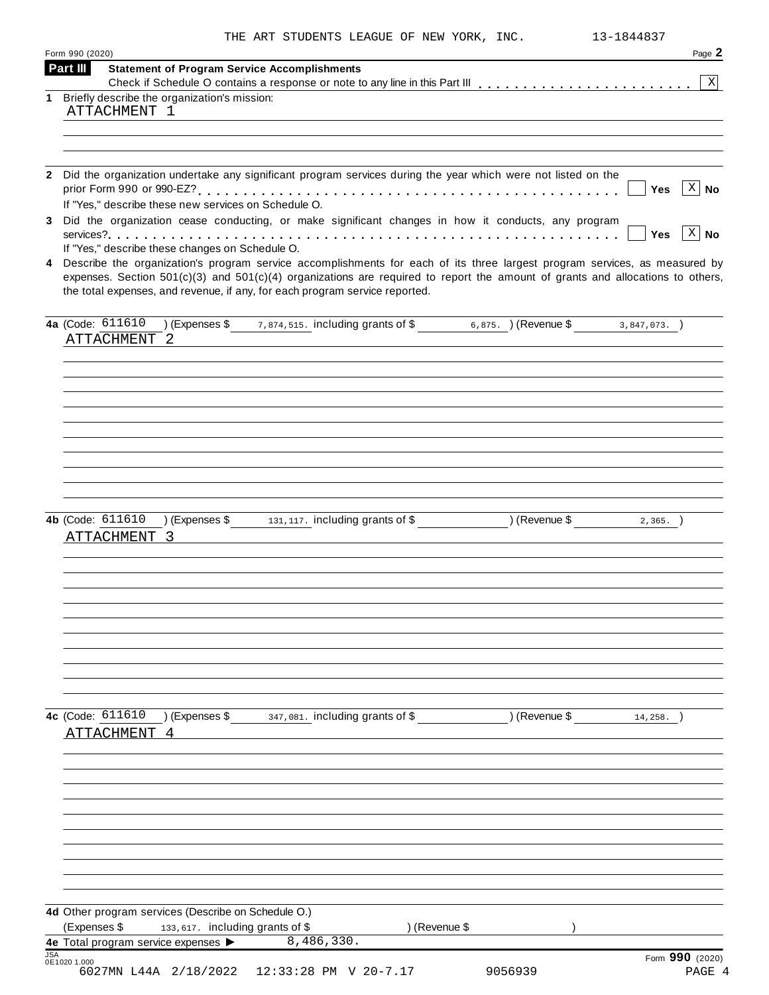|  |  |  | THE ART STUDENTS LEAGUE OF NEW YORK, INC. |  |  |  |  |  |
|--|--|--|-------------------------------------------|--|--|--|--|--|
|--|--|--|-------------------------------------------|--|--|--|--|--|

13-1844837

|              | Part III<br><b>Statement of Program Service Accomplishments</b>        |                                                                                                                                                                                                                                                                                                                                                 | $\mathbf{x}$                                    |
|--------------|------------------------------------------------------------------------|-------------------------------------------------------------------------------------------------------------------------------------------------------------------------------------------------------------------------------------------------------------------------------------------------------------------------------------------------|-------------------------------------------------|
| 1.           | Briefly describe the organization's mission:<br>ATTACHMENT 1           |                                                                                                                                                                                                                                                                                                                                                 |                                                 |
|              |                                                                        |                                                                                                                                                                                                                                                                                                                                                 |                                                 |
|              | If "Yes," describe these new services on Schedule O.                   | 2 Did the organization undertake any significant program services during the year which were not listed on the<br>Did the organization cease conducting, or make significant changes in how it conducts, any program                                                                                                                            | $X \mid No$<br>Yes<br>$X \mid No$<br><b>Yes</b> |
|              | If "Yes," describe these changes on Schedule O.                        | Describe the organization's program service accomplishments for each of its three largest program services, as measured by<br>expenses. Section $501(c)(3)$ and $501(c)(4)$ organizations are required to report the amount of grants and allocations to others,<br>the total expenses, and revenue, if any, for each program service reported. |                                                 |
|              | 4a (Code: 611610<br>ATTACHMENT 2                                       | (Expenses \$ $7,874,515$ . including grants of \$ $6,875$ . ) (Revenue \$ $3,847,073$ . )                                                                                                                                                                                                                                                       |                                                 |
|              |                                                                        |                                                                                                                                                                                                                                                                                                                                                 |                                                 |
|              |                                                                        |                                                                                                                                                                                                                                                                                                                                                 |                                                 |
|              |                                                                        |                                                                                                                                                                                                                                                                                                                                                 |                                                 |
|              | 4b (Code: 611610<br>ATTACHMENT 3                                       | (Expenses \$131,117. including grants of \$100, (Revenue \$                                                                                                                                                                                                                                                                                     | $2,365.$ )                                      |
|              |                                                                        |                                                                                                                                                                                                                                                                                                                                                 |                                                 |
|              |                                                                        |                                                                                                                                                                                                                                                                                                                                                 |                                                 |
|              | ATTACHMENT 4                                                           | 4c (Code: 611610 ) (Expenses \$347,081. including grants of \$) (Revenue \$                                                                                                                                                                                                                                                                     | $14, 258.$ )                                    |
|              |                                                                        |                                                                                                                                                                                                                                                                                                                                                 |                                                 |
|              |                                                                        |                                                                                                                                                                                                                                                                                                                                                 |                                                 |
|              | 4d Other program services (Describe on Schedule O.)                    |                                                                                                                                                                                                                                                                                                                                                 |                                                 |
|              |                                                                        |                                                                                                                                                                                                                                                                                                                                                 |                                                 |
| (Expenses \$ | 133,617. including grants of \$<br>4e Total program service expenses > | ) (Revenue \$<br>8,486,330.                                                                                                                                                                                                                                                                                                                     |                                                 |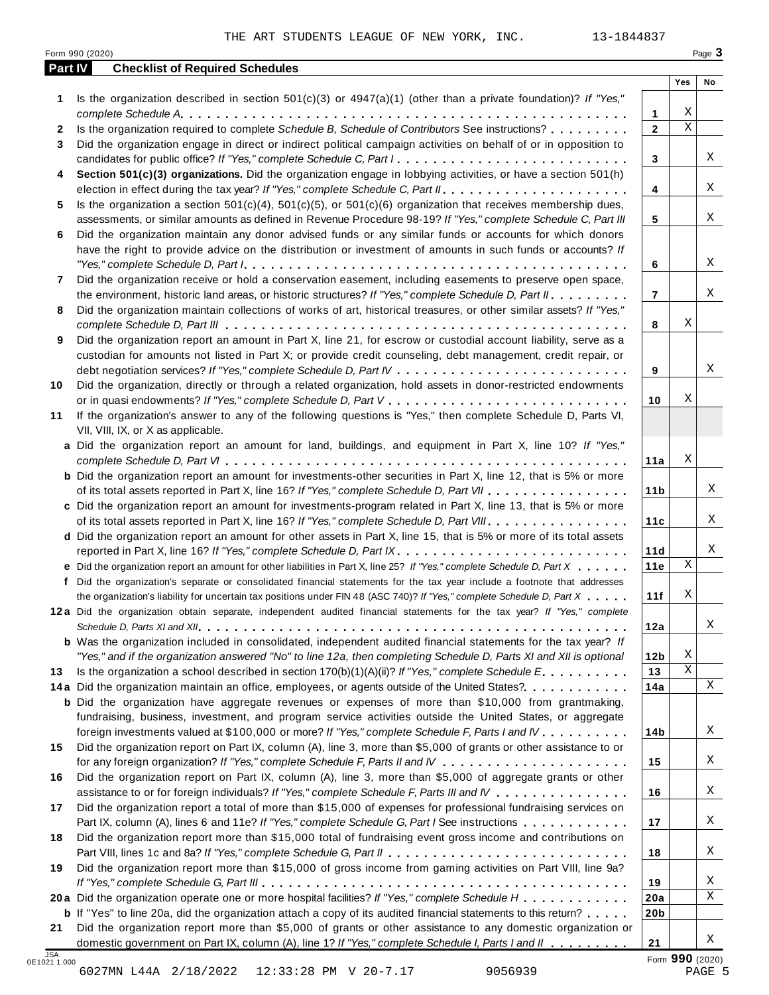|              | Part IV<br><b>Checklist of Required Schedules</b>                                                                                                                                                                      |                 |             |    |
|--------------|------------------------------------------------------------------------------------------------------------------------------------------------------------------------------------------------------------------------|-----------------|-------------|----|
|              |                                                                                                                                                                                                                        |                 | Yes         | No |
| 1            | Is the organization described in section $501(c)(3)$ or $4947(a)(1)$ (other than a private foundation)? If "Yes,"                                                                                                      |                 |             |    |
|              |                                                                                                                                                                                                                        | 1               | Χ           |    |
| $\mathbf{2}$ | Is the organization required to complete Schedule B, Schedule of Contributors See instructions?                                                                                                                        | $\mathbf{2}$    | $\mathbf X$ |    |
| 3            | Did the organization engage in direct or indirect political campaign activities on behalf of or in opposition to                                                                                                       |                 |             |    |
|              | candidates for public office? If "Yes," complete Schedule C, Part I.                                                                                                                                                   | 3               |             | Χ  |
| 4            | Section 501(c)(3) organizations. Did the organization engage in lobbying activities, or have a section 501(h)                                                                                                          |                 |             | X  |
|              |                                                                                                                                                                                                                        | 4               |             |    |
| 5            | Is the organization a section $501(c)(4)$ , $501(c)(5)$ , or $501(c)(6)$ organization that receives membership dues,                                                                                                   |                 |             | Χ  |
|              | assessments, or similar amounts as defined in Revenue Procedure 98-19? If "Yes," complete Schedule C, Part III                                                                                                         | 5               |             |    |
| 6            | Did the organization maintain any donor advised funds or any similar funds or accounts for which donors<br>have the right to provide advice on the distribution or investment of amounts in such funds or accounts? If |                 |             |    |
|              |                                                                                                                                                                                                                        | 6               |             | X  |
| 7            | Did the organization receive or hold a conservation easement, including easements to preserve open space,                                                                                                              |                 |             |    |
|              | the environment, historic land areas, or historic structures? If "Yes," complete Schedule D, Part II.                                                                                                                  | $\overline{7}$  |             | Χ  |
| 8            | Did the organization maintain collections of works of art, historical treasures, or other similar assets? If "Yes,"                                                                                                    |                 |             |    |
|              |                                                                                                                                                                                                                        | 8               | Χ           |    |
| 9            | Did the organization report an amount in Part X, line 21, for escrow or custodial account liability, serve as a                                                                                                        |                 |             |    |
|              | custodian for amounts not listed in Part X; or provide credit counseling, debt management, credit repair, or                                                                                                           |                 |             |    |
|              |                                                                                                                                                                                                                        | 9               |             | X  |
| 10           | Did the organization, directly or through a related organization, hold assets in donor-restricted endowments                                                                                                           |                 |             |    |
|              |                                                                                                                                                                                                                        | 10              | Χ           |    |
| 11           | If the organization's answer to any of the following questions is "Yes," then complete Schedule D, Parts VI,                                                                                                           |                 |             |    |
|              | VII, VIII, IX, or X as applicable.                                                                                                                                                                                     |                 |             |    |
|              | a Did the organization report an amount for land, buildings, and equipment in Part X, line 10? If "Yes,"                                                                                                               |                 |             |    |
|              |                                                                                                                                                                                                                        | 11a             | Χ           |    |
|              | <b>b</b> Did the organization report an amount for investments-other securities in Part X, line 12, that is 5% or more                                                                                                 |                 |             |    |
|              | of its total assets reported in Part X, line 16? If "Yes," complete Schedule D, Part VII                                                                                                                               | 11 <sub>b</sub> |             | Χ  |
|              | c Did the organization report an amount for investments-program related in Part X, line 13, that is 5% or more                                                                                                         |                 |             |    |
|              | of its total assets reported in Part X, line 16? If "Yes," complete Schedule D, Part VIII                                                                                                                              | 11c             |             | Χ  |
|              | d Did the organization report an amount for other assets in Part X, line 15, that is 5% or more of its total assets                                                                                                    |                 |             |    |
|              | reported in Part X, line 16? If "Yes," complete Schedule D, Part IX.                                                                                                                                                   | 11d             |             | Χ  |
|              | e Did the organization report an amount for other liabilities in Part X, line 25? If "Yes," complete Schedule D, Part X                                                                                                | 11e             | Χ           |    |
| f            | Did the organization's separate or consolidated financial statements for the tax year include a footnote that addresses                                                                                                |                 |             |    |
|              | the organization's liability for uncertain tax positions under FIN 48 (ASC 740)? If "Yes," complete Schedule D, Part X                                                                                                 | 11f             | Χ           |    |
|              | 12a Did the organization obtain separate, independent audited financial statements for the tax year? If "Yes," complete                                                                                                |                 |             |    |
|              |                                                                                                                                                                                                                        | 12a             |             | Χ  |
|              | <b>b</b> Was the organization included in consolidated, independent audited financial statements for the tax year? If                                                                                                  |                 |             |    |
|              | "Yes," and if the organization answered "No" to line 12a, then completing Schedule D, Parts XI and XII is optional                                                                                                     | 12 <sub>b</sub> | Χ           |    |
| 13           | Is the organization a school described in section $170(b)(1)(A)(ii)$ ? If "Yes," complete Schedule E.                                                                                                                  | 13              | Χ           |    |
|              | 14a Did the organization maintain an office, employees, or agents outside of the United States?.                                                                                                                       | 14a             |             | X  |
|              | <b>b</b> Did the organization have aggregate revenues or expenses of more than \$10,000 from grantmaking,                                                                                                              |                 |             |    |
|              | fundraising, business, investment, and program service activities outside the United States, or aggregate                                                                                                              |                 |             | Χ  |
|              | foreign investments valued at \$100,000 or more? If "Yes," complete Schedule F, Parts I and IV                                                                                                                         | 14b             |             |    |
| 15           | Did the organization report on Part IX, column (A), line 3, more than \$5,000 of grants or other assistance to or                                                                                                      |                 |             | Χ  |
|              |                                                                                                                                                                                                                        | 15              |             |    |
| 16           | Did the organization report on Part IX, column (A), line 3, more than \$5,000 of aggregate grants or other                                                                                                             |                 |             | Χ  |
|              | assistance to or for foreign individuals? If "Yes," complete Schedule F, Parts III and IV                                                                                                                              | 16              |             |    |
| 17           | Did the organization report a total of more than \$15,000 of expenses for professional fundraising services on<br>Part IX, column (A), lines 6 and 11e? If "Yes," complete Schedule G, Part I See instructions         | 17              |             | Χ  |
|              |                                                                                                                                                                                                                        |                 |             |    |
| 18           | Did the organization report more than \$15,000 total of fundraising event gross income and contributions on                                                                                                            | 18              |             | Χ  |
|              | Did the organization report more than \$15,000 of gross income from gaming activities on Part VIII, line 9a?                                                                                                           |                 |             |    |
| 19           |                                                                                                                                                                                                                        | 19              |             | Χ  |
|              | 20a Did the organization operate one or more hospital facilities? If "Yes," complete Schedule H                                                                                                                        | 20a             |             | Χ  |
|              | <b>b</b> If "Yes" to line 20a, did the organization attach a copy of its audited financial statements to this return?                                                                                                  | 20 <sub>b</sub> |             |    |
|              |                                                                                                                                                                                                                        |                 |             |    |
| 21           | Did the organization report more than \$5,000 of grants or other assistance to any domestic organization or                                                                                                            |                 |             |    |

6027MN L44A 2/18/2022 12:33:28 PM V 20-7.17 9056939 PAGE 5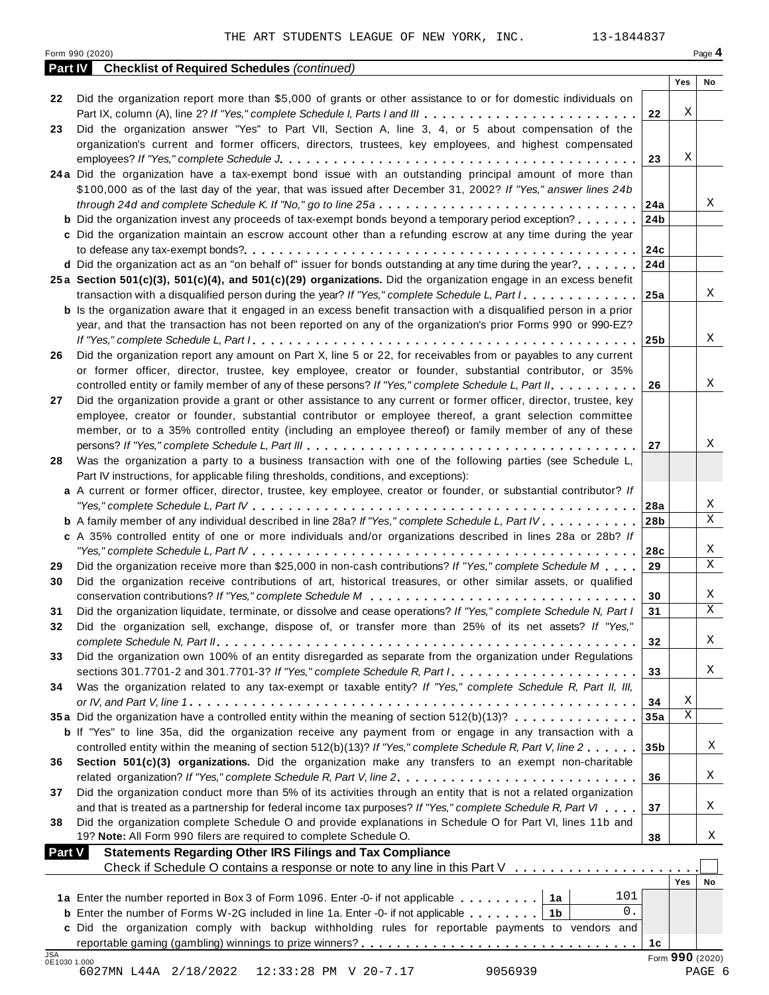|               | <b>Part IV</b> Checklist of Required Schedules (continued)                                                                                                                                                                                |                 |     |             |
|---------------|-------------------------------------------------------------------------------------------------------------------------------------------------------------------------------------------------------------------------------------------|-----------------|-----|-------------|
|               |                                                                                                                                                                                                                                           |                 | Yes | No          |
| 22            | Did the organization report more than \$5,000 of grants or other assistance to or for domestic individuals on<br>Part IX, column (A), line 2? If "Yes," complete Schedule I, Parts I and III                                              | 22              | Χ   |             |
| 23            | Did the organization answer "Yes" to Part VII, Section A, line 3, 4, or 5 about compensation of the<br>organization's current and former officers, directors, trustees, key employees, and highest compensated                            |                 |     |             |
|               |                                                                                                                                                                                                                                           | 23              | Χ   |             |
|               | 24a Did the organization have a tax-exempt bond issue with an outstanding principal amount of more than<br>\$100,000 as of the last day of the year, that was issued after December 31, 2002? If "Yes," answer lines 24b                  |                 |     |             |
|               | through 24d and complete Schedule K. If "No," go to line 25a                                                                                                                                                                              | 24a             |     | Χ           |
|               | <b>b</b> Did the organization invest any proceeds of tax-exempt bonds beyond a temporary period exception?                                                                                                                                | 24 <sub>b</sub> |     |             |
|               | c Did the organization maintain an escrow account other than a refunding escrow at any time during the year                                                                                                                               |                 |     |             |
|               |                                                                                                                                                                                                                                           | 24c             |     |             |
|               | <b>d</b> Did the organization act as an "on behalf of" issuer for bonds outstanding at any time during the year? $\ldots$                                                                                                                 | 24d             |     |             |
|               | 25a Section 501(c)(3), 501(c)(4), and 501(c)(29) organizations. Did the organization engage in an excess benefit<br>transaction with a disqualified person during the year? If "Yes," complete Schedule L, Part I                         | 25a             |     | Χ           |
|               | <b>b</b> Is the organization aware that it engaged in an excess benefit transaction with a disqualified person in a prior<br>year, and that the transaction has not been reported on any of the organization's prior Forms 990 or 990-EZ? |                 |     |             |
|               |                                                                                                                                                                                                                                           | 25 <sub>b</sub> |     | X           |
| 26            | Did the organization report any amount on Part X, line 5 or 22, for receivables from or payables to any current<br>or former officer, director, trustee, key employee, creator or founder, substantial contributor, or 35%                |                 |     |             |
|               | controlled entity or family member of any of these persons? If "Yes," complete Schedule L, Part II.                                                                                                                                       | 26              |     | Χ           |
| 27            | Did the organization provide a grant or other assistance to any current or former officer, director, trustee, key<br>employee, creator or founder, substantial contributor or employee thereof, a grant selection committee               |                 |     |             |
|               | member, or to a 35% controlled entity (including an employee thereof) or family member of any of these                                                                                                                                    |                 |     | Χ           |
| 28            | Was the organization a party to a business transaction with one of the following parties (see Schedule L,<br>Part IV instructions, for applicable filing thresholds, conditions, and exceptions):                                         | 27              |     |             |
|               | a A current or former officer, director, trustee, key employee, creator or founder, or substantial contributor? If                                                                                                                        | 28a             |     | Χ           |
|               | <b>b</b> A family member of any individual described in line 28a? If "Yes," complete Schedule L, Part IV.                                                                                                                                 | 28 <sub>b</sub> |     | X           |
|               | c A 35% controlled entity of one or more individuals and/or organizations described in lines 28a or 28b? If                                                                                                                               | 28c             |     | Χ           |
| 29            | Did the organization receive more than \$25,000 in non-cash contributions? If "Yes," complete Schedule M                                                                                                                                  | 29              |     | X           |
| 30            | Did the organization receive contributions of art, historical treasures, or other similar assets, or qualified                                                                                                                            | 30              |     | Χ           |
| 31            | Did the organization liquidate, terminate, or dissolve and cease operations? If "Yes," complete Schedule N, Part I                                                                                                                        | 31              |     | $\mathbf X$ |
| 32            | Did the organization sell, exchange, dispose of, or transfer more than 25% of its net assets? If "Yes,"                                                                                                                                   | 32              |     | Χ           |
| 33            | Did the organization own 100% of an entity disregarded as separate from the organization under Regulations                                                                                                                                |                 |     |             |
| 34            | Was the organization related to any tax-exempt or taxable entity? If "Yes," complete Schedule R, Part II, III,                                                                                                                            | 33              |     | Χ           |
|               |                                                                                                                                                                                                                                           | 34              | Χ   |             |
|               | 35a Did the organization have a controlled entity within the meaning of section 512(b)(13)?                                                                                                                                               | 35a             | Χ   |             |
|               | <b>b</b> If "Yes" to line 35a, did the organization receive any payment from or engage in any transaction with a                                                                                                                          |                 |     |             |
|               | controlled entity within the meaning of section 512(b)(13)? If "Yes," complete Schedule R, Part V, line 2                                                                                                                                 | 35 <sub>b</sub> |     | Χ           |
| 36            | Section 501(c)(3) organizations. Did the organization make any transfers to an exempt non-charitable<br>related organization? If "Yes," complete Schedule R, Part V, line 2.                                                              | 36              |     | Χ           |
| 37            | Did the organization conduct more than 5% of its activities through an entity that is not a related organization                                                                                                                          |                 |     |             |
|               | and that is treated as a partnership for federal income tax purposes? If "Yes," complete Schedule R, Part VI                                                                                                                              | 37              |     | Χ           |
| 38            | Did the organization complete Schedule O and provide explanations in Schedule O for Part VI, lines 11b and                                                                                                                                |                 |     |             |
|               | 19? Note: All Form 990 filers are required to complete Schedule O.                                                                                                                                                                        | 38              |     | Χ           |
| <b>Part V</b> | <b>Statements Regarding Other IRS Filings and Tax Compliance</b>                                                                                                                                                                          |                 |     |             |
|               | Check if Schedule O contains a response or note to any line in this Part V                                                                                                                                                                |                 |     |             |
|               |                                                                                                                                                                                                                                           |                 | Yes | No          |
|               | 101<br>1a Enter the number reported in Box 3 of Form 1096. Enter -0- if not applicable   1a                                                                                                                                               |                 |     |             |
|               | 0.                                                                                                                                                                                                                                        |                 |     |             |
|               | <b>b</b> Enter the number of Forms W-2G included in line 1a. Enter -0- if not applicable   1b                                                                                                                                             |                 |     |             |
|               | c Did the organization comply with backup withholding rules for reportable payments to vendors and                                                                                                                                        | 1 <sub>c</sub>  |     |             |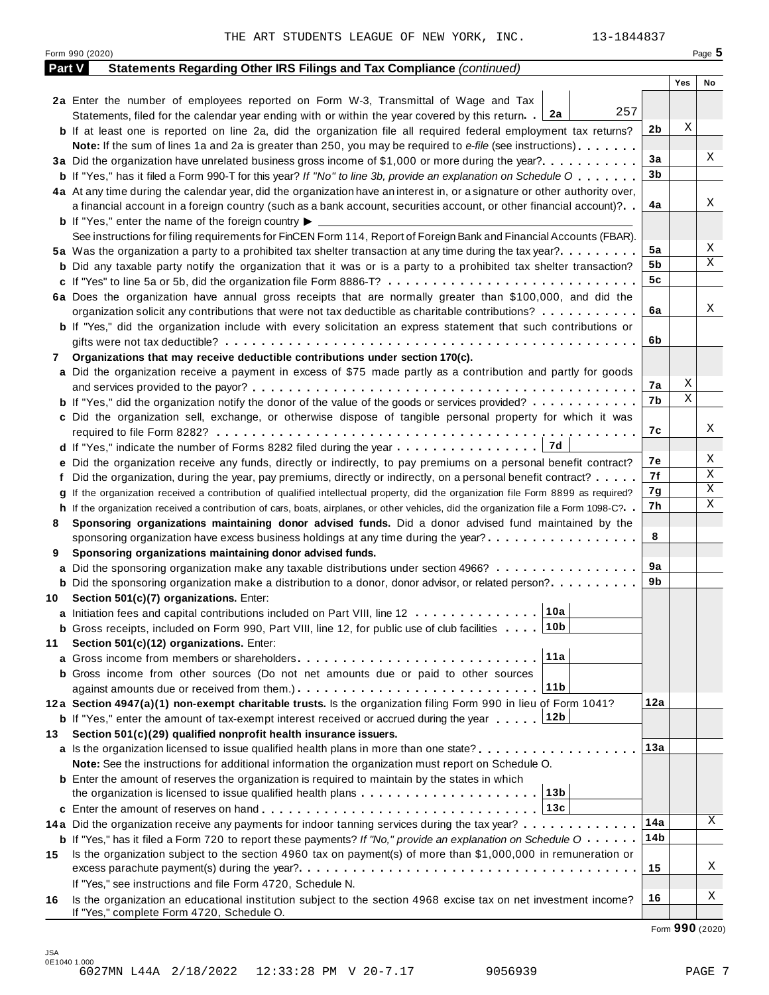|        | Form 990 (2020)                                                                                                                      |     |     | Page 5 |
|--------|--------------------------------------------------------------------------------------------------------------------------------------|-----|-----|--------|
| Part V | Statements Regarding Other IRS Filings and Tax Compliance (continued)                                                                |     |     |        |
|        |                                                                                                                                      |     | Yes | No     |
|        | 2a Enter the number of employees reported on Form W-3, Transmittal of Wage and Tax                                                   |     |     |        |
|        | 257<br>Statements, filed for the calendar year ending with or within the year covered by this return. 2a                             |     |     |        |
|        | <b>b</b> If at least one is reported on line 2a, did the organization file all required federal employment tax returns?              | 2b  | Χ   |        |
|        | <b>Note:</b> If the sum of lines 1a and 2a is greater than 250, you may be required to e-file (see instructions).                    |     |     |        |
|        | 3a Did the organization have unrelated business gross income of \$1,000 or more during the year?                                     | 3a  |     | Χ      |
|        | <b>b</b> If "Yes," has it filed a Form 990-T for this year? If "No" to line 3b, provide an explanation on Schedule O                 | 3b  |     |        |
|        | 4a At any time during the calendar year, did the organization have an interest in, or a signature or other authority over,           |     |     |        |
|        | a financial account in a foreign country (such as a bank account, securities account, or other financial account)?                   | 4a  |     | Χ      |
|        | <b>b</b> If "Yes," enter the name of the foreign country $\blacktriangleright$                                                       |     |     |        |
|        | See instructions for filing requirements for FinCEN Form 114, Report of Foreign Bank and Financial Accounts (FBAR).                  |     |     |        |
|        | 5a Was the organization a party to a prohibited tax shelter transaction at any time during the tax year?                             | 5a  |     | Χ      |
|        | <b>b</b> Did any taxable party notify the organization that it was or is a party to a prohibited tax shelter transaction?            | 5b  |     | Χ      |
|        | c If "Yes" to line 5a or 5b, did the organization file Form 8886-T?                                                                  | 5c  |     |        |
|        | 6a Does the organization have annual gross receipts that are normally greater than \$100,000, and did the                            |     |     |        |
|        | organization solicit any contributions that were not tax deductible as charitable contributions?                                     | 6a  |     | Χ      |
|        | <b>b</b> If "Yes," did the organization include with every solicitation an express statement that such contributions or              |     |     |        |
|        |                                                                                                                                      | 6b  |     |        |
| 7      | Organizations that may receive deductible contributions under section 170(c).                                                        |     |     |        |
|        | a Did the organization receive a payment in excess of \$75 made partly as a contribution and partly for goods                        |     |     |        |
|        |                                                                                                                                      | 7а  | Χ   |        |
|        | <b>b</b> If "Yes," did the organization notify the donor of the value of the goods or services provided?                             | 7b  | Χ   |        |
|        | c Did the organization sell, exchange, or otherwise dispose of tangible personal property for which it was                           |     |     |        |
|        |                                                                                                                                      | 7с  |     | Χ      |
|        | 7d<br><b>d</b> If "Yes," indicate the number of Forms 8282 filed during the year $\dots \dots \dots \dots \dots$                     |     |     |        |
|        | e Did the organization receive any funds, directly or indirectly, to pay premiums on a personal benefit contract?                    | 7е  |     | Χ      |
|        | f Did the organization, during the year, pay premiums, directly or indirectly, on a personal benefit contract?                       | 7f  |     | Χ      |
|        | g If the organization received a contribution of qualified intellectual property, did the organization file Form 8899 as required?   | 7g  |     | Χ      |
|        | h If the organization received a contribution of cars, boats, airplanes, or other vehicles, did the organization file a Form 1098-C? | 7h  |     | Χ      |
| 8      | Sponsoring organizations maintaining donor advised funds. Did a donor advised fund maintained by the                                 |     |     |        |
|        | sponsoring organization have excess business holdings at any time during the year?                                                   | 8   |     |        |
| 9      | Sponsoring organizations maintaining donor advised funds.                                                                            |     |     |        |
|        | a Did the sponsoring organization make any taxable distributions under section 4966?                                                 | 9а  |     |        |
|        | <b>b</b> Did the sponsoring organization make a distribution to a donor, donor advisor, or related person?                           | 9b  |     |        |
|        | 10 Section 501(c)(7) organizations. Enter:                                                                                           |     |     |        |
|        | 10a <br>a Initiation fees and capital contributions included on Part VIII, line 12                                                   |     |     |        |
|        | 10b<br><b>b</b> Gross receipts, included on Form 990, Part VIII, line 12, for public use of club facilities                          |     |     |        |
| 11     | Section 501(c)(12) organizations. Enter:                                                                                             |     |     |        |
|        | 11a                                                                                                                                  |     |     |        |
|        | b Gross income from other sources (Do not net amounts due or paid to other sources                                                   |     |     |        |
|        | 11b                                                                                                                                  |     |     |        |
|        | 12a Section 4947(a)(1) non-exempt charitable trusts. Is the organization filing Form 990 in lieu of Form 1041?                       | 12a |     |        |
|        | 12b<br><b>b</b> If "Yes," enter the amount of tax-exempt interest received or accrued during the year                                |     |     |        |
| 13.    | Section 501(c)(29) qualified nonprofit health insurance issuers.                                                                     |     |     |        |
|        | a Is the organization licensed to issue qualified health plans in more than one state?                                               | 13а |     |        |
|        | Note: See the instructions for additional information the organization must report on Schedule O.                                    |     |     |        |
|        | <b>b</b> Enter the amount of reserves the organization is required to maintain by the states in which                                |     |     |        |
|        | 13b<br>the organization is licensed to issue qualified health plans $\ldots \ldots \ldots \ldots \ldots \ldots \ldots$               |     |     |        |
|        | 13c                                                                                                                                  |     |     |        |
|        | 14a Did the organization receive any payments for indoor tanning services during the tax year?                                       | 14a |     | Χ      |
|        | <b>b</b> If "Yes," has it filed a Form 720 to report these payments? If "No," provide an explanation on Schedule O                   | 14b |     |        |
| 15     | Is the organization subject to the section 4960 tax on payment(s) of more than \$1,000,000 in remuneration or                        |     |     |        |
|        |                                                                                                                                      | 15  |     | Χ      |
|        | If "Yes," see instructions and file Form 4720, Schedule N.                                                                           |     |     |        |
| 16     | Is the organization an educational institution subject to the section 4968 excise tax on net investment income?                      | 16  |     | Χ      |
|        | If "Yes," complete Form 4720, Schedule O.                                                                                            |     |     |        |

Form **990** (2020)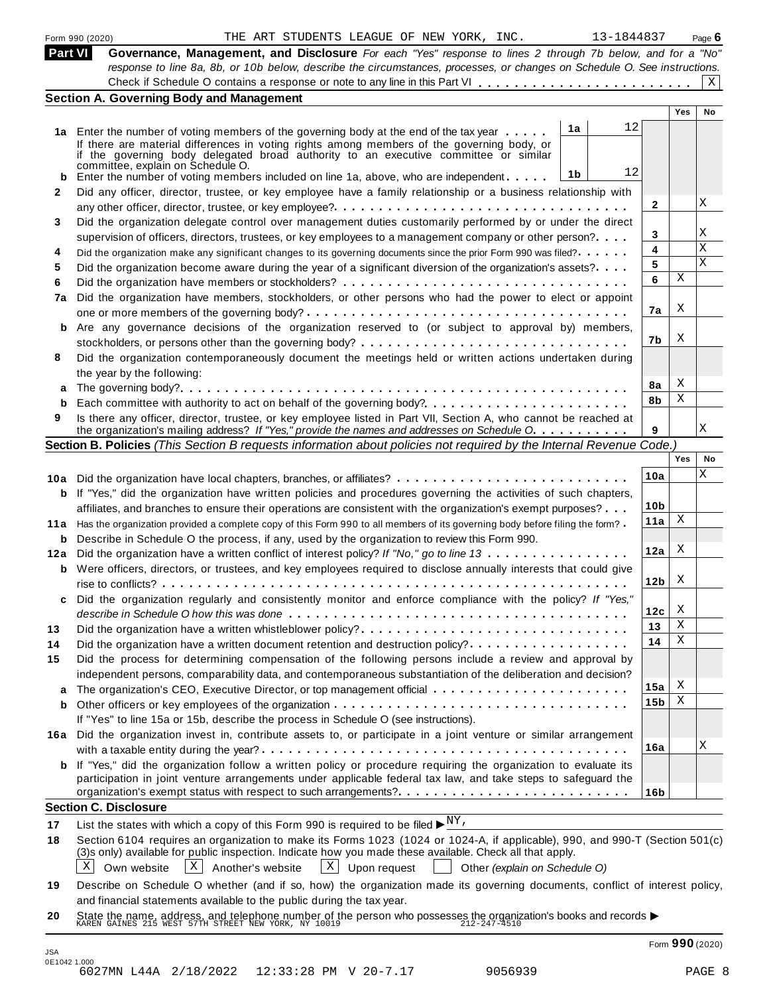| Part VI                                 | 13-1844837<br>THE ART STUDENTS LEAGUE OF NEW YORK, INC.<br>Form 990 (2020)                                                                                                                                                                                            |                 |            | Page $6$  |
|-----------------------------------------|-----------------------------------------------------------------------------------------------------------------------------------------------------------------------------------------------------------------------------------------------------------------------|-----------------|------------|-----------|
|                                         | Governance, Management, and Disclosure For each "Yes" response to lines 2 through 7b below, and for a "No"                                                                                                                                                            |                 |            |           |
|                                         | response to line 8a, 8b, or 10b below, describe the circumstances, processes, or changes on Schedule O. See instructions.                                                                                                                                             |                 |            | X         |
|                                         | <b>Section A. Governing Body and Management</b>                                                                                                                                                                                                                       |                 |            |           |
|                                         |                                                                                                                                                                                                                                                                       |                 | <b>Yes</b> | <b>No</b> |
|                                         | 12<br>1a<br>1a Enter the number of voting members of the governing body at the end of the tax year                                                                                                                                                                    |                 |            |           |
|                                         | If there are material differences in voting rights among members of the governing body, or                                                                                                                                                                            |                 |            |           |
|                                         | if the governing body delegated broad authority to an executive committee or similar                                                                                                                                                                                  |                 |            |           |
|                                         | committee, explain on Schedule O.<br>12<br>1b<br>Enter the number of voting members included on line 1a, above, who are independent                                                                                                                                   |                 |            |           |
| 2                                       | Did any officer, director, trustee, or key employee have a family relationship or a business relationship with                                                                                                                                                        |                 |            |           |
|                                         |                                                                                                                                                                                                                                                                       | 2               |            | Χ         |
| 3                                       | Did the organization delegate control over management duties customarily performed by or under the direct                                                                                                                                                             |                 |            |           |
|                                         | supervision of officers, directors, trustees, or key employees to a management company or other person?                                                                                                                                                               | 3               |            | Χ         |
| 4                                       | Did the organization make any significant changes to its governing documents since the prior Form 990 was filed?                                                                                                                                                      | 4               |            | Χ         |
| 5                                       | Did the organization become aware during the year of a significant diversion of the organization's assets?                                                                                                                                                            | 5               |            | X         |
| 6                                       |                                                                                                                                                                                                                                                                       | 6               | Χ          |           |
| 7a                                      | Did the organization have members, stockholders, or other persons who had the power to elect or appoint                                                                                                                                                               |                 |            |           |
|                                         |                                                                                                                                                                                                                                                                       | 7a              | X          |           |
|                                         | Are any governance decisions of the organization reserved to (or subject to approval by) members,                                                                                                                                                                     |                 |            |           |
|                                         |                                                                                                                                                                                                                                                                       | 7b              | X          |           |
| 8                                       | Did the organization contemporaneously document the meetings held or written actions undertaken during                                                                                                                                                                |                 |            |           |
|                                         | the year by the following:                                                                                                                                                                                                                                            |                 |            |           |
|                                         |                                                                                                                                                                                                                                                                       | 8a              | X          |           |
| b                                       |                                                                                                                                                                                                                                                                       | 8b              | Χ          |           |
| 9                                       | Is there any officer, director, trustee, or key employee listed in Part VII, Section A, who cannot be reached at                                                                                                                                                      |                 |            |           |
|                                         | the organization's mailing address? If "Yes," provide the names and addresses on Schedule O.                                                                                                                                                                          | 9               |            | Χ         |
|                                         | Section B. Policies (This Section B requests information about policies not required by the Internal Revenue Code.)                                                                                                                                                   |                 |            |           |
|                                         |                                                                                                                                                                                                                                                                       |                 | Yes        | No        |
|                                         | 10a Did the organization have local chapters, branches, or affiliates?                                                                                                                                                                                                | 10a             |            | Χ         |
| b                                       | If "Yes," did the organization have written policies and procedures governing the activities of such chapters,                                                                                                                                                        |                 |            |           |
|                                         | affiliates, and branches to ensure their operations are consistent with the organization's exempt purposes?                                                                                                                                                           | 10 <sub>b</sub> | Χ          |           |
| 11 a                                    | Has the organization provided a complete copy of this Form 990 to all members of its governing body before filing the form?                                                                                                                                           | 11a             |            |           |
|                                         | <b>b</b> Describe in Schedule O the process, if any, used by the organization to review this Form 990.                                                                                                                                                                |                 | X          |           |
| 12a                                     | Did the organization have a written conflict of interest policy? If "No," go to line 13                                                                                                                                                                               | 12a             |            |           |
|                                         | <b>b</b> Were officers, directors, or trustees, and key employees required to disclose annually interests that could give                                                                                                                                             |                 |            |           |
|                                         |                                                                                                                                                                                                                                                                       |                 |            |           |
|                                         |                                                                                                                                                                                                                                                                       | 12 <sub>b</sub> | X          |           |
|                                         | Did the organization regularly and consistently monitor and enforce compliance with the policy? If "Yes,"                                                                                                                                                             |                 |            |           |
|                                         |                                                                                                                                                                                                                                                                       | 12c             | X          |           |
|                                         | Did the organization have a written whistleblower policy?                                                                                                                                                                                                             | 13              | X          |           |
|                                         | Did the organization have a written document retention and destruction policy?                                                                                                                                                                                        | 14              | Χ          |           |
|                                         | Did the process for determining compensation of the following persons include a review and approval by                                                                                                                                                                |                 |            |           |
|                                         | independent persons, comparability data, and contemporaneous substantiation of the deliberation and decision?                                                                                                                                                         |                 |            |           |
|                                         | The organization's CEO, Executive Director, or top management official                                                                                                                                                                                                | 15a             | X          |           |
| b                                       |                                                                                                                                                                                                                                                                       | 15 <sub>b</sub> | Χ          |           |
|                                         | If "Yes" to line 15a or 15b, describe the process in Schedule O (see instructions).                                                                                                                                                                                   |                 |            |           |
|                                         | Did the organization invest in, contribute assets to, or participate in a joint venture or similar arrangement                                                                                                                                                        |                 |            |           |
|                                         |                                                                                                                                                                                                                                                                       | 16a             |            | Χ         |
|                                         | <b>b</b> If "Yes," did the organization follow a written policy or procedure requiring the organization to evaluate its                                                                                                                                               |                 |            |           |
|                                         | participation in joint venture arrangements under applicable federal tax law, and take steps to safeguard the                                                                                                                                                         |                 |            |           |
|                                         |                                                                                                                                                                                                                                                                       | 16 <sub>b</sub> |            |           |
|                                         | <b>Section C. Disclosure</b>                                                                                                                                                                                                                                          |                 |            |           |
|                                         | List the states with which a copy of this Form 990 is required to be filed $\blacktriangleright^{\underline{NY}}$ ,                                                                                                                                                   |                 |            |           |
|                                         | Section 6104 requires an organization to make its Forms 1023 (1024 or 1024-A, if applicable), 990, and 990-T (Section 501(c)                                                                                                                                          |                 |            |           |
|                                         | (3)s only) available for public inspection. Indicate how you made these available. Check all that apply.<br>Χ<br>$\mathbf{X}$<br>ΧI                                                                                                                                   |                 |            |           |
|                                         | Another's website<br>Upon request<br>Own website<br>Other (explain on Schedule O)                                                                                                                                                                                     |                 |            |           |
| 13<br>14<br>15<br>16a<br>17<br>18<br>19 | Describe on Schedule O whether (and if so, how) the organization made its governing documents, conflict of interest policy,                                                                                                                                           |                 |            |           |
| 20                                      | and financial statements available to the public during the tax year.<br>State the name, address, and telephone number of the person who possesses the organization's books and records $\blacktriangleright$<br>KAREN GAINES 215 WEST 57TH STREET NEW YORK, NY 10019 |                 |            |           |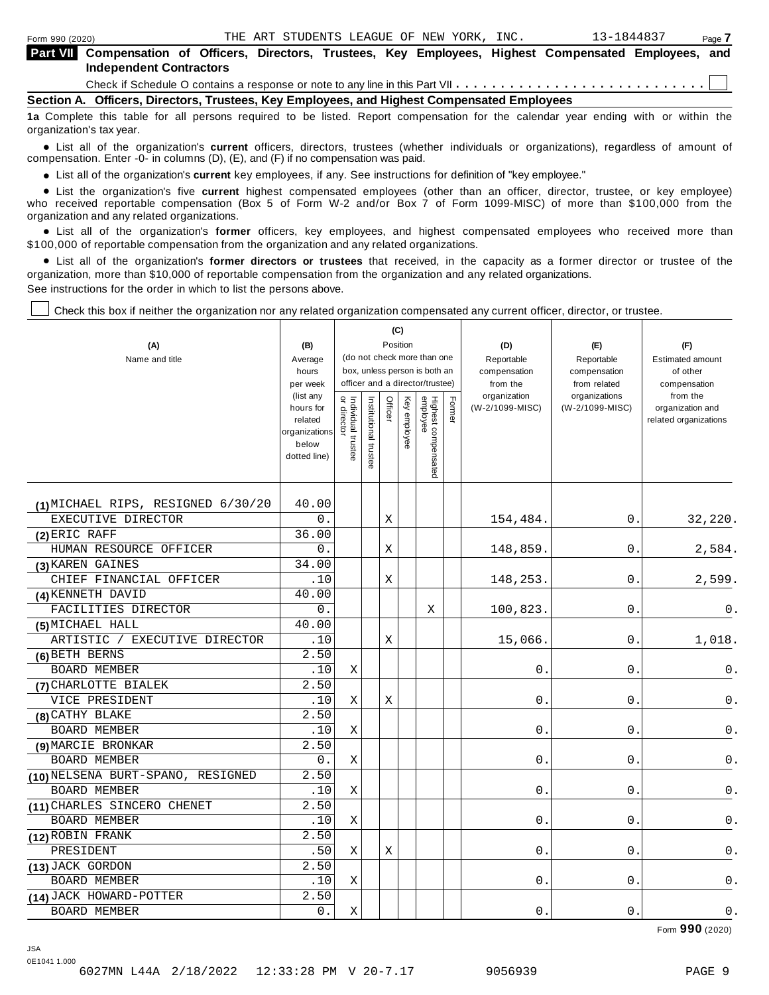| Part VII Compensation of Officers, Directors, Trustees, Key Employees, Highest Compensated Employees, and |  |  |  |  |  |
|-----------------------------------------------------------------------------------------------------------|--|--|--|--|--|
| <b>Independent Contractors</b>                                                                            |  |  |  |  |  |

Check if Schedule O contains a response or note to any line in this Part VII  $\dots \dots \dots \dots \dots \dots \dots \dots \dots \dots$ 

**Section A. Officers, Directors, Trustees, Key Employees, and Highest Compensated Employees**

**1a** Complete this table for all persons required to be listed. Report compensation for the calendar year ending with or within the organization's tax year.

anization's lax year.<br>● List all of the organization's **current** officers, directors, trustees (whether individuals or organizations), regardless of amount of<br>nnensation Enter -0- in columns (D) (E) and (E) if no compensa compensation. Enter -0- in columns (D), (E), and (F) if no compensation was paid.

• List all of the organization's current key employees, if any. See instructions for definition of "key employee."

■ List all of the organization's current key employees, if any. See instructions for definition of "key employee."<br>■ List the organization's five current highest compensated employees (other than an officer, director, tru who received reportable compensation (Box 5 of Form W-2 and/or Box 7 of Form 1099-MISC) of more than \$100,000 from the

organization and any related organizations.<br>• List all of the organization's **former** officers, key employees, and highest compensated employees who received more than<br>\$1.00.000 of reportable componention from the erganiza \$100,000 of reportable compensation from the organization and any related organizations.

% List all of the organization's **former directors or trustees** that received, in the capacity as a former director or trustee of the organization, more than \$10,000 of reportable compensation from the organization and any related organizations. See instructions for the order in which to list the persons above.

Check this box if neither the organization nor any related organization compensated any current officer, director, or trustee.

|                                    |                                                                |                                   |                                                              | (C)         |                                 |                                 |        |                          |                               |                                           |
|------------------------------------|----------------------------------------------------------------|-----------------------------------|--------------------------------------------------------------|-------------|---------------------------------|---------------------------------|--------|--------------------------|-------------------------------|-------------------------------------------|
| (A)                                | (B)                                                            |                                   | Position                                                     |             |                                 |                                 |        | (D)                      | (E)                           | (F)                                       |
| Name and title                     | Average                                                        |                                   | (do not check more than one<br>box, unless person is both an |             |                                 |                                 |        | Reportable               | Reportable                    | <b>Estimated amount</b>                   |
|                                    | hours                                                          |                                   |                                                              |             |                                 |                                 |        | compensation<br>from the | compensation                  | of other                                  |
|                                    | per week<br>(list any                                          |                                   |                                                              |             | officer and a director/trustee) |                                 |        | organization             | from related<br>organizations | compensation<br>from the                  |
|                                    | hours for<br>related<br>organizations<br>below<br>dotted line) | Individual trustee<br>or director | Institutional trustee                                        | Officer     | Key employee                    | Highest compensated<br>employee | Former | (W-2/1099-MISC)          | (W-2/1099-MISC)               | organization and<br>related organizations |
|                                    |                                                                |                                   |                                                              |             |                                 |                                 |        |                          |                               |                                           |
| (1) MICHAEL RIPS, RESIGNED 6/30/20 | 40.00                                                          |                                   |                                                              |             |                                 |                                 |        |                          |                               |                                           |
| EXECUTIVE DIRECTOR                 | 0.                                                             |                                   |                                                              | Χ           |                                 |                                 |        | 154,484                  | 0.                            | 32,220.                                   |
| $(2)$ ERIC RAFF                    | 36.00                                                          |                                   |                                                              |             |                                 |                                 |        |                          |                               |                                           |
| HUMAN RESOURCE OFFICER             | 0.                                                             |                                   |                                                              | $\mathbf X$ |                                 |                                 |        | 148,859.                 | 0.                            | 2,584.                                    |
| (3) KAREN GAINES                   | 34.00                                                          |                                   |                                                              |             |                                 |                                 |        |                          |                               |                                           |
| CHIEF FINANCIAL OFFICER            | .10                                                            |                                   |                                                              | $\mathbf X$ |                                 |                                 |        | 148,253                  | 0                             | 2,599.                                    |
| (4) KENNETH DAVID                  | 40.00                                                          |                                   |                                                              |             |                                 |                                 |        |                          |                               |                                           |
| FACILITIES DIRECTOR                | 0.                                                             |                                   |                                                              |             |                                 | Χ                               |        | 100,823                  | $0$ .                         | 0.                                        |
| (5) MICHAEL HALL                   | 40.00                                                          |                                   |                                                              |             |                                 |                                 |        |                          |                               |                                           |
| ARTISTIC / EXECUTIVE DIRECTOR      | .10                                                            |                                   |                                                              | Χ           |                                 |                                 |        | 15,066.                  | 0.                            | 1,018.                                    |
| (6) BETH BERNS                     | 2.50                                                           |                                   |                                                              |             |                                 |                                 |        |                          |                               |                                           |
| BOARD MEMBER                       | .10                                                            | Χ                                 |                                                              |             |                                 |                                 |        | 0                        | 0                             | $0$ .                                     |
| (7) CHARLOTTE BIALEK               | 2.50                                                           |                                   |                                                              |             |                                 |                                 |        |                          |                               |                                           |
| VICE PRESIDENT                     | .10                                                            | Χ                                 |                                                              | Χ           |                                 |                                 |        | 0                        | 0                             | 0.                                        |
| (8) CATHY BLAKE                    | 2.50                                                           |                                   |                                                              |             |                                 |                                 |        |                          |                               |                                           |
| <b>BOARD MEMBER</b>                | .10                                                            | $\mathbf X$                       |                                                              |             |                                 |                                 |        | 0                        | 0                             | 0.                                        |
| (9) MARCIE BRONKAR                 | 2.50                                                           |                                   |                                                              |             |                                 |                                 |        |                          |                               |                                           |
| <b>BOARD MEMBER</b>                | 0.                                                             | X                                 |                                                              |             |                                 |                                 |        | $\mathbf 0$              | 0                             | 0.                                        |
| (10) NELSENA BURT-SPANO, RESIGNED  | 2.50                                                           |                                   |                                                              |             |                                 |                                 |        |                          |                               |                                           |
| <b>BOARD MEMBER</b>                | .10                                                            | Χ                                 |                                                              |             |                                 |                                 |        | 0                        | 0.                            | 0.                                        |
| (11) CHARLES SINCERO CHENET        | 2.50                                                           |                                   |                                                              |             |                                 |                                 |        |                          |                               |                                           |
| <b>BOARD MEMBER</b>                | .10                                                            | Χ                                 |                                                              |             |                                 |                                 |        | 0                        | 0                             | 0.                                        |
| (12) ROBIN FRANK                   | 2.50                                                           |                                   |                                                              |             |                                 |                                 |        |                          |                               |                                           |
| PRESIDENT                          | .50                                                            | X                                 |                                                              | Χ           |                                 |                                 |        | 0                        | $\mathbf{0}$                  | 0.                                        |
| (13) JACK GORDON                   | 2.50                                                           |                                   |                                                              |             |                                 |                                 |        |                          |                               |                                           |
| <b>BOARD MEMBER</b>                | .10                                                            | X                                 |                                                              |             |                                 |                                 |        | 0                        | 0                             | $0$ .                                     |
| (14) JACK HOWARD-POTTER            | 2.50                                                           |                                   |                                                              |             |                                 |                                 |        |                          |                               |                                           |
| <b>BOARD MEMBER</b>                | $0$ .                                                          | $\mathbf X$                       |                                                              |             |                                 |                                 |        | $0$ .                    | 0                             | $0$ .                                     |

Form **990** (2020)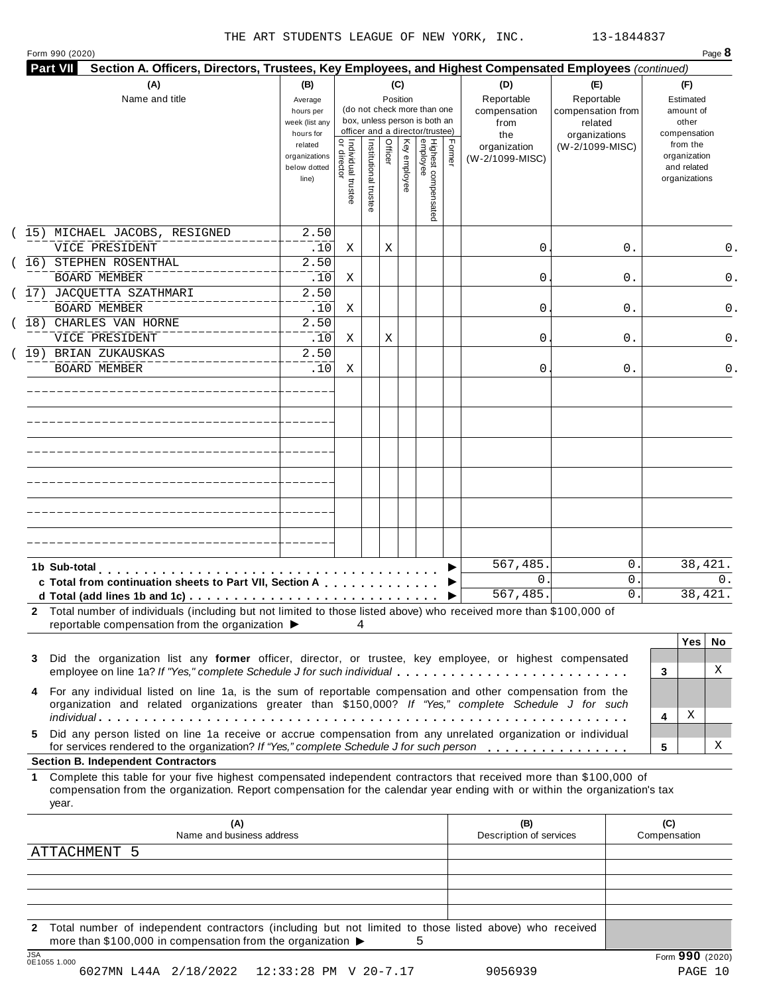|  | Form 990 (2020) |
|--|-----------------|
|  |                 |

| (A)<br>Name and title                                                                                                                                                                                                                                                                               | (B)<br>Average<br>hours per<br>week (list any<br>hours for |                                           |                       | (C)<br>Position |              | (do not check more than one<br>box, unless person is both an<br>officer and a director/trustee) |        | (D)<br>Reportable<br>compensation<br>from<br>the | (E)<br>Reportable<br>compensation from<br>related<br>organizations | (F)<br>Estimated<br>amount of<br>other<br>compensation   |     |
|-----------------------------------------------------------------------------------------------------------------------------------------------------------------------------------------------------------------------------------------------------------------------------------------------------|------------------------------------------------------------|-------------------------------------------|-----------------------|-----------------|--------------|-------------------------------------------------------------------------------------------------|--------|--------------------------------------------------|--------------------------------------------------------------------|----------------------------------------------------------|-----|
|                                                                                                                                                                                                                                                                                                     | related<br>organizations<br>below dotted<br>line)          | <br>  Individual trustee<br>  or director | Institutional trustee | Officer         | Key employee | Highest compensated<br>employee                                                                 | Former | organization<br>(W-2/1099-MISC)                  | (W-2/1099-MISC)                                                    | from the<br>organization<br>and related<br>organizations |     |
| (15) MICHAEL JACOBS, RESIGNED                                                                                                                                                                                                                                                                       | 2.50                                                       |                                           |                       |                 |              |                                                                                                 |        |                                                  |                                                                    |                                                          |     |
| VICE PRESIDENT<br>16) STEPHEN ROSENTHAL                                                                                                                                                                                                                                                             | .10<br>2.50                                                | Χ                                         |                       | Χ               |              |                                                                                                 |        | 0                                                | 0.                                                                 |                                                          | 0.  |
| <b>BOARD MEMBER</b>                                                                                                                                                                                                                                                                                 | .10                                                        | Χ                                         |                       |                 |              |                                                                                                 |        | 0                                                | 0.                                                                 |                                                          | 0.  |
| 17) JACQUETTA SZATHMARI<br><b>BOARD MEMBER</b>                                                                                                                                                                                                                                                      | 2.50<br>.10                                                | Χ                                         |                       |                 |              |                                                                                                 |        | 0                                                | 0.                                                                 |                                                          | 0.  |
| 18) CHARLES VAN HORNE<br>VICE PRESIDENT                                                                                                                                                                                                                                                             | 2.50<br>.10                                                | Χ                                         |                       | Χ               |              |                                                                                                 |        | 0                                                | 0.                                                                 |                                                          | 0.  |
| 19) BRIAN ZUKAUSKAS<br><b>BOARD MEMBER</b>                                                                                                                                                                                                                                                          | 2.50<br>.10                                                | Χ                                         |                       |                 |              |                                                                                                 |        | 0                                                | 0.                                                                 |                                                          | 0.  |
|                                                                                                                                                                                                                                                                                                     |                                                            |                                           |                       |                 |              |                                                                                                 |        |                                                  |                                                                    |                                                          |     |
|                                                                                                                                                                                                                                                                                                     |                                                            |                                           |                       |                 |              |                                                                                                 |        |                                                  |                                                                    |                                                          |     |
|                                                                                                                                                                                                                                                                                                     |                                                            |                                           |                       |                 |              |                                                                                                 |        |                                                  |                                                                    |                                                          |     |
|                                                                                                                                                                                                                                                                                                     |                                                            |                                           |                       |                 |              |                                                                                                 |        |                                                  |                                                                    |                                                          |     |
|                                                                                                                                                                                                                                                                                                     |                                                            |                                           |                       |                 |              |                                                                                                 |        |                                                  |                                                                    |                                                          |     |
| 1b Sub-total                                                                                                                                                                                                                                                                                        |                                                            |                                           |                       |                 |              |                                                                                                 |        | 567,485.                                         | 0                                                                  | 38,421.                                                  |     |
| c Total from continuation sheets to Part VII, Section A                                                                                                                                                                                                                                             |                                                            |                                           |                       |                 |              |                                                                                                 |        | $\mathbf{0}$ .                                   | 0                                                                  |                                                          | 0.  |
| 2 Total number of individuals (including but not limited to those listed above) who received more than \$100,000 of<br>reportable compensation from the organization ▶                                                                                                                              |                                                            | 4                                         |                       |                 |              |                                                                                                 |        | 567,485.                                         | 0.                                                                 | 38,421.                                                  |     |
| Did the organization list any former officer, director, or trustee, key employee, or highest compensated<br>3                                                                                                                                                                                       |                                                            |                                           |                       |                 |              |                                                                                                 |        |                                                  |                                                                    | <b>Yes</b>                                               | No. |
| employee on line 1a? If "Yes," complete Schedule J for such individual<br>For any individual listed on line 1a, is the sum of reportable compensation and other compensation from the<br>4<br>organization and related organizations greater than \$150,000? If "Yes," complete Schedule J for such |                                                            |                                           |                       |                 |              |                                                                                                 |        |                                                  |                                                                    | 3<br>Χ<br>4                                              | X   |
| Did any person listed on line 1a receive or accrue compensation from any unrelated organization or individual<br>5.<br>for services rendered to the organization? If "Yes," complete Schedule J for such person                                                                                     |                                                            |                                           |                       |                 |              |                                                                                                 |        |                                                  |                                                                    | 5                                                        | Χ   |
| <b>Section B. Independent Contractors</b>                                                                                                                                                                                                                                                           |                                                            |                                           |                       |                 |              |                                                                                                 |        |                                                  |                                                                    |                                                          |     |
| Complete this table for your five highest compensated independent contractors that received more than \$100,000 of<br>1<br>compensation from the organization. Report compensation for the calendar year ending with or within the organization's tax<br>year.                                      |                                                            |                                           |                       |                 |              |                                                                                                 |        |                                                  |                                                                    |                                                          |     |
| (A)<br>Name and business address                                                                                                                                                                                                                                                                    |                                                            |                                           |                       |                 |              |                                                                                                 |        | (B)<br>Description of services                   |                                                                    | (C)<br>Compensation                                      |     |
| <b>ATTACHMENT</b><br>-5                                                                                                                                                                                                                                                                             |                                                            |                                           |                       |                 |              |                                                                                                 |        |                                                  |                                                                    |                                                          |     |
|                                                                                                                                                                                                                                                                                                     |                                                            |                                           |                       |                 |              |                                                                                                 |        |                                                  |                                                                    |                                                          |     |
|                                                                                                                                                                                                                                                                                                     |                                                            |                                           |                       |                 |              |                                                                                                 |        |                                                  |                                                                    |                                                          |     |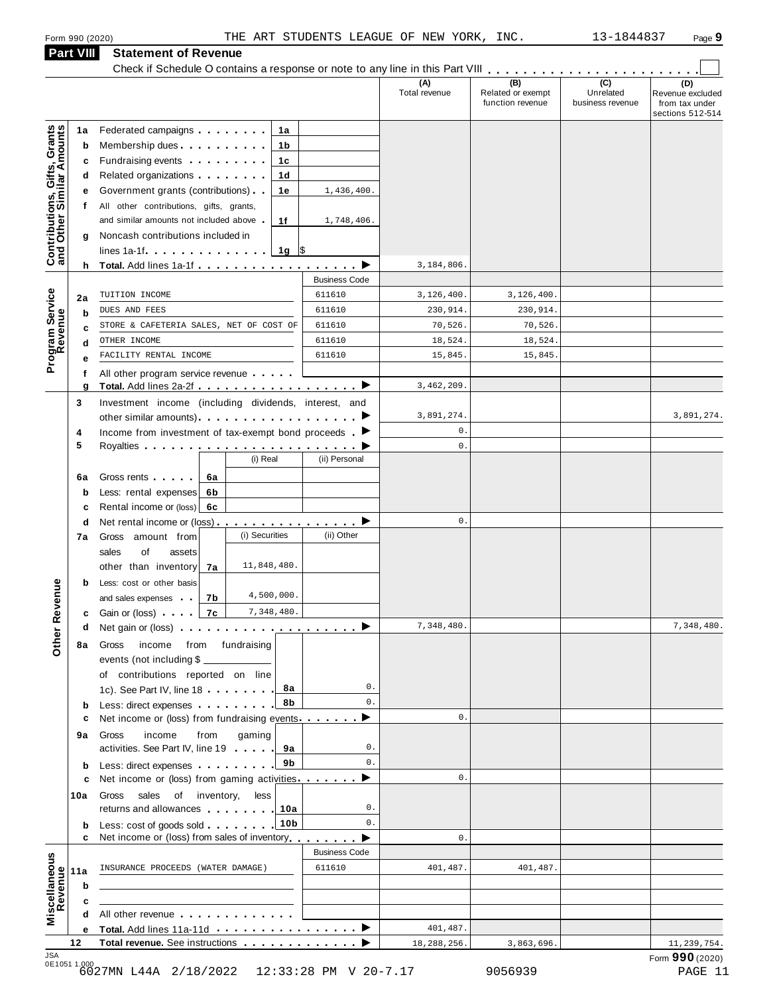### **Part VIII Statement of Revenue**

Statement of Revenue<br>Check if Schedule O contains a response or note to any line in this Part VIII **manual Check if Schedule O contains** 

|                                                           |     |                                                                                                                 |                   |                      | (A)<br>Total revenue | (B)<br>Related or exempt<br>function revenue | (C)<br>Unrelated<br>business revenue | --<br>(D)<br>Revenue excluded<br>from tax under<br>sections 512-514 |
|-----------------------------------------------------------|-----|-----------------------------------------------------------------------------------------------------------------|-------------------|----------------------|----------------------|----------------------------------------------|--------------------------------------|---------------------------------------------------------------------|
|                                                           | 1a  | Federated campaigns <b>Federated</b>                                                                            | 1a                |                      |                      |                                              |                                      |                                                                     |
| Contributions, Gifts, Grants<br>and Other Similar Amounts | b   | Membership dues                                                                                                 | 1b                |                      |                      |                                              |                                      |                                                                     |
|                                                           | c   | Fundraising events <b>Fundraising</b>                                                                           | 1c                |                      |                      |                                              |                                      |                                                                     |
|                                                           | d   | Related organizations <b>contains</b>                                                                           | 1d                |                      |                      |                                              |                                      |                                                                     |
|                                                           | е   | Government grants (contributions)                                                                               | 1e                | 1,436,400.           |                      |                                              |                                      |                                                                     |
|                                                           | t   | All other contributions, gifts, grants,                                                                         |                   |                      |                      |                                              |                                      |                                                                     |
|                                                           |     | and similar amounts not included above                                                                          | 1f                | 1,748,406.           |                      |                                              |                                      |                                                                     |
|                                                           | g   | Noncash contributions included in                                                                               |                   |                      |                      |                                              |                                      |                                                                     |
|                                                           |     | lines $1a-1f$                                                                                                   | $1g$ $\sqrt{3}$   |                      |                      |                                              |                                      |                                                                     |
|                                                           |     |                                                                                                                 |                   |                      | 3,184,806.           |                                              |                                      |                                                                     |
|                                                           |     |                                                                                                                 |                   | <b>Business Code</b> |                      |                                              |                                      |                                                                     |
|                                                           | 2a  | TUITION INCOME                                                                                                  | 611610            |                      | 3,126,400.           | 3,126,400.                                   |                                      |                                                                     |
| Program Service                                           | b   | DUES AND FEES                                                                                                   | 611610            |                      | 230,914.             | 230,914.                                     |                                      |                                                                     |
|                                                           | C   | STORE & CAFETERIA SALES, NET OF COST OF                                                                         | 611610            |                      | 70,526.              | 70,526                                       |                                      |                                                                     |
|                                                           | d   | OTHER INCOME                                                                                                    | 611610            |                      | 18,524.              | 18,524.                                      |                                      |                                                                     |
|                                                           | е   | FACILITY RENTAL INCOME                                                                                          | 611610            |                      | 15,845.              | 15,845                                       |                                      |                                                                     |
|                                                           | f   | All other program service revenue                                                                               |                   |                      |                      |                                              |                                      |                                                                     |
|                                                           | g   | Total. Add lines 2a-2f ▶                                                                                        |                   |                      | 3,462,209.           |                                              |                                      |                                                                     |
|                                                           | 3   | Investment income (including dividends, interest, and                                                           |                   |                      |                      |                                              |                                      |                                                                     |
|                                                           |     | other similar amounts).                                                                                         |                   |                      | 3,891,274.           |                                              |                                      | 3,891,274.                                                          |
|                                                           | 4   | Income from investment of tax-exempt bond proceeds $\blacktriangleright$                                        |                   |                      | $0$ .                |                                              |                                      |                                                                     |
|                                                           | 5   |                                                                                                                 |                   |                      | 0.                   |                                              |                                      |                                                                     |
|                                                           |     | (i) Real                                                                                                        |                   | (ii) Personal        |                      |                                              |                                      |                                                                     |
|                                                           | 6а  | Gross rents<br>6a                                                                                               |                   |                      |                      |                                              |                                      |                                                                     |
|                                                           | b   | Less: rental expenses<br>6b                                                                                     |                   |                      |                      |                                              |                                      |                                                                     |
|                                                           | c   | Rental income or (loss)<br>6с                                                                                   |                   |                      |                      |                                              |                                      |                                                                     |
|                                                           | d   | Net rental income or (loss) $\ldots$ , $\ldots$ , $\ldots$                                                      |                   |                      | 0.                   |                                              |                                      |                                                                     |
|                                                           | 7а  | (i) Securities<br>Gross amount from                                                                             |                   | (ii) Other           |                      |                                              |                                      |                                                                     |
|                                                           |     | sales<br>οf<br>assets                                                                                           |                   |                      |                      |                                              |                                      |                                                                     |
|                                                           |     | 11,848,480.<br>other than inventory<br>7a                                                                       |                   |                      |                      |                                              |                                      |                                                                     |
|                                                           | b   | Less: cost or other basis                                                                                       |                   |                      |                      |                                              |                                      |                                                                     |
| Revenue                                                   |     | 4,500,000.<br>and sales expenses<br>7b                                                                          |                   |                      |                      |                                              |                                      |                                                                     |
|                                                           | c   | 7,348,480.<br>Gain or (loss)<br>7c                                                                              |                   |                      |                      |                                              |                                      |                                                                     |
| ă                                                         | d   | Net gain or (loss)                                                                                              | <u>.</u> <b>.</b> |                      | 7,348,480            |                                              |                                      | 7,348,480.                                                          |
| ื่อื่                                                     | 8а  | income from fundraising<br>Gross                                                                                |                   |                      |                      |                                              |                                      |                                                                     |
|                                                           |     | events (not including \$                                                                                        |                   |                      |                      |                                              |                                      |                                                                     |
|                                                           |     | of contributions reported on line                                                                               |                   |                      |                      |                                              |                                      |                                                                     |
|                                                           |     | 1c). See Part IV, line 18                                                                                       | 8а                | 0.                   |                      |                                              |                                      |                                                                     |
|                                                           | b   | Less: direct expenses <b>contained Less:</b> direct expenses                                                    | 8b                | 0.                   |                      |                                              |                                      |                                                                     |
|                                                           | с   | Net income or (loss) from fundraising events $\ldots$                                                           |                   |                      | 0.                   |                                              |                                      |                                                                     |
|                                                           | 9а  | income<br>Gross<br>from<br>gaming                                                                               |                   |                      |                      |                                              |                                      |                                                                     |
|                                                           |     | activities. See Part IV, line 19                                                                                | 9а                | 0.                   |                      |                                              |                                      |                                                                     |
|                                                           | b   | Less: direct expenses                                                                                           | 9b                | 0.                   |                      |                                              |                                      |                                                                     |
|                                                           | с   | Net income or (loss) from gaming activities                                                                     |                   | ▶                    | 0.                   |                                              |                                      |                                                                     |
|                                                           | 10a | Gross sales of inventory,<br>less                                                                               |                   |                      |                      |                                              |                                      |                                                                     |
|                                                           |     | returns and allowances 10a                                                                                      |                   | 0.                   |                      |                                              |                                      |                                                                     |
|                                                           | b   | Less: cost of goods sold                                                                                        | 10b               | 0.                   |                      |                                              |                                      |                                                                     |
|                                                           |     | Net income or (loss) from sales of inventory                                                                    |                   |                      | 0.                   |                                              |                                      |                                                                     |
|                                                           |     |                                                                                                                 |                   | <b>Business Code</b> |                      |                                              |                                      |                                                                     |
|                                                           | 11a | INSURANCE PROCEEDS (WATER DAMAGE)                                                                               | 611610            |                      | 401,487.             | 401,487.                                     |                                      |                                                                     |
|                                                           | b   |                                                                                                                 |                   |                      |                      |                                              |                                      |                                                                     |
| Miscellaneous<br>Revenue                                  | c   |                                                                                                                 |                   |                      |                      |                                              |                                      |                                                                     |
|                                                           |     | All other revenue example and the state of the state of the state of the state of the state of the state of the |                   |                      |                      |                                              |                                      |                                                                     |
|                                                           | е   |                                                                                                                 |                   |                      | 401,487.             |                                              |                                      |                                                                     |
|                                                           | 12  | Total revenue. See instructions                                                                                 |                   |                      | 18, 288, 256.        | 3,863,696.                                   |                                      | 11,239,754.                                                         |
| <b>JSA</b>                                                |     |                                                                                                                 |                   |                      |                      |                                              |                                      | Form 990 (2020)                                                     |
|                                                           |     | 0E10511.000<br>6027MN L44A 2/18/2022 12:33:28 PM V 20-7.17                                                      |                   |                      |                      | 9056939                                      |                                      | PAGE 11                                                             |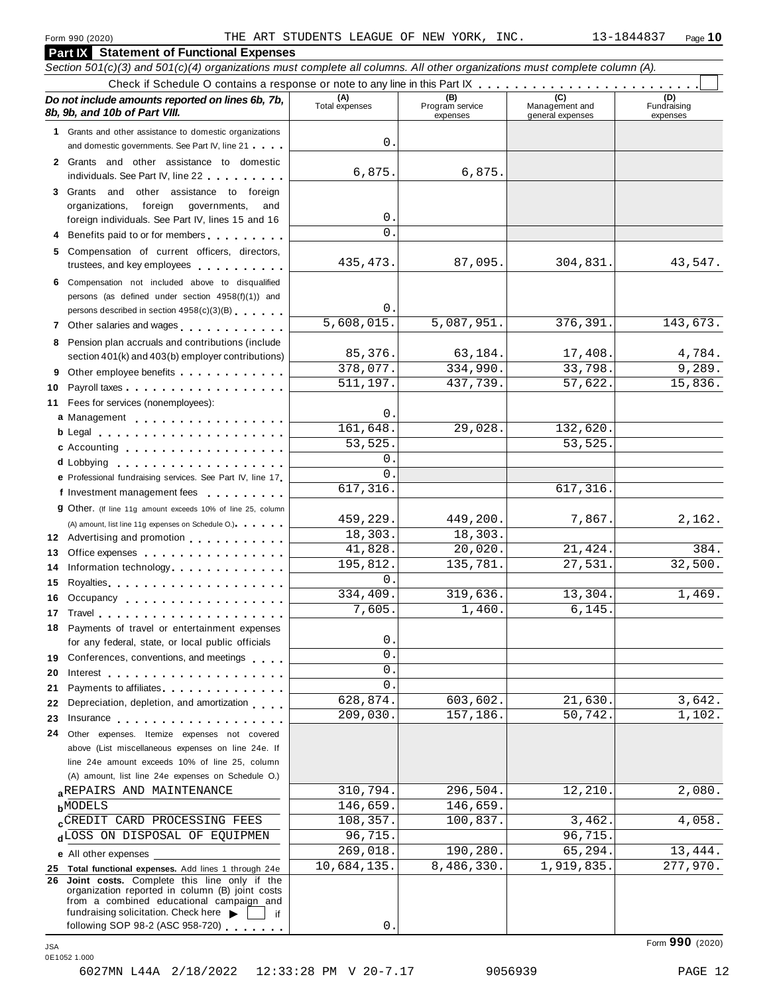**Part IX Statement of Functional Expenses**

### Section 501(c)(3) and 501(c)(4) organizations must complete all columns. All other organizations must complete column (A). Check if Schedule <sup>O</sup> contains <sup>a</sup> response or note to any line in this Part IX m m m m m m m m m m m m m m m m m m m m m m m m m *Do no* **(A) (B) (C) (D)** *t include amounts reported on lines 6b, 7b,* **8b, 9b, and 10b of Part VIII.** The construction of *B***, 9b, and 10b of Part VIII.** expenses Management and general expenses Fundraising expenses **1** Grants and other assistance to domestic organizations and domestic governments. See Part IV, line 21 m m m **2** Grants and other assistance to domestic individuals. See Part IV, line 22 **3** Grants and other assistance to foreign organizations, foreign governments, and foreign individuals. See Part IV, lines 15 and 16 **4** Benefits paid to or for members **5** Compensation of current officers, directors, trustees, and key employees m m m m m m m m m m **6** Compensation not included above to disqualified persons (as defined under section 4958(f)(1)) and persons described in section 4958(c)(3)(B) 7 Other salaries and wages **manual manual manual metal 8** Pension plan accruals and contributions (include section 401(k) and 403(b) employer contributions) **9** Section 401(k) and 403(b) employer contributions<br>9 Other employee benefits 9 Other employee benefits **10** Payroll taxes **10** Fees for services (nonemployees): **11** A) amount, list line 11g expenses on Schedule O.)<br>**12** Advertising and promotion **manual 13** Office expenses **13** Office expenses<br>**14** Information technology............. **15 16** Occupancy m m m m m m m m m m m m m m m m m m **16** Occupancy ...................<br>17 Travel..................... **18** Payments of travel or entertainment expenses for any federal, state, or local public officials<br>**19** Conferences, conventions, and meetings **19** Conferences, conventions, and meetings **endorship.**<br>20 Interest **manual meeting 21** Payments to affiliates m m m m m m m m m m m m m m 21 Payments to affiliates<br>22 Depreciation, depletion, and amortization <sub>1</sub> . . . **22** Depreciation, depletion, and amortization **manufation**<br>23 Insurance 24 Other expenses. Itemize expenses not covered | Fees for services (nonemployees):<br>**a** Management ..................<br>**b** Legal ......................... **cd** Lobbying m m m m m m m m m m m m m m m m m m m **e** Professional fundraising services. See Part IV, line <sup>17</sup> m **P** Professional fundraising services. See Part IV, line 17<br>**f** Investment management fees **g** Other. (If line 11g amount exceeds 10% of line 25, column Legal m m m m m m m m m m m m m m m m m m m m m Accounting m m m m m m m m m m m m m m m m m m (A) amount, list line 11g expenses on Schedule O.) means m m m m m m m m m m m m m m m m Royalties m m m m m m m m m m m m m m m m m m m m for any federal, state, or local public officials above (List miscellaneous expenses on line 24e. If line 24e amount exceeds 10% of line 25, column (A) amount, list line 24e expenses on Schedule O.) **b**MODELS **c**CREDIT CARD PROCESSING PEES<br>d<sup>LOSS</sup> ON DISPOSAL OF EQUIPMEN 96,715. 96,715. 96,715. **e** All other expenses **25 Total functional expenses.** Add lines 1 through 24e **26 Joint costs.** Complete this line only if the organization reported in column (B) joint costs from a combined educational campaign and from a combined educational campaign and<br>fundraising solicitation. Check here  $\blacktriangleright$  if<br>following SOP 98-2 (ASC 958-720)  $\Omega$ 6,875. 6,875. 0.  $\mathbf{0}$ . 435,473. 87,095. 304,831. 43,547. 0. 5,608,015. 5,087,951. 376,391. 143,673. 85,376. 63,184. 17,408. 4,784. 378,077. 334,990. 33,798. 9,289. 511,197. 437,739. 57,622. 15,836.  $\Omega$ 161,648. 29,028. 132,620 53,525. 53,525. 0. 0. 617,316. 459,229. 449,200. 7,867. 2,162. 18,303. 18,303. 41,828. 20,020. 21,424. 384. 195,812. 135,781. 27,531. 32,500. 0. 334,409. 319,636. 13,304. 1,469. 7,605. 1,460. 6,145. 0.  $\overline{0}$  $\overline{0}$  $\overline{0}$ .  $628,874.$   $603,602.$   $21,630.$   $3,642.$ 209,030. 157,186. 50,742. 1,102. **REPAIRS AND MAINTENANCE**  $\begin{array}{|c|c|c|c|c|c|}\n\hline\n & 310,794. & 296,504. & 12,210. & 2,080. & \hline\n\end{array}$  $146,659.$  146,659. **CREDIT CARD PROCESSING FEES** 108,357. 100,837. 3,462. 4,058. 269,018. 190,280. 65,294. 13,444. 10,684,135. 8,486,330. 1,919,835. 277,970.

0.

0E1052 1.000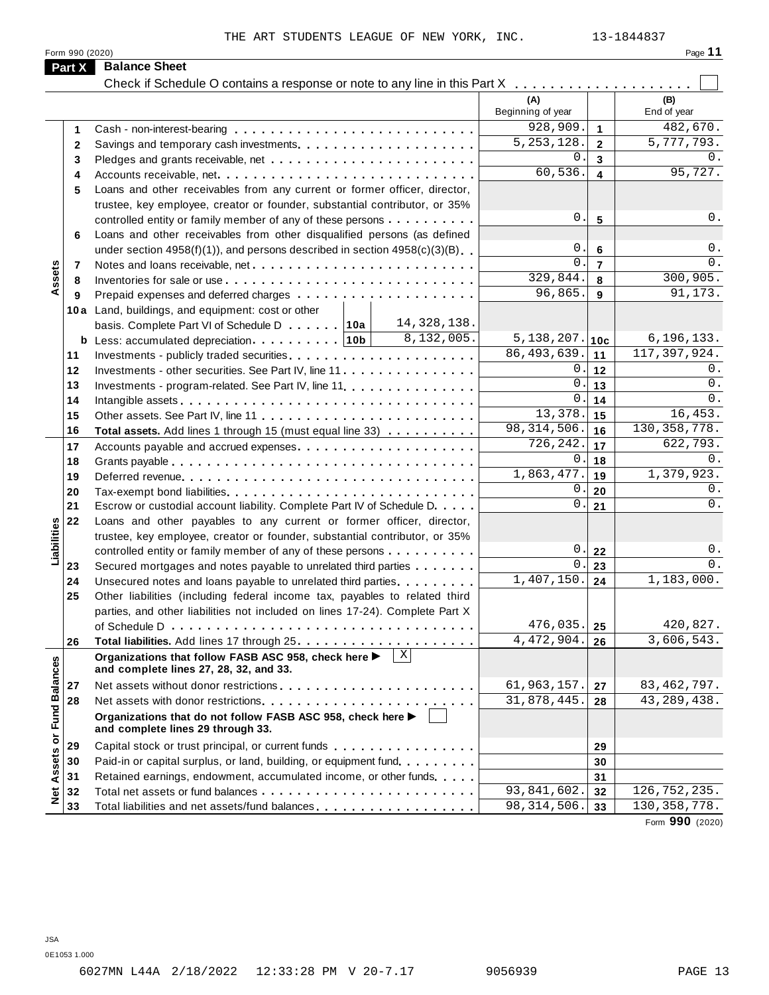THE ART STUDENTS LEAGUE OF NEW YORK, INC. 13-1844837

|                      | Form 990 (2020)                                                                                      |                             |                         | Page 11                |
|----------------------|------------------------------------------------------------------------------------------------------|-----------------------------|-------------------------|------------------------|
| Part X               | <b>Balance Sheet</b>                                                                                 |                             |                         |                        |
|                      |                                                                                                      | (A)                         |                         | (B)                    |
|                      |                                                                                                      | Beginning of year           |                         | End of year            |
| 1                    |                                                                                                      | 928,909.                    | $\mathbf{1}$            | $\overline{482,670}$ . |
| $\mathbf{2}$         |                                                                                                      | 5, 253, 128.                | $\overline{2}$          | 5,777,793.             |
| 3                    |                                                                                                      | 0.                          | $\mathbf{3}$            | $0$ .                  |
| 4                    | Accounts receivable, net                                                                             | 60,536.                     | $\overline{\mathbf{4}}$ | 95,727.                |
| 5                    | Loans and other receivables from any current or former officer, director,                            |                             |                         |                        |
|                      | trustee, key employee, creator or founder, substantial contributor, or 35%                           |                             |                         |                        |
|                      | controlled entity or family member of any of these persons                                           | 0.                          | $5\phantom{1}$          | 0.                     |
| 6                    | Loans and other receivables from other disqualified persons (as defined                              |                             |                         |                        |
|                      | under section $4958(f)(1)$ , and persons described in section $4958(c)(3)(B)$                        | 0.                          | $\bf 6$                 | $0$ .                  |
| 7                    |                                                                                                      | 0.                          | $\overline{7}$          | $0$ .                  |
| Assets<br>8          |                                                                                                      | 329,844.                    | 8                       | 300, 905.              |
| 9                    |                                                                                                      | 96,865.                     | 9                       | 91,173.                |
|                      | 10a Land, buildings, and equipment: cost or other                                                    |                             |                         |                        |
|                      | 14, 328, 138.<br>basis. Complete Part VI of Schedule D 10a                                           |                             |                         |                        |
|                      | 8,132,005.<br><b>b</b> Less: accumulated depreciation. $\ldots$ , , $ 10b $                          | $5,138,207.$ 10c            |                         | 6, 196, 133.           |
| 11                   |                                                                                                      | 86, 493, 639.               | 11                      | 117, 397, 924.         |
| 12                   | Investments - other securities. See Part IV, line 11.                                                | 0.1                         | $12$                    | 0.                     |
| 13                   | Investments - program-related. See Part IV, line 11.                                                 | 0.                          | 13                      | 0.                     |
| 14                   |                                                                                                      | 0.                          | 14                      | $0$ .                  |
| 15                   |                                                                                                      | 13,378.                     | 15                      | 16,453.                |
| 16                   | Total assets. Add lines 1 through 15 (must equal line 33)                                            | $\overline{98}$ , 314, 506. | 16                      | 130, 358, 778.         |
| 17                   |                                                                                                      | 726,242.                    | 17                      | 622,793.               |
| 18                   |                                                                                                      | 0.                          | 18                      | $0$ .                  |
| 19                   |                                                                                                      | 1,863,477.                  | 19                      | 1,379,923.             |
| 20                   |                                                                                                      | 0.                          | 20                      | 0.                     |
| 21                   | Escrow or custodial account liability. Complete Part IV of Schedule D.                               | $0$ .                       | 21                      | $0$ .                  |
| 22                   | Loans and other payables to any current or former officer, director,                                 |                             |                         |                        |
| Liabilities          | trustee, key employee, creator or founder, substantial contributor, or 35%                           |                             |                         |                        |
|                      | controlled entity or family member of any of these persons                                           | 0.                          | 22                      | 0.                     |
| 23                   | Secured mortgages and notes payable to unrelated third parties                                       | $0$ .                       | 23                      | $0$ .                  |
| 24                   | Unsecured notes and loans payable to unrelated third parties.                                        | 1,407,150.                  | 24                      | 1,183,000.             |
| 25                   | Other liabilities (including federal income tax, payables to related third                           |                             |                         |                        |
|                      | parties, and other liabilities not included on lines 17-24). Complete Part X                         |                             |                         |                        |
|                      | of Schedule D $\ldots \ldots \ldots \ldots \ldots \ldots \ldots \ldots \ldots \ldots \ldots$         | 476,035.                    | 25                      | 420,827.               |
| 26                   |                                                                                                      | 4,472,904.                  | 26                      | 3,606,543.             |
|                      | X <br>Organizations that follow FASB ASC 958, check here ▶<br>and complete lines 27, 28, 32, and 33. |                             |                         |                        |
| 27                   |                                                                                                      | 61, 963, 157.               | 27                      | 83, 462, 797.          |
| 28                   |                                                                                                      | 31,878,445.                 | 28                      | 43, 289, 438.          |
| <b>Fund Balances</b> | Organizations that do not follow FASB ASC 958, check here ▶<br>and complete lines 29 through 33.     |                             |                         |                        |
| ŏ<br>29              | Capital stock or trust principal, or current funds                                                   |                             | 29                      |                        |
| 30                   | Paid-in or capital surplus, or land, building, or equipment fund.                                    |                             | 30                      |                        |
| Assets<br>31         | Retained earnings, endowment, accumulated income, or other funds                                     |                             | 31                      |                        |
| 32                   |                                                                                                      | $\overline{93,841}$ , 602.  | 32                      | 126, 752, 235.         |
| $\frac{1}{2}$<br>33  | Total liabilities and net assets/fund balances                                                       | 98, 314, 506.               | 33                      | 130, 358, 778.         |

Form **990** (2020)

JSA 0E1053 1.000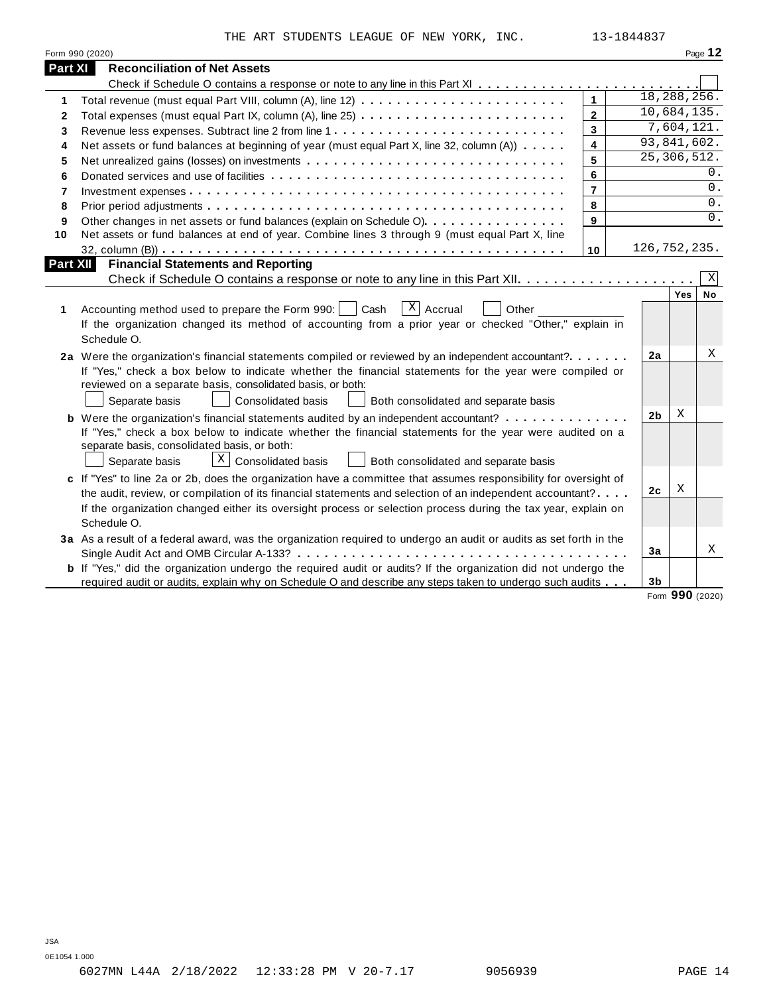THE ART STUDENTS LEAGUE OF NEW YORK, INC. 13-1844837

|          | Form 990 (2020)                                                                                                                                                                                                                                                                                                                                                   |                |                |              | Page 12   |
|----------|-------------------------------------------------------------------------------------------------------------------------------------------------------------------------------------------------------------------------------------------------------------------------------------------------------------------------------------------------------------------|----------------|----------------|--------------|-----------|
| Part XI  | <b>Reconciliation of Net Assets</b>                                                                                                                                                                                                                                                                                                                               |                |                |              |           |
|          |                                                                                                                                                                                                                                                                                                                                                                   |                |                |              |           |
| 1        |                                                                                                                                                                                                                                                                                                                                                                   | $\mathbf{1}$   |                | 18,288,256.  |           |
| 2        |                                                                                                                                                                                                                                                                                                                                                                   | $\overline{2}$ |                | 10,684,135.  |           |
| 3        |                                                                                                                                                                                                                                                                                                                                                                   | $\overline{3}$ |                | 7,604,121.   |           |
| 4        | Net assets or fund balances at beginning of year (must equal Part X, line 32, column (A))                                                                                                                                                                                                                                                                         | 4              |                | 93,841,602.  |           |
| 5        |                                                                                                                                                                                                                                                                                                                                                                   | 5              |                | 25,306,512.  |           |
| 6        |                                                                                                                                                                                                                                                                                                                                                                   | 6              |                |              | 0.        |
| 7        |                                                                                                                                                                                                                                                                                                                                                                   | $\overline{7}$ |                |              | 0.        |
| 8        |                                                                                                                                                                                                                                                                                                                                                                   | 8              |                |              | 0.        |
| 9        | Other changes in net assets or fund balances (explain on Schedule O).                                                                                                                                                                                                                                                                                             | 9              |                |              | $0$ .     |
| 10       | Net assets or fund balances at end of year. Combine lines 3 through 9 (must equal Part X, line                                                                                                                                                                                                                                                                    |                |                |              |           |
|          |                                                                                                                                                                                                                                                                                                                                                                   | 10             |                | 126,752,235. |           |
| Part XII | <b>Financial Statements and Reporting</b>                                                                                                                                                                                                                                                                                                                         |                |                |              |           |
|          |                                                                                                                                                                                                                                                                                                                                                                   |                |                |              | X         |
| 1        | $\sqrt{X}$ Accrual<br>Accounting method used to prepare the Form 990:     Cash<br>Other<br>If the organization changed its method of accounting from a prior year or checked "Other," explain in<br>Schedule O.                                                                                                                                                   |                |                | Yes          | <b>No</b> |
|          | 2a Were the organization's financial statements compiled or reviewed by an independent accountant?<br>If "Yes," check a box below to indicate whether the financial statements for the year were compiled or<br>reviewed on a separate basis, consolidated basis, or both:<br>Separate basis<br><b>Consolidated basis</b><br>Both consolidated and separate basis |                | 2a             |              | Χ         |
|          | <b>b</b> Were the organization's financial statements audited by an independent accountant?<br>If "Yes," check a box below to indicate whether the financial statements for the year were audited on a<br>separate basis, consolidated basis, or both:<br>$\lfloor x \rfloor$ Consolidated basis<br>Separate basis<br>Both consolidated and separate basis        |                | 2 <sub>b</sub> | X            |           |
|          | c If "Yes" to line 2a or 2b, does the organization have a committee that assumes responsibility for oversight of                                                                                                                                                                                                                                                  |                |                |              |           |
|          | the audit, review, or compilation of its financial statements and selection of an independent accountant?                                                                                                                                                                                                                                                         |                | 2c             | X            |           |
|          | If the organization changed either its oversight process or selection process during the tax year, explain on<br>Schedule O.                                                                                                                                                                                                                                      |                |                |              |           |
|          | 3a As a result of a federal award, was the organization required to undergo an audit or audits as set forth in the                                                                                                                                                                                                                                                |                |                |              |           |
|          |                                                                                                                                                                                                                                                                                                                                                                   |                | 3a             |              | Χ         |
|          | b If "Yes," did the organization undergo the required audit or audits? If the organization did not undergo the                                                                                                                                                                                                                                                    |                |                |              |           |
|          | required audit or audits, explain why on Schedule O and describe any steps taken to undergo such audits                                                                                                                                                                                                                                                           |                | 3 <sub>b</sub> |              |           |

Form **990** (2020)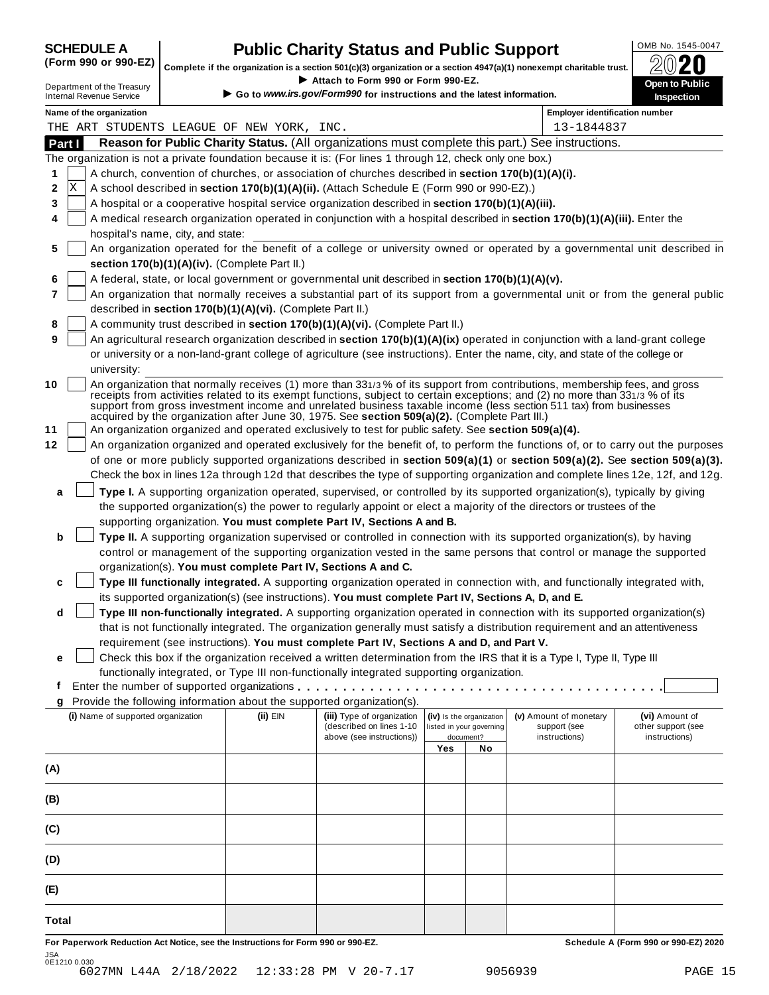| <b>SCHEDULE A</b>             |  |  |  |
|-------------------------------|--|--|--|
| $\sqrt{2}$ and and $\sqrt{2}$ |  |  |  |

### **CHEDULE A Public Charity Status and Public Support**  $\frac{100\text{dB No. }1545-0047}{000\text{dB No.}}$

(Form 990 or 990-EZ) complete if the organization is a section 501(c)(3) organization or a section 4947(a)(1) nonexempt charitable trust.  $2020$ 

|                                                                   |                                                                                                                                                                            |                                                            | Complete if the organization is a section 501(c)(3) organization or a section 4947(a)(1) nonexempt charitable trust. |     |                                                      |                                                                                                                                                                                                                                                                                                                                                                                                                                                                                                        | BWŁU                                                                                                                             |  |
|-------------------------------------------------------------------|----------------------------------------------------------------------------------------------------------------------------------------------------------------------------|------------------------------------------------------------|----------------------------------------------------------------------------------------------------------------------|-----|------------------------------------------------------|--------------------------------------------------------------------------------------------------------------------------------------------------------------------------------------------------------------------------------------------------------------------------------------------------------------------------------------------------------------------------------------------------------------------------------------------------------------------------------------------------------|----------------------------------------------------------------------------------------------------------------------------------|--|
| <b>Internal Revenue Service</b>                                   | Attach to Form 990 or Form 990-EZ.<br>Open to Public<br>Department of the Treasury<br>Go to www.irs.gov/Form990 for instructions and the latest information.<br>Inspection |                                                            |                                                                                                                      |     |                                                      |                                                                                                                                                                                                                                                                                                                                                                                                                                                                                                        |                                                                                                                                  |  |
| Name of the organization<br><b>Employer identification number</b> |                                                                                                                                                                            |                                                            |                                                                                                                      |     |                                                      |                                                                                                                                                                                                                                                                                                                                                                                                                                                                                                        |                                                                                                                                  |  |
|                                                                   |                                                                                                                                                                            | THE ART STUDENTS LEAGUE OF NEW YORK, INC.                  |                                                                                                                      |     |                                                      | 13-1844837                                                                                                                                                                                                                                                                                                                                                                                                                                                                                             |                                                                                                                                  |  |
| Part I                                                            |                                                                                                                                                                            |                                                            |                                                                                                                      |     |                                                      | Reason for Public Charity Status. (All organizations must complete this part.) See instructions.                                                                                                                                                                                                                                                                                                                                                                                                       |                                                                                                                                  |  |
|                                                                   |                                                                                                                                                                            |                                                            | The organization is not a private foundation because it is: (For lines 1 through 12, check only one box.)            |     |                                                      |                                                                                                                                                                                                                                                                                                                                                                                                                                                                                                        |                                                                                                                                  |  |
| 1                                                                 |                                                                                                                                                                            |                                                            | A church, convention of churches, or association of churches described in section 170(b)(1)(A)(i).                   |     |                                                      |                                                                                                                                                                                                                                                                                                                                                                                                                                                                                                        |                                                                                                                                  |  |
| ΙX<br>2                                                           |                                                                                                                                                                            |                                                            | A school described in section 170(b)(1)(A)(ii). (Attach Schedule E (Form 990 or 990-EZ).)                            |     |                                                      |                                                                                                                                                                                                                                                                                                                                                                                                                                                                                                        |                                                                                                                                  |  |
| 3                                                                 |                                                                                                                                                                            |                                                            | A hospital or a cooperative hospital service organization described in section 170(b)(1)(A)(iii).                    |     |                                                      |                                                                                                                                                                                                                                                                                                                                                                                                                                                                                                        |                                                                                                                                  |  |
| 4                                                                 | hospital's name, city, and state:                                                                                                                                          |                                                            |                                                                                                                      |     |                                                      | A medical research organization operated in conjunction with a hospital described in section 170(b)(1)(A)(iii). Enter the                                                                                                                                                                                                                                                                                                                                                                              |                                                                                                                                  |  |
| 5                                                                 |                                                                                                                                                                            |                                                            |                                                                                                                      |     |                                                      |                                                                                                                                                                                                                                                                                                                                                                                                                                                                                                        | An organization operated for the benefit of a college or university owned or operated by a governmental unit described in        |  |
|                                                                   |                                                                                                                                                                            | section 170(b)(1)(A)(iv). (Complete Part II.)              |                                                                                                                      |     |                                                      |                                                                                                                                                                                                                                                                                                                                                                                                                                                                                                        |                                                                                                                                  |  |
| 6                                                                 |                                                                                                                                                                            |                                                            | A federal, state, or local government or governmental unit described in section 170(b)(1)(A)(v).                     |     |                                                      |                                                                                                                                                                                                                                                                                                                                                                                                                                                                                                        |                                                                                                                                  |  |
| 7                                                                 |                                                                                                                                                                            |                                                            |                                                                                                                      |     |                                                      |                                                                                                                                                                                                                                                                                                                                                                                                                                                                                                        | An organization that normally receives a substantial part of its support from a governmental unit or from the general public     |  |
|                                                                   |                                                                                                                                                                            | described in section 170(b)(1)(A)(vi). (Complete Part II.) |                                                                                                                      |     |                                                      |                                                                                                                                                                                                                                                                                                                                                                                                                                                                                                        |                                                                                                                                  |  |
| 8                                                                 |                                                                                                                                                                            |                                                            | A community trust described in section 170(b)(1)(A)(vi). (Complete Part II.)                                         |     |                                                      |                                                                                                                                                                                                                                                                                                                                                                                                                                                                                                        |                                                                                                                                  |  |
| 9                                                                 |                                                                                                                                                                            |                                                            |                                                                                                                      |     |                                                      | An agricultural research organization described in section 170(b)(1)(A)(ix) operated in conjunction with a land-grant college                                                                                                                                                                                                                                                                                                                                                                          |                                                                                                                                  |  |
|                                                                   |                                                                                                                                                                            |                                                            |                                                                                                                      |     |                                                      | or university or a non-land-grant college of agriculture (see instructions). Enter the name, city, and state of the college or                                                                                                                                                                                                                                                                                                                                                                         |                                                                                                                                  |  |
| university:                                                       |                                                                                                                                                                            |                                                            |                                                                                                                      |     |                                                      |                                                                                                                                                                                                                                                                                                                                                                                                                                                                                                        |                                                                                                                                  |  |
| 10                                                                |                                                                                                                                                                            |                                                            | acquired by the organization after June 30, 1975. See section 509(a)(2). (Complete Part III.)                        |     |                                                      | An organization that normally receives (1) more than 331/3% of its support from contributions, membership fees, and gross<br>receipts from activities related to its exempt functions, subject to certain exceptions; and (2) no more than 331/3 % of its<br>support from gross investment income and unrelated business taxable income (less section 511 tax) from businesses                                                                                                                         |                                                                                                                                  |  |
| 11                                                                |                                                                                                                                                                            |                                                            | An organization organized and operated exclusively to test for public safety. See section 509(a)(4).                 |     |                                                      |                                                                                                                                                                                                                                                                                                                                                                                                                                                                                                        |                                                                                                                                  |  |
| 12                                                                |                                                                                                                                                                            |                                                            |                                                                                                                      |     |                                                      |                                                                                                                                                                                                                                                                                                                                                                                                                                                                                                        | An organization organized and operated exclusively for the benefit of, to perform the functions of, or to carry out the purposes |  |
|                                                                   |                                                                                                                                                                            |                                                            |                                                                                                                      |     |                                                      |                                                                                                                                                                                                                                                                                                                                                                                                                                                                                                        | of one or more publicly supported organizations described in section 509(a)(1) or section 509(a)(2). See section 509(a)(3).      |  |
|                                                                   |                                                                                                                                                                            |                                                            |                                                                                                                      |     |                                                      |                                                                                                                                                                                                                                                                                                                                                                                                                                                                                                        | Check the box in lines 12a through 12d that describes the type of supporting organization and complete lines 12e, 12f, and 12g.  |  |
| a<br>b                                                            |                                                                                                                                                                            |                                                            | supporting organization. You must complete Part IV, Sections A and B.                                                |     |                                                      | Type I. A supporting organization operated, supervised, or controlled by its supported organization(s), typically by giving<br>the supported organization(s) the power to regularly appoint or elect a majority of the directors or trustees of the<br>Type II. A supporting organization supervised or controlled in connection with its supported organization(s), by having<br>control or management of the supporting organization vested in the same persons that control or manage the supported |                                                                                                                                  |  |
|                                                                   |                                                                                                                                                                            |                                                            | organization(s). You must complete Part IV, Sections A and C.                                                        |     |                                                      |                                                                                                                                                                                                                                                                                                                                                                                                                                                                                                        |                                                                                                                                  |  |
| c                                                                 |                                                                                                                                                                            |                                                            | its supported organization(s) (see instructions). You must complete Part IV, Sections A, D, and E.                   |     |                                                      | Type III functionally integrated. A supporting organization operated in connection with, and functionally integrated with,                                                                                                                                                                                                                                                                                                                                                                             |                                                                                                                                  |  |
| d                                                                 |                                                                                                                                                                            |                                                            |                                                                                                                      |     |                                                      | Type III non-functionally integrated. A supporting organization operated in connection with its supported organization(s)                                                                                                                                                                                                                                                                                                                                                                              |                                                                                                                                  |  |
|                                                                   |                                                                                                                                                                            |                                                            |                                                                                                                      |     |                                                      | that is not functionally integrated. The organization generally must satisfy a distribution requirement and an attentiveness                                                                                                                                                                                                                                                                                                                                                                           |                                                                                                                                  |  |
|                                                                   |                                                                                                                                                                            |                                                            | requirement (see instructions). You must complete Part IV, Sections A and D, and Part V.                             |     |                                                      |                                                                                                                                                                                                                                                                                                                                                                                                                                                                                                        |                                                                                                                                  |  |
| е                                                                 |                                                                                                                                                                            |                                                            |                                                                                                                      |     |                                                      | Check this box if the organization received a written determination from the IRS that it is a Type I, Type II, Type III                                                                                                                                                                                                                                                                                                                                                                                |                                                                                                                                  |  |
|                                                                   |                                                                                                                                                                            |                                                            | functionally integrated, or Type III non-functionally integrated supporting organization.                            |     |                                                      |                                                                                                                                                                                                                                                                                                                                                                                                                                                                                                        |                                                                                                                                  |  |
| t                                                                 |                                                                                                                                                                            |                                                            |                                                                                                                      |     |                                                      |                                                                                                                                                                                                                                                                                                                                                                                                                                                                                                        |                                                                                                                                  |  |
| g                                                                 |                                                                                                                                                                            |                                                            | Provide the following information about the supported organization(s).                                               |     |                                                      |                                                                                                                                                                                                                                                                                                                                                                                                                                                                                                        |                                                                                                                                  |  |
| (i) Name of supported organization                                |                                                                                                                                                                            | (ii) EIN                                                   | (iii) Type of organization<br>(described on lines 1-10                                                               |     | (iv) Is the organization<br>listed in your governing | (v) Amount of monetary<br>support (see                                                                                                                                                                                                                                                                                                                                                                                                                                                                 | (vi) Amount of<br>other support (see                                                                                             |  |
|                                                                   |                                                                                                                                                                            |                                                            | above (see instructions))                                                                                            | Yes | document?<br>No                                      | instructions)                                                                                                                                                                                                                                                                                                                                                                                                                                                                                          | instructions)                                                                                                                    |  |
| (A)                                                               |                                                                                                                                                                            |                                                            |                                                                                                                      |     |                                                      |                                                                                                                                                                                                                                                                                                                                                                                                                                                                                                        |                                                                                                                                  |  |
|                                                                   |                                                                                                                                                                            |                                                            |                                                                                                                      |     |                                                      |                                                                                                                                                                                                                                                                                                                                                                                                                                                                                                        |                                                                                                                                  |  |
| (B)                                                               |                                                                                                                                                                            |                                                            |                                                                                                                      |     |                                                      |                                                                                                                                                                                                                                                                                                                                                                                                                                                                                                        |                                                                                                                                  |  |
| (C)                                                               |                                                                                                                                                                            |                                                            |                                                                                                                      |     |                                                      |                                                                                                                                                                                                                                                                                                                                                                                                                                                                                                        |                                                                                                                                  |  |
| (D)                                                               |                                                                                                                                                                            |                                                            |                                                                                                                      |     |                                                      |                                                                                                                                                                                                                                                                                                                                                                                                                                                                                                        |                                                                                                                                  |  |
| (E)                                                               |                                                                                                                                                                            |                                                            |                                                                                                                      |     |                                                      |                                                                                                                                                                                                                                                                                                                                                                                                                                                                                                        |                                                                                                                                  |  |
| Total                                                             |                                                                                                                                                                            |                                                            |                                                                                                                      |     |                                                      |                                                                                                                                                                                                                                                                                                                                                                                                                                                                                                        |                                                                                                                                  |  |
|                                                                   |                                                                                                                                                                            |                                                            |                                                                                                                      |     |                                                      |                                                                                                                                                                                                                                                                                                                                                                                                                                                                                                        |                                                                                                                                  |  |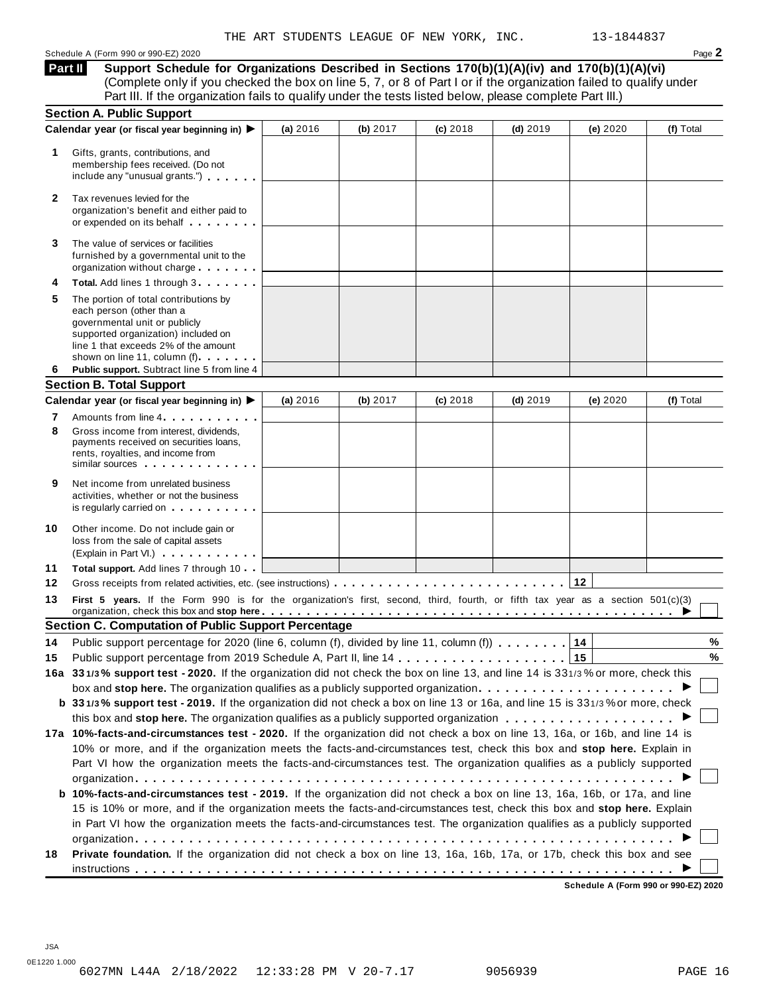Schedule <sup>A</sup> (Form <sup>990</sup> or 990-EZ) <sup>2020</sup> Page **2**

**Support Schedule for Organizations Described in Sections 170(b)(1)(A)(iv) and 170(b)(1)(A)(vi)** (Complete only if you checked the box on line 5, 7, or 8 of Part I or if the organization failed to qualify under Part III. If the organization fails to qualify under the tests listed below, please complete Part III.) **Part II**

|        | <b>Section A. Public Support</b>                                                                                                                                                                                                                       |          |            |            |            |            |           |
|--------|--------------------------------------------------------------------------------------------------------------------------------------------------------------------------------------------------------------------------------------------------------|----------|------------|------------|------------|------------|-----------|
|        | Calendar year (or fiscal year beginning in) ▶                                                                                                                                                                                                          | (a) 2016 | (b) 2017   | $(c)$ 2018 | $(d)$ 2019 | (e) 2020   | (f) Total |
| 1.     | Gifts, grants, contributions, and<br>membership fees received. (Do not<br>include any "unusual grants.")                                                                                                                                               |          |            |            |            |            |           |
| 2      | Tax revenues levied for the<br>organization's benefit and either paid to<br>or expended on its behalf                                                                                                                                                  |          |            |            |            |            |           |
| 3      | The value of services or facilities<br>furnished by a governmental unit to the<br>organization without charge                                                                                                                                          |          |            |            |            |            |           |
| 4      | Total. Add lines 1 through 3                                                                                                                                                                                                                           |          |            |            |            |            |           |
| 5      | The portion of total contributions by<br>each person (other than a<br>governmental unit or publicly<br>supported organization) included on<br>line 1 that exceeds 2% of the amount<br>shown on line 11, column (f)                                     |          |            |            |            |            |           |
| 6      | Public support. Subtract line 5 from line 4                                                                                                                                                                                                            |          |            |            |            |            |           |
|        | <b>Section B. Total Support</b>                                                                                                                                                                                                                        |          |            |            |            |            |           |
|        | Calendar year (or fiscal year beginning in) ▶                                                                                                                                                                                                          | (a) 2016 | (b) $2017$ | $(c)$ 2018 | $(d)$ 2019 | (e) $2020$ | (f) Total |
| 7<br>8 | Amounts from line 4<br>Gross income from interest, dividends,<br>payments received on securities loans,<br>rents, royalties, and income from<br>similar sources experiences                                                                            |          |            |            |            |            |           |
| 9      | Net income from unrelated business<br>activities, whether or not the business<br>is regularly carried on the control of the set of the set of the set of the set of the set of the set of the s                                                        |          |            |            |            |            |           |
| 10     | Other income. Do not include gain or<br>loss from the sale of capital assets<br>(Explain in Part VI.)                                                                                                                                                  |          |            |            |            |            |           |
| 11     | Total support. Add lines 7 through 10                                                                                                                                                                                                                  |          |            |            |            |            |           |
| 12     |                                                                                                                                                                                                                                                        |          |            |            |            |            |           |
| 13     | First 5 years. If the Form 990 is for the organization's first, second, third, fourth, or fifth tax year as a section 501(c)(3)<br>organization, check this box and stop here <u>entistical properties in the context of the state of the state of</u> |          |            |            |            |            |           |
|        | <b>Section C. Computation of Public Support Percentage</b>                                                                                                                                                                                             |          |            |            |            |            |           |
| 14     | Public support percentage for 2020 (line 6, column (f), divided by line 11, column (f) $\ldots \ldots$                                                                                                                                                 |          |            |            |            | 14         | %         |
|        |                                                                                                                                                                                                                                                        |          |            |            |            |            | $\%$      |
|        |                                                                                                                                                                                                                                                        |          |            |            |            |            |           |
|        | 16a 331/3% support test - 2020. If the organization did not check the box on line 13, and line 14 is 331/3% or more, check this                                                                                                                        |          |            |            |            |            |           |
|        | box and stop here. The organization qualifies as a publicly supported organization                                                                                                                                                                     |          |            |            |            |            |           |
|        | b 331/3% support test - 2019. If the organization did not check a box on line 13 or 16a, and line 15 is 331/3% or more, check                                                                                                                          |          |            |            |            |            |           |
|        |                                                                                                                                                                                                                                                        |          |            |            |            |            |           |
|        | 17a 10%-facts-and-circumstances test - 2020. If the organization did not check a box on line 13, 16a, or 16b, and line 14 is                                                                                                                           |          |            |            |            |            |           |
|        | 10% or more, and if the organization meets the facts-and-circumstances test, check this box and stop here. Explain in                                                                                                                                  |          |            |            |            |            |           |
|        | Part VI how the organization meets the facts-and-circumstances test. The organization qualifies as a publicly supported                                                                                                                                |          |            |            |            |            |           |
|        |                                                                                                                                                                                                                                                        |          |            |            |            |            |           |
|        | <b>b 10%-facts-and-circumstances test - 2019.</b> If the organization did not check a box on line 13, 16a, 16b, or 17a, and line                                                                                                                       |          |            |            |            |            |           |
|        | 15 is 10% or more, and if the organization meets the facts-and-circumstances test, check this box and stop here. Explain                                                                                                                               |          |            |            |            |            |           |
| 15     | in Part VI how the organization meets the facts-and-circumstances test. The organization qualifies as a publicly supported                                                                                                                             |          |            |            |            |            |           |
|        |                                                                                                                                                                                                                                                        |          |            |            |            |            |           |
| 18     | Private foundation. If the organization did not check a box on line 13, 16a, 16b, 17a, or 17b, check this box and see                                                                                                                                  |          |            |            |            |            |           |

**Schedule A (Form 990 or 990-EZ) 2020**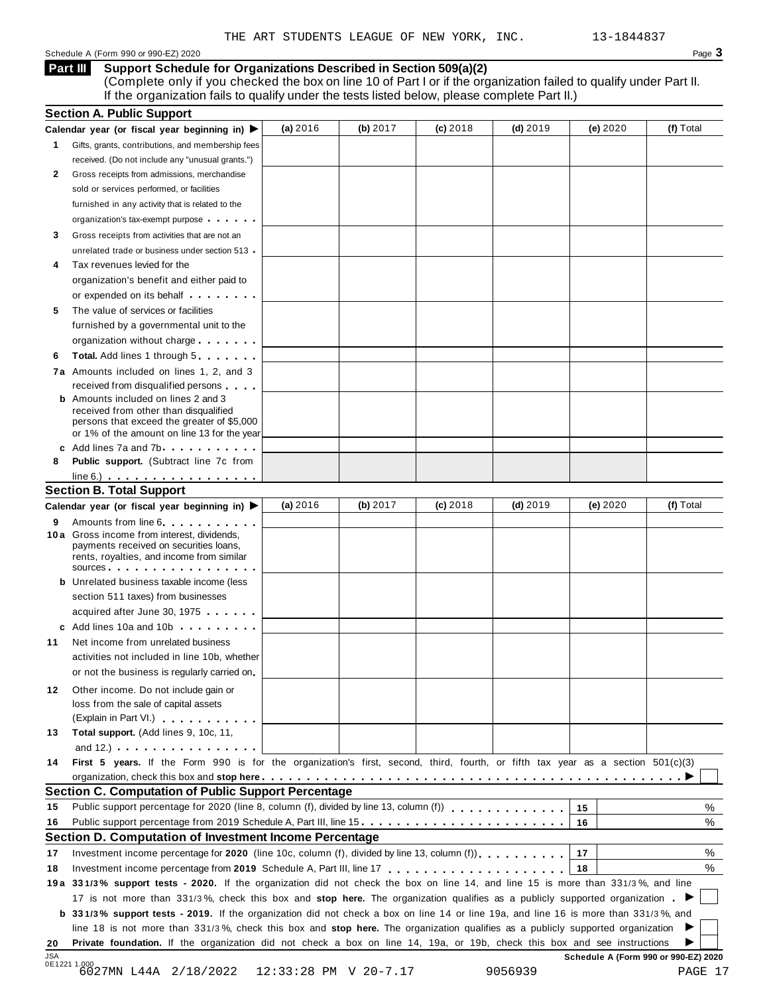Schedule A (Form 990 or 990-EZ) 2020 Page 3

**Support Schedule for Organizations Described in Section 509(a)(2) Part III**

(Complete only if you checked the box on line 10 of Part I or if the organization failed to qualify under Part II. If the organization fails to qualify under the tests listed below, please complete Part II.)

|           | <b>Section A. Public Support</b>                                                                                                                                                                                                                                             |            |            |            |            |                                      |           |
|-----------|------------------------------------------------------------------------------------------------------------------------------------------------------------------------------------------------------------------------------------------------------------------------------|------------|------------|------------|------------|--------------------------------------|-----------|
|           | Calendar year (or fiscal year beginning in)                                                                                                                                                                                                                                  | (a) $2016$ | (b) $2017$ | $(c)$ 2018 | (d) $2019$ | (e) 2020                             | (f) Total |
| 1.        | Gifts, grants, contributions, and membership fees                                                                                                                                                                                                                            |            |            |            |            |                                      |           |
|           | received. (Do not include any "unusual grants.")                                                                                                                                                                                                                             |            |            |            |            |                                      |           |
| 2         | Gross receipts from admissions, merchandise                                                                                                                                                                                                                                  |            |            |            |            |                                      |           |
|           | sold or services performed, or facilities                                                                                                                                                                                                                                    |            |            |            |            |                                      |           |
|           | furnished in any activity that is related to the                                                                                                                                                                                                                             |            |            |            |            |                                      |           |
|           | organization's tax-exempt purpose                                                                                                                                                                                                                                            |            |            |            |            |                                      |           |
| 3         | Gross receipts from activities that are not an                                                                                                                                                                                                                               |            |            |            |            |                                      |           |
|           | unrelated trade or business under section 513 .                                                                                                                                                                                                                              |            |            |            |            |                                      |           |
|           | Tax revenues levied for the                                                                                                                                                                                                                                                  |            |            |            |            |                                      |           |
|           | organization's benefit and either paid to                                                                                                                                                                                                                                    |            |            |            |            |                                      |           |
|           | or expended on its behalf <b>contains the set of the set of the set of the set of the set of the set of the set of the set of the set of the set of the set of the set of the set of the set of the set of the set of the set of</b>                                         |            |            |            |            |                                      |           |
| 5         | The value of services or facilities                                                                                                                                                                                                                                          |            |            |            |            |                                      |           |
|           | furnished by a governmental unit to the                                                                                                                                                                                                                                      |            |            |            |            |                                      |           |
|           | organization without charge                                                                                                                                                                                                                                                  |            |            |            |            |                                      |           |
| 6         | <b>Total.</b> Add lines 1 through 5                                                                                                                                                                                                                                          |            |            |            |            |                                      |           |
|           | 7a Amounts included on lines 1, 2, and 3                                                                                                                                                                                                                                     |            |            |            |            |                                      |           |
|           | received from disqualified persons                                                                                                                                                                                                                                           |            |            |            |            |                                      |           |
|           | <b>b</b> Amounts included on lines 2 and 3                                                                                                                                                                                                                                   |            |            |            |            |                                      |           |
|           | received from other than disqualified                                                                                                                                                                                                                                        |            |            |            |            |                                      |           |
|           | persons that exceed the greater of \$5,000                                                                                                                                                                                                                                   |            |            |            |            |                                      |           |
|           | or 1% of the amount on line 13 for the year<br>c Add lines 7a and 7b contact the contact of the contact of the contact of the contact of the contact of the contact of the contact of the contact of the contact of the contact of the contact of the contact of the contact |            |            |            |            |                                      |           |
| 8         | Public support. (Subtract line 7c from                                                                                                                                                                                                                                       |            |            |            |            |                                      |           |
|           | $line 6.)$                                                                                                                                                                                                                                                                   |            |            |            |            |                                      |           |
|           | <b>Section B. Total Support</b>                                                                                                                                                                                                                                              |            |            |            |            |                                      |           |
|           | Calendar year (or fiscal year beginning in)                                                                                                                                                                                                                                  | (a) 2016   | (b) 2017   | $(c)$ 2018 | (d) $2019$ | (e) $2020$                           | (f) Total |
| 9         | Amounts from line 6                                                                                                                                                                                                                                                          |            |            |            |            |                                      |           |
|           | 10 a Gross income from interest, dividends,<br>payments received on securities loans,<br>rents, royalties, and income from similar<br>SOUICES                                                                                                                                |            |            |            |            |                                      |           |
|           | <b>b</b> Unrelated business taxable income (less                                                                                                                                                                                                                             |            |            |            |            |                                      |           |
|           | section 511 taxes) from businesses                                                                                                                                                                                                                                           |            |            |            |            |                                      |           |
|           | acquired after June 30, 1975                                                                                                                                                                                                                                                 |            |            |            |            |                                      |           |
|           | c Add lines 10a and 10b                                                                                                                                                                                                                                                      |            |            |            |            |                                      |           |
|           | Net income from unrelated business                                                                                                                                                                                                                                           |            |            |            |            |                                      |           |
| 11        |                                                                                                                                                                                                                                                                              |            |            |            |            |                                      |           |
|           | activities not included in line 10b, whether                                                                                                                                                                                                                                 |            |            |            |            |                                      |           |
|           | or not the business is regularly carried on.                                                                                                                                                                                                                                 |            |            |            |            |                                      |           |
| 12        | Other income. Do not include gain or                                                                                                                                                                                                                                         |            |            |            |            |                                      |           |
|           | loss from the sale of capital assets                                                                                                                                                                                                                                         |            |            |            |            |                                      |           |
|           | (Explain in Part VI.)                                                                                                                                                                                                                                                        |            |            |            |            |                                      |           |
| 13        | Total support. (Add lines 9, 10c, 11,                                                                                                                                                                                                                                        |            |            |            |            |                                      |           |
|           | and 12.) $\cdots$ $\cdots$ $\cdots$ $\cdots$                                                                                                                                                                                                                                 |            |            |            |            |                                      |           |
| 14        | First 5 years. If the Form 990 is for the organization's first, second, third, fourth, or fifth tax year as a section 501(c)(3)                                                                                                                                              |            |            |            |            |                                      |           |
|           |                                                                                                                                                                                                                                                                              |            |            |            |            |                                      |           |
|           | <b>Section C. Computation of Public Support Percentage</b>                                                                                                                                                                                                                   |            |            |            |            |                                      |           |
| 15        |                                                                                                                                                                                                                                                                              |            |            |            |            | 15                                   | %         |
| 16        | Public support percentage from 2019 Schedule A, Part III, line 15.                                                                                                                                                                                                           |            |            |            |            | 16                                   | %         |
|           | Section D. Computation of Investment Income Percentage                                                                                                                                                                                                                       |            |            |            |            |                                      |           |
| 17        | Investment income percentage for 2020 (line 10c, column (f), divided by line 13, column (f)), $\ldots$ , , , , , , , ,                                                                                                                                                       |            |            |            |            | 17                                   | %         |
| 18        |                                                                                                                                                                                                                                                                              |            |            |            |            | 18                                   | %         |
|           | 19a 331/3% support tests - 2020. If the organization did not check the box on line 14, and line 15 is more than 331/3%, and line                                                                                                                                             |            |            |            |            |                                      |           |
|           | 17 is not more than 331/3%, check this box and stop here. The organization qualifies as a publicly supported organization.                                                                                                                                                   |            |            |            |            |                                      |           |
|           | <b>b</b> 331/3% support tests - 2019. If the organization did not check a box on line 14 or line 19a, and line 16 is more than 331/3%, and                                                                                                                                   |            |            |            |            |                                      |           |
|           | line 18 is not more than 331/3%, check this box and stop here. The organization qualifies as a publicly supported organization                                                                                                                                               |            |            |            |            |                                      |           |
|           |                                                                                                                                                                                                                                                                              |            |            |            |            |                                      |           |
| 20<br>JSA | Private foundation. If the organization did not check a box on line 14, 19a, or 19b, check this box and see instructions                                                                                                                                                     |            |            |            |            | Schedule A (Form 990 or 990-EZ) 2020 |           |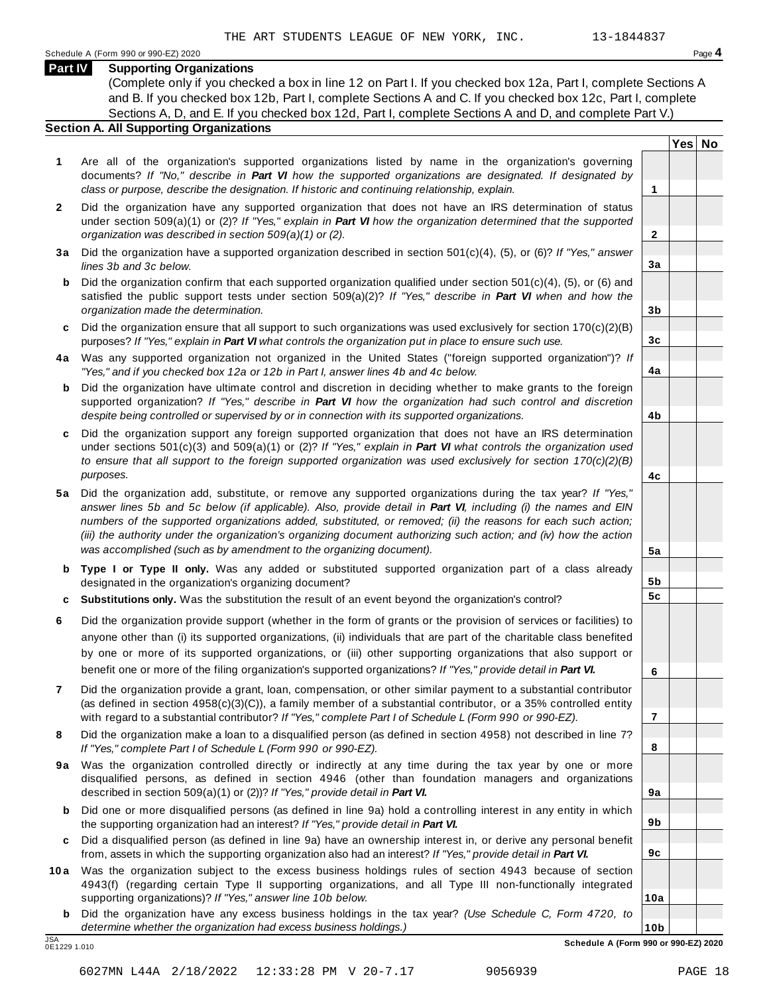**Yes No**

**2**

**3a**

**3b**

**3c**

**4a**

**4b**

**4c**

**5a**

**5b 5c**

**6**

**7**

**8**

**9a**

**9b**

**9c**

**10a**

### **Part IV Supporting Organizations**

(Complete only if you checked a box in line 12 on Part I. If you checked box 12a, Part I, complete Sections A and B. If you checked box 12b, Part I, complete Sections A and C. If you checked box 12c, Part I, complete Sections A, D, and E. If you checked box 12d, Part I, complete Sections A and D, and complete Part V.)

### **Section A. All Supporting Organizations**

- **1** Are all of the organization's supported organizations listed by name in the organization's governing documents? *If "No," describe in Part VI how the supported organizations are designated. If designated by class or purpose, describe the designation. If historic and continuing relationship, explain.* **1**
- **2** Did the organization have any supported organization that does not have an IRS determination of status under section 509(a)(1) or (2)? *If"Yes," explain in Part VI how the organization determined that the supported organization was described in section 509(a)(1) or (2).*
- **3 a** Did the organization have a supported organization described in section 501(c)(4), (5), or (6)? *If "Yes," answer lines 3b and 3c below.*
- **b** Did the organization confirm that each supported organization qualified under section 501(c)(4), (5), or (6) and | satisfied the public support tests under section 509(a)(2)? *If "Yes," describe in Part VI when and how the organization made the determination.*
- **c** Did the organization ensure that all support to such organizations was used exclusively for section 170(c)(2)(B) purposes? *If"Yes," explain in Part VI what controls the organization put in place to ensure such use.*
- **4 a** Was any supported organization not organized in the United States ("foreign supported organization")? *If "Yes," and if you checked box 12a or 12b in Part I, answer lines 4b and 4c below.*
- **b** Did the organization have ultimate control and discretion in deciding whether to make grants to the foreign | supported organization? *If "Yes," describe in Part VI how the organization had such control and discretion despite being controlled or supervised by or in connection with its supported organizations.*
- **c** Did the organization support any foreign supported organization that does not have an IRS determination | under sections 501(c)(3) and 509(a)(1) or (2)? *If "Yes," explain in Part VI what controls the organization used to ensure that all support to the foreign supported organization was used exclusively for section 170(c)(2)(B) purposes.*
- **5 a** Did the organization add, substitute, or remove any supported organizations during the tax year? *If "Yes,"* answer lines 5b and 5c below (if applicable). Also, provide detail in Part VI, including (i) the names and EIN *numbers of the supported organizations added, substituted, or removed; (ii) the reasons for each such action;* (iii) the authority under the organization's organizing document authorizing such action; and (iv) how the action *was accomplished (such as by amendment to the organizing document).*
- **b Type I or Type II only.** Was any added or substituted supported organization part of a class already designated in the organization's organizing document?
- **c Substitutions only.** Was the substitution the result of an event beyond the organization's control?
- **6** Did the organization provide support (whether in the form of grants or the provision of services or facilities) to anyone other than (i) its supported organizations, (ii) individuals that are part of the charitable class benefited by one or more of its supported organizations, or (iii) other supporting organizations that also support or benefit one or more of the filing organization's supported organizations? *If"Yes," provide detail in Part VI.*
- **7** Did the organization provide a grant, loan, compensation, or other similar payment to a substantial contributor (as defined in section 4958(c)(3)(C)), a family member of a substantial contributor, or a 35% controlled entity with regard to a substantial contributor? *If"Yes," complete Part I of Schedule L (Form 990 or 990-EZ).*
- **8** Did the organization make a loan to a disqualified person (as defined in section 4958) not described in line 7? *If "Yes," complete Part I of Schedule L (Form 990 or 990-EZ).*
- **9a** Was the organization controlled directly or indirectly at any time during the tax year by one or more | disqualified persons, as defined in section 4946 (other than foundation managers and organizations described in section 509(a)(1) or (2))? *If"Yes," provide detail in Part VI.*
- **b** Did one or more disqualified persons (as defined in line 9a) hold a controlling interest in any entity in which | the supporting organization had an interest? *If"Yes," provide detail in Part VI.*
- **c** Did a disqualified person (as defined in line 9a) have an ownership interest in, or derive any personal benefit from, assets in which the supporting organization also had an interest? *If"Yes," provide detail in Part VI.*
- **10a** Was the organization subject to the excess business holdings rules of section 4943 because of section | 4943(f) (regarding certain Type II supporting organizations, and all Type III non-functionally integrated supporting organizations)? *If"Yes," answer line 10b below.*
	- **b** Did the organization have any excess business holdings in the tax year? *(Use Schedule C, Form 4720, to determine whether the organization had excess business holdings.)*

0E1229 1.010

**10b** JSA **Schedule A (Form 990 or 990-EZ) 2020**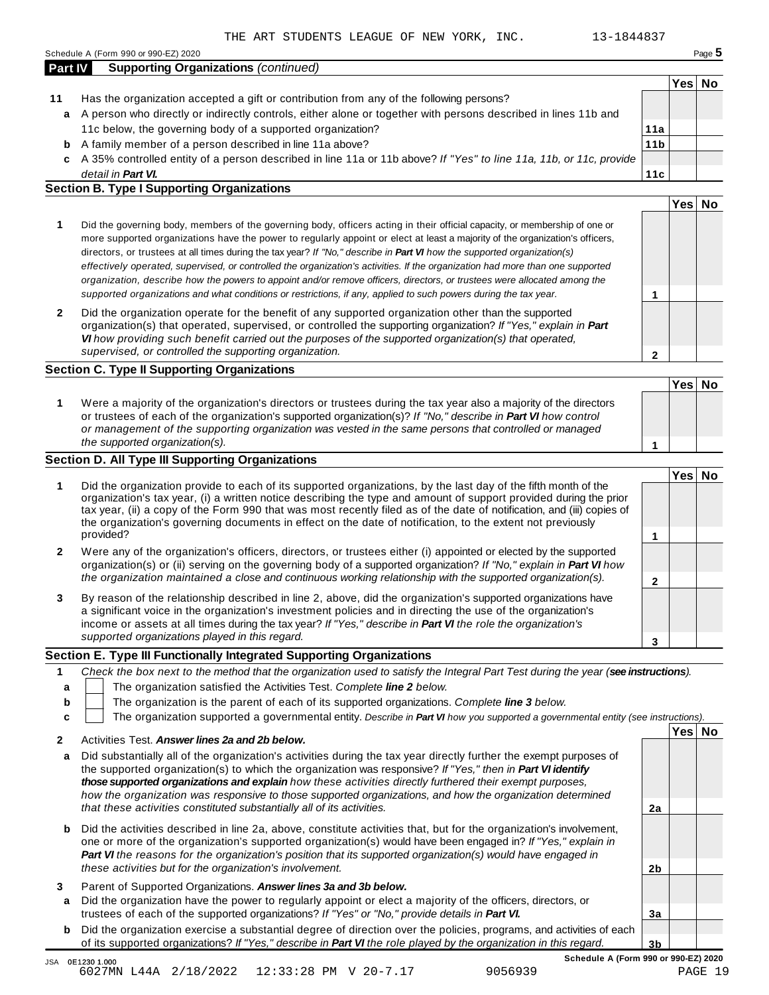**11b**

**11c**

**2**

| Schedule A (Form 990 or 990-EZ) 2020                                                                             |     |      | Page 5 |
|------------------------------------------------------------------------------------------------------------------|-----|------|--------|
| <b>Supporting Organizations (continued)</b><br><b>Part IV</b>                                                    |     |      |        |
|                                                                                                                  |     | Yesl | No     |
| Has the organization accepted a gift or contribution from any of the following persons?<br>11                    |     |      |        |
| a A person who directly or indirectly controls, either alone or together with persons described in lines 11b and |     |      |        |
| 11c below, the governing body of a supported organization?                                                       | 11a |      |        |

- A family member of a person described in line 11a above? **b**
- A 35% controlled entity of a person described in line 11a or 11b above? *If"Yes" to line 11a, 11b, or 11c, provide* **c** *detail in Part VI.*

### **Section B. Type I Supporting Organizations**

|              |                                                                                                                                                                                                                                                                                                                                                                                                                                                                                                                                                                                                                                                             | Yes∣ |  |
|--------------|-------------------------------------------------------------------------------------------------------------------------------------------------------------------------------------------------------------------------------------------------------------------------------------------------------------------------------------------------------------------------------------------------------------------------------------------------------------------------------------------------------------------------------------------------------------------------------------------------------------------------------------------------------------|------|--|
|              | Did the governing body, members of the governing body, officers acting in their official capacity, or membership of one or<br>more supported organizations have the power to regularly appoint or elect at least a majority of the organization's officers,<br>directors, or trustees at all times during the tax year? If "No," describe in <b>Part VI</b> how the supported organization(s)<br>effectively operated, supervised, or controlled the organization's activities. If the organization had more than one supported<br>organization, describe how the powers to appoint and/or remove officers, directors, or trustees were allocated among the |      |  |
|              | supported organizations and what conditions or restrictions, if any, applied to such powers during the tax year.                                                                                                                                                                                                                                                                                                                                                                                                                                                                                                                                            |      |  |
| $\mathbf{2}$ | Did the organization operate for the benefit of any supported organization other than the supported<br>organization(s) that operated, supervised, or controlled the supporting organization? If "Yes," explain in Part<br><b>VI</b> how providing such benefit carried out the purposes of the supported organization(s) that operated,                                                                                                                                                                                                                                                                                                                     |      |  |

### **Section C. Type II Supporting Organizations**

*supervised, or controlled the supporting organization.*

**Yes No 1** Were a majority of the organization's directors or trustees during the tax year also a majority of the directors or trustees of each of the organization's supported organization(s)? *If"No," describe in Part VI how control or management of the supporting organization was vested in the same persons that controlled or managed the supported organization(s).*

### **Section D. All Type III Supporting Organizations**

|                |                                                                                                                                                                                                                                                                                                                                                                                                                                                                             |  | Yes⊺ |  |  |  |
|----------------|-----------------------------------------------------------------------------------------------------------------------------------------------------------------------------------------------------------------------------------------------------------------------------------------------------------------------------------------------------------------------------------------------------------------------------------------------------------------------------|--|------|--|--|--|
|                | Did the organization provide to each of its supported organizations, by the last day of the fifth month of the<br>organization's tax year, (i) a written notice describing the type and amount of support provided during the prior<br>tax year, (ii) a copy of the Form 990 that was most recently filed as of the date of notification, and (iii) copies of<br>the organization's governing documents in effect on the date of notification, to the extent not previously |  |      |  |  |  |
|                | provided?                                                                                                                                                                                                                                                                                                                                                                                                                                                                   |  |      |  |  |  |
| $\overline{2}$ | Were any of the organization's officers, directors, or trustees either (i) appointed or elected by the supported<br>organization(s) or (ii) serving on the governing body of a supported organization? If "No," explain in <b>Part VI</b> how                                                                                                                                                                                                                               |  |      |  |  |  |
|                | the organization maintained a close and continuous working relationship with the supported organization(s).                                                                                                                                                                                                                                                                                                                                                                 |  |      |  |  |  |
| 3              | By reason of the relationship described in line 2, above, did the organization's supported organizations have<br>a significant voice in the organization's investment policies and in directing the use of the organization's<br>income or assets at all times during the tax year? If "Yes," describe in Part VI the role the organization's                                                                                                                               |  |      |  |  |  |
|                | supported organizations played in this regard.                                                                                                                                                                                                                                                                                                                                                                                                                              |  |      |  |  |  |

### **Section E. Type III Functionally Integrated Supporting Organizations**

|   | Check the box next to the method that the organization used to satisfy the Integral Part Test during the year (see instructions). |  |  |  |
|---|-----------------------------------------------------------------------------------------------------------------------------------|--|--|--|
|   | The organization satisfied the Activities Test. Complete line 2 below.                                                            |  |  |  |
| b | The organization is the parent of each of its supported organizations. Complete line 3 below.                                     |  |  |  |
|   | The organization supported a governmental entity. Describe in Part VI how you supported a governmental entity (see instructions). |  |  |  |
|   |                                                                                                                                   |  |  |  |
|   | Activities Test. Answer lines 2a and 2b below.                                                                                    |  |  |  |

|   | AUUULUG TG3L <b>AUSWGI IIIIG3 40 011U 40 DGIUW.</b>                                                                                                                                                                                                                                                                                                                                                                                                              |    |  |
|---|------------------------------------------------------------------------------------------------------------------------------------------------------------------------------------------------------------------------------------------------------------------------------------------------------------------------------------------------------------------------------------------------------------------------------------------------------------------|----|--|
| a | Did substantially all of the organization's activities during the tax year directly further the exempt purposes of<br>the supported organization(s) to which the organization was responsive? If "Yes," then in <b>Part VI identify</b><br>those supported organizations and explain how these activities directly furthered their exempt purposes.<br>how the organization was responsive to those supported organizations, and how the organization determined |    |  |
|   | that these activities constituted substantially all of its activities.                                                                                                                                                                                                                                                                                                                                                                                           | 2a |  |
| b | Did the activities described in line 2a, above, constitute activities that, but for the organization's involvement,<br>one or more of the organization's supported organization(s) would have been engaged in? If "Yes," explain in<br>Part VI the reasons for the organization's position that its supported organization(s) would have engaged in<br>these activities but for the organization's involvement.                                                  | 2b |  |
| 3 | Parent of Supported Organizations. Answer lines 3a and 3b below.                                                                                                                                                                                                                                                                                                                                                                                                 |    |  |
| a | Did the organization have the power to regularly appoint or elect a majority of the officers, directors, or                                                                                                                                                                                                                                                                                                                                                      |    |  |
|   | trustees of each of the supported organizations? If "Yes" or "No," provide details in Part VI.                                                                                                                                                                                                                                                                                                                                                                   | 3a |  |
| b | Did the organization exercise a substantial degree of direction over the policies, programs, and activities of each                                                                                                                                                                                                                                                                                                                                              |    |  |
|   | of its supported organizations? If "Yes," describe in Part VI the role played by the organization in this regard.                                                                                                                                                                                                                                                                                                                                                | 3b |  |

**1**

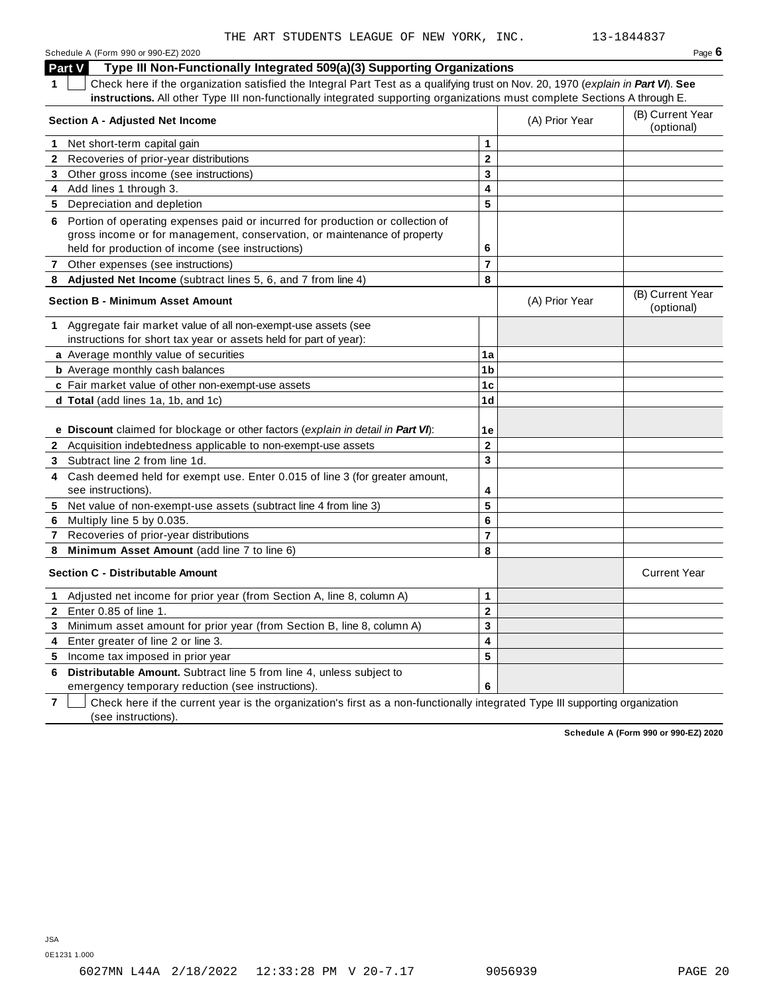Schedule <sup>A</sup> (Form <sup>990</sup> or 990-EZ) <sup>2020</sup> Page **6 Part V Type III Non-Functionally Integrated 509(a)(3) Supporting Organizations 1** Check here if the organization satisfied the Integral Part Test as a qualifying trust on Nov. 20, 1970 (*explain in Part VI*). **See instructions.** All other Type III non-functionally integrated supporting organizations must complete Sections A through E. (B) Current Year **Section <sup>A</sup> - Adjusted Net Income** (A) Prior Year (optional) **1** Net short-term capital gain **1 1 2 3 4 5 2** Recoveries of prior-year distributions **3** Other gross income (see instructions) **4** Add lines 1 through 3. **5** Depreciation and depletion **6** Portion of operating expenses paid or incurred for production or collection of gross income or for management, conservation, or maintenance of property held for production of income (see instructions) **6 7** Other expenses (see instructions) **7 8 Adjusted Net Income** (subtract lines 5, 6, and 7 from line 4) **8** (B) Current Year **Section <sup>B</sup> - Minimum Asset Amount** (A) Prior Year (optional) **1** Aggregate fair market value of all non-exempt-use assets (see instructions for short tax year or assets held for part of year): **a** Average monthly value of securities **1a 1a 1b 1c 1d 1e b** Average monthly cash balances **c** Fair market value of other non-exempt-use assets **d Total** (add lines 1a, 1b, and 1c) **e Discount** claimed for blockage or other factors (*explain in detail in Part VI*): **2** Acquisition indebtedness applicable to non-exempt-use assets **2 3 4 5 6 7 8 3** Subtract line 2 from line 1d. **4** Cash deemed held for exempt use. Enter 0.015 of line 3 (for greater amount, see instructions). **5** Net value of non-exempt-use assets (subtract line 4 from line 3) **6** Multiply line 5 by 0.035. **7** Recoveries of prior-year distributions **8 Minimum Asset Amount** (add line 7 to line 6) **Section C -** Distributable Amount **Current Year** Current Year **Current Year** Current Year **Current Year 1** Adjusted net income for prior year (from Section A, line 8, column A) **1 2 3 4 5 2** Enter 0.85 of line 1. **3** Minimum asset amount for prior year (from Section B, line 8, column A) **4** Enter greater of line 2 or line 3. **5** Income tax imposed in prior year **6 Distributable Amount.** Subtract line 5 from line 4, unless subject to

emergency temporary reduction (see instructions).

**7** Check here if the current year is the organization's first as a non-functionally integrated Type III supporting organization (see instructions).

**Schedule A (Form 990 or 990-EZ) 2020**

0E1231 1.000

**6**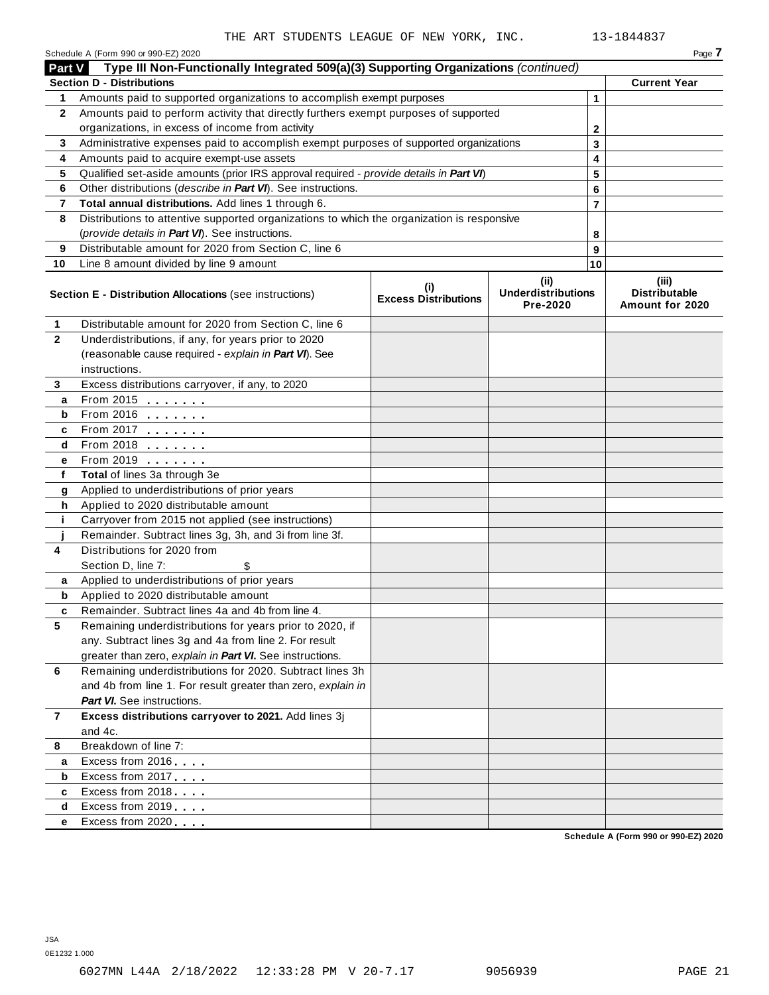|               | Schedule A (Form 990 or 990-EZ) 2020                                                                    |                                    |                                                       |                | Page 7                                           |
|---------------|---------------------------------------------------------------------------------------------------------|------------------------------------|-------------------------------------------------------|----------------|--------------------------------------------------|
| <b>Part V</b> | Type III Non-Functionally Integrated 509(a)(3) Supporting Organizations (continued)                     |                                    |                                                       |                |                                                  |
|               | <b>Section D - Distributions</b>                                                                        |                                    |                                                       |                | <b>Current Year</b>                              |
| 1             | Amounts paid to supported organizations to accomplish exempt purposes                                   |                                    |                                                       | 1              |                                                  |
| $\mathbf{2}$  | Amounts paid to perform activity that directly furthers exempt purposes of supported                    |                                    |                                                       |                |                                                  |
|               | organizations, in excess of income from activity                                                        |                                    |                                                       | 2              |                                                  |
| 3             | Administrative expenses paid to accomplish exempt purposes of supported organizations                   |                                    |                                                       | 3              |                                                  |
| 4             | Amounts paid to acquire exempt-use assets                                                               |                                    |                                                       | 4              |                                                  |
| 5             | Qualified set-aside amounts (prior IRS approval required - provide details in Part VI)                  |                                    |                                                       | 5              |                                                  |
| 6             | Other distributions (describe in Part VI). See instructions.                                            |                                    |                                                       | 6              |                                                  |
| 7             | Total annual distributions. Add lines 1 through 6.                                                      |                                    |                                                       | $\overline{7}$ |                                                  |
| 8             | Distributions to attentive supported organizations to which the organization is responsive              |                                    |                                                       |                |                                                  |
|               | (provide details in Part VI). See instructions.<br>Distributable amount for 2020 from Section C, line 6 |                                    |                                                       | 8              |                                                  |
| 9             |                                                                                                         |                                    |                                                       | 9              |                                                  |
| 10            | Line 8 amount divided by line 9 amount                                                                  |                                    |                                                       | 10             |                                                  |
|               | Section E - Distribution Allocations (see instructions)                                                 | (i)<br><b>Excess Distributions</b> | (iii)<br><b>Underdistributions</b><br><b>Pre-2020</b> |                | (iii)<br><b>Distributable</b><br>Amount for 2020 |
| 1             | Distributable amount for 2020 from Section C, line 6                                                    |                                    |                                                       |                |                                                  |
| $\mathbf{2}$  | Underdistributions, if any, for years prior to 2020                                                     |                                    |                                                       |                |                                                  |
|               | (reasonable cause required - explain in Part VI). See                                                   |                                    |                                                       |                |                                                  |
|               | instructions.                                                                                           |                                    |                                                       |                |                                                  |
| 3             | Excess distributions carryover, if any, to 2020                                                         |                                    |                                                       |                |                                                  |
| a             | From 2015 $\frac{1}{2}$                                                                                 |                                    |                                                       |                |                                                  |
| b             | From 2016 $\frac{1}{2}$                                                                                 |                                    |                                                       |                |                                                  |
| c             | From 2017 $\frac{1}{2}$                                                                                 |                                    |                                                       |                |                                                  |
| d             | From 2018                                                                                               |                                    |                                                       |                |                                                  |
| е             | From 2019 <b></b>                                                                                       |                                    |                                                       |                |                                                  |
| f             | Total of lines 3a through 3e                                                                            |                                    |                                                       |                |                                                  |
| g             | Applied to underdistributions of prior years                                                            |                                    |                                                       |                |                                                  |
| h             | Applied to 2020 distributable amount                                                                    |                                    |                                                       |                |                                                  |
| j.            | Carryover from 2015 not applied (see instructions)                                                      |                                    |                                                       |                |                                                  |
|               | Remainder. Subtract lines 3g, 3h, and 3i from line 3f.                                                  |                                    |                                                       |                |                                                  |
| 4             | Distributions for 2020 from                                                                             |                                    |                                                       |                |                                                  |
|               | Section D, line 7:<br>\$                                                                                |                                    |                                                       |                |                                                  |
| a             | Applied to underdistributions of prior years                                                            |                                    |                                                       |                |                                                  |
| b             | Applied to 2020 distributable amount                                                                    |                                    |                                                       |                |                                                  |
| c             | Remainder. Subtract lines 4a and 4b from line 4.                                                        |                                    |                                                       |                |                                                  |
| 5             | Remaining underdistributions for years prior to 2020, if                                                |                                    |                                                       |                |                                                  |
|               | any. Subtract lines 3g and 4a from line 2. For result                                                   |                                    |                                                       |                |                                                  |
|               | greater than zero, explain in Part VI. See instructions.                                                |                                    |                                                       |                |                                                  |
| 6             | Remaining underdistributions for 2020. Subtract lines 3h                                                |                                    |                                                       |                |                                                  |
|               | and 4b from line 1. For result greater than zero, explain in                                            |                                    |                                                       |                |                                                  |
|               | <b>Part VI.</b> See instructions.                                                                       |                                    |                                                       |                |                                                  |
| 7             | Excess distributions carryover to 2021. Add lines 3j                                                    |                                    |                                                       |                |                                                  |
|               | and 4c.<br>Breakdown of line 7:                                                                         |                                    |                                                       |                |                                                  |
| 8             |                                                                                                         |                                    |                                                       |                |                                                  |
| a             | Excess from 2016                                                                                        |                                    |                                                       |                |                                                  |
| b             | Excess from 2017                                                                                        |                                    |                                                       |                |                                                  |
| c             | Excess from 2018                                                                                        |                                    |                                                       |                |                                                  |
| d             | Excess from 2019                                                                                        |                                    |                                                       |                |                                                  |
| е             | Excess from 2020                                                                                        |                                    |                                                       |                | Schodule A (Form 000 or 000 F7) 2020             |

**Schedule A (Form 990 or 990-EZ) 2020**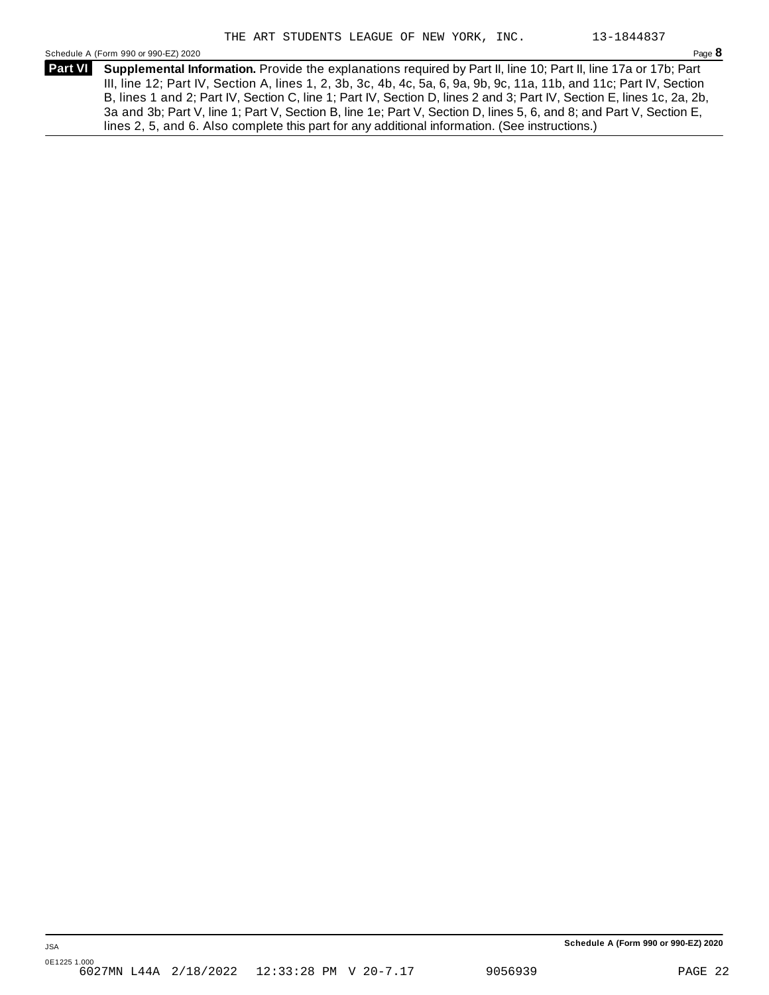Schedule <sup>A</sup> (Form <sup>990</sup> or 990-EZ) <sup>2020</sup> Page **8**

| Part VI | Supplemental Information. Provide the explanations required by Part II, line 10; Part II, line 17a or 17b; Part        |
|---------|------------------------------------------------------------------------------------------------------------------------|
|         | III, line 12; Part IV, Section A, lines 1, 2, 3b, 3c, 4b, 4c, 5a, 6, 9a, 9b, 9c, 11a, 11b, and 11c; Part IV, Section   |
|         | B, lines 1 and 2; Part IV, Section C, line 1; Part IV, Section D, lines 2 and 3; Part IV, Section E, lines 1c, 2a, 2b, |
|         | 3a and 3b; Part V, line 1; Part V, Section B, line 1e; Part V, Section D, lines 5, 6, and 8; and Part V, Section E,    |
|         | lines 2, 5, and 6. Also complete this part for any additional information. (See instructions.)                         |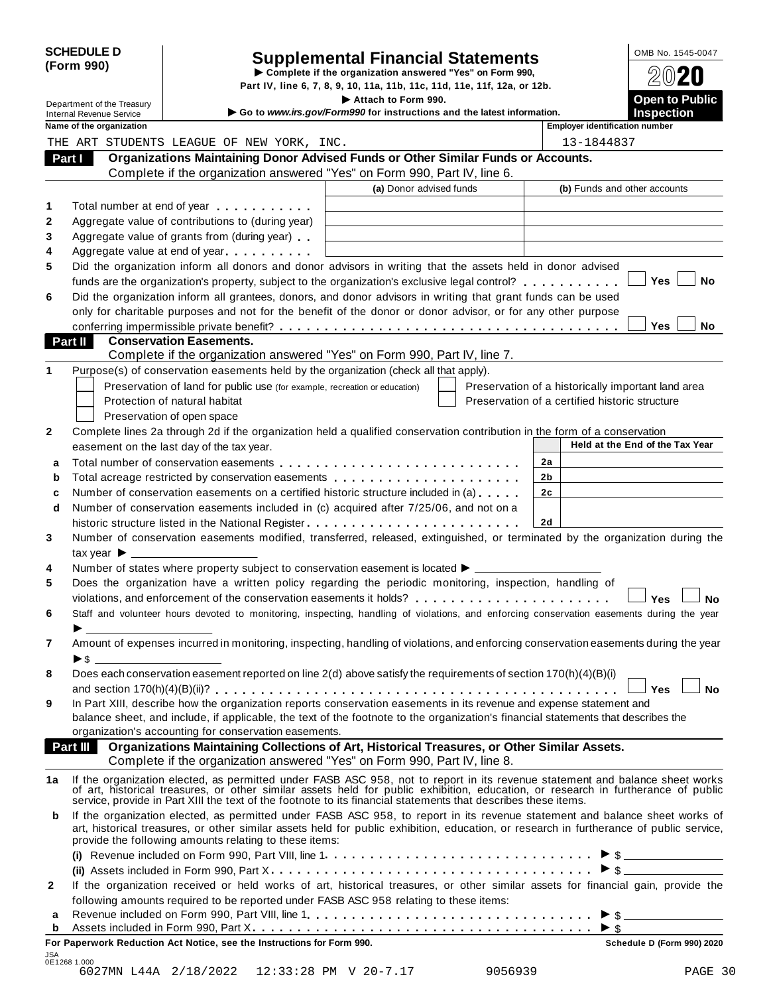|            | <b>SCHEDULE D</b> |  |
|------------|-------------------|--|
| (Form 990) |                   |  |

I

# Supplemental Financial Statements<br>
Complete if the organization answered "Yes" on Form 990,<br>
Part IV, line 6, 7, 8, 9, 10, 11a, 11b, 11c, 11d, 11e, 11f, 12a, or 12b.<br>
Attach to Form 990.<br>
2020<br>
Open to Public

Department of the Treasury **I Contained Britach to Form 990. Attach to Form 990. Contained by the International Section** 

|                |                 | Department of the Treasury                               |                                                                                                                                                                                                                                                                                                                                                                                     | Attach to Form 990.                                                    |                                                    | <b>Open to Public</b>           |
|----------------|-----------------|----------------------------------------------------------|-------------------------------------------------------------------------------------------------------------------------------------------------------------------------------------------------------------------------------------------------------------------------------------------------------------------------------------------------------------------------------------|------------------------------------------------------------------------|----------------------------------------------------|---------------------------------|
|                |                 | <b>Internal Revenue Service</b>                          |                                                                                                                                                                                                                                                                                                                                                                                     | Go to www.irs.gov/Form990 for instructions and the latest information. |                                                    | <b>Inspection</b>               |
|                |                 | Name of the organization                                 |                                                                                                                                                                                                                                                                                                                                                                                     |                                                                        | <b>Employer identification number</b>              |                                 |
|                |                 |                                                          | THE ART STUDENTS LEAGUE OF NEW YORK, INC.                                                                                                                                                                                                                                                                                                                                           |                                                                        | 13-1844837                                         |                                 |
| Part I         |                 |                                                          | Organizations Maintaining Donor Advised Funds or Other Similar Funds or Accounts.                                                                                                                                                                                                                                                                                                   |                                                                        |                                                    |                                 |
|                |                 |                                                          | Complete if the organization answered "Yes" on Form 990, Part IV, line 6.                                                                                                                                                                                                                                                                                                           |                                                                        |                                                    |                                 |
|                |                 |                                                          |                                                                                                                                                                                                                                                                                                                                                                                     | (a) Donor advised funds                                                | (b) Funds and other accounts                       |                                 |
| 1              |                 |                                                          | Total number at end of year manufacturers and the Total number                                                                                                                                                                                                                                                                                                                      |                                                                        |                                                    |                                 |
| 2              |                 |                                                          | Aggregate value of contributions to (during year)                                                                                                                                                                                                                                                                                                                                   |                                                                        |                                                    |                                 |
| 3              |                 |                                                          | Aggregate value of grants from (during year)                                                                                                                                                                                                                                                                                                                                        |                                                                        |                                                    |                                 |
| 4              |                 |                                                          | Aggregate value at end of year                                                                                                                                                                                                                                                                                                                                                      |                                                                        |                                                    |                                 |
| 5              |                 |                                                          | Did the organization inform all donors and donor advisors in writing that the assets held in donor advised                                                                                                                                                                                                                                                                          |                                                                        |                                                    |                                 |
|                |                 |                                                          | funds are the organization's property, subject to the organization's exclusive legal control?                                                                                                                                                                                                                                                                                       |                                                                        |                                                    | Yes<br>No                       |
| 6              |                 |                                                          | Did the organization inform all grantees, donors, and donor advisors in writing that grant funds can be used                                                                                                                                                                                                                                                                        |                                                                        |                                                    |                                 |
|                |                 |                                                          | only for charitable purposes and not for the benefit of the donor or donor advisor, or for any other purpose                                                                                                                                                                                                                                                                        |                                                                        |                                                    |                                 |
|                |                 |                                                          |                                                                                                                                                                                                                                                                                                                                                                                     |                                                                        |                                                    | Yes<br>No                       |
| <b>Part II</b> |                 |                                                          | <b>Conservation Easements.</b>                                                                                                                                                                                                                                                                                                                                                      |                                                                        |                                                    |                                 |
|                |                 |                                                          | Complete if the organization answered "Yes" on Form 990, Part IV, line 7.                                                                                                                                                                                                                                                                                                           |                                                                        |                                                    |                                 |
| 1              |                 |                                                          | Purpose(s) of conservation easements held by the organization (check all that apply).                                                                                                                                                                                                                                                                                               |                                                                        |                                                    |                                 |
|                |                 |                                                          | Preservation of land for public use (for example, recreation or education)                                                                                                                                                                                                                                                                                                          |                                                                        | Preservation of a historically important land area |                                 |
|                |                 |                                                          | Protection of natural habitat                                                                                                                                                                                                                                                                                                                                                       |                                                                        | Preservation of a certified historic structure     |                                 |
|                |                 |                                                          | Preservation of open space                                                                                                                                                                                                                                                                                                                                                          |                                                                        |                                                    |                                 |
| 2              |                 |                                                          | Complete lines 2a through 2d if the organization held a qualified conservation contribution in the form of a conservation                                                                                                                                                                                                                                                           |                                                                        |                                                    |                                 |
|                |                 |                                                          | easement on the last day of the tax year.                                                                                                                                                                                                                                                                                                                                           |                                                                        |                                                    | Held at the End of the Tax Year |
| a              |                 |                                                          |                                                                                                                                                                                                                                                                                                                                                                                     |                                                                        | 2a                                                 |                                 |
| b              |                 |                                                          | Total acreage restricted by conservation easements                                                                                                                                                                                                                                                                                                                                  |                                                                        | 2b                                                 |                                 |
| c              |                 |                                                          | Number of conservation easements on a certified historic structure included in (a)                                                                                                                                                                                                                                                                                                  |                                                                        | 2c                                                 |                                 |
| d              |                 |                                                          | Number of conservation easements included in (c) acquired after 7/25/06, and not on a                                                                                                                                                                                                                                                                                               |                                                                        |                                                    |                                 |
|                |                 |                                                          |                                                                                                                                                                                                                                                                                                                                                                                     |                                                                        | 2d                                                 |                                 |
| 3              |                 |                                                          | Number of conservation easements modified, transferred, released, extinguished, or terminated by the organization during the                                                                                                                                                                                                                                                        |                                                                        |                                                    |                                 |
|                |                 |                                                          |                                                                                                                                                                                                                                                                                                                                                                                     |                                                                        |                                                    |                                 |
| 4              |                 | tax year $\triangleright$ $\_\_\_\_\_\_\_\_\_\_\_\_\_\_$ |                                                                                                                                                                                                                                                                                                                                                                                     |                                                                        |                                                    |                                 |
| 5              |                 |                                                          | Number of states where property subject to conservation easement is located $\blacktriangleright$ ______                                                                                                                                                                                                                                                                            |                                                                        |                                                    |                                 |
|                |                 |                                                          | Does the organization have a written policy regarding the periodic monitoring, inspection, handling of                                                                                                                                                                                                                                                                              |                                                                        |                                                    |                                 |
|                |                 |                                                          |                                                                                                                                                                                                                                                                                                                                                                                     |                                                                        |                                                    | <b>Yes</b><br>No                |
| 6              |                 |                                                          | Staff and volunteer hours devoted to monitoring, inspecting, handling of violations, and enforcing conservation easements during the year                                                                                                                                                                                                                                           |                                                                        |                                                    |                                 |
|                |                 |                                                          |                                                                                                                                                                                                                                                                                                                                                                                     |                                                                        |                                                    |                                 |
| 7              |                 |                                                          | Amount of expenses incurred in monitoring, inspecting, handling of violations, and enforcing conservation easements during the year                                                                                                                                                                                                                                                 |                                                                        |                                                    |                                 |
|                | ▶\$             |                                                          |                                                                                                                                                                                                                                                                                                                                                                                     |                                                                        |                                                    |                                 |
| 8              |                 |                                                          | Does each conservation easement reported on line 2(d) above satisfy the requirements of section 170(h)(4)(B)(i)                                                                                                                                                                                                                                                                     |                                                                        |                                                    |                                 |
|                |                 |                                                          |                                                                                                                                                                                                                                                                                                                                                                                     |                                                                        |                                                    | <b>No</b><br>Yes                |
| 9              |                 |                                                          | In Part XIII, describe how the organization reports conservation easements in its revenue and expense statement and                                                                                                                                                                                                                                                                 |                                                                        |                                                    |                                 |
|                |                 |                                                          | balance sheet, and include, if applicable, the text of the footnote to the organization's financial statements that describes the                                                                                                                                                                                                                                                   |                                                                        |                                                    |                                 |
|                |                 |                                                          | organization's accounting for conservation easements.<br>Organizations Maintaining Collections of Art, Historical Treasures, or Other Similar Assets.                                                                                                                                                                                                                               |                                                                        |                                                    |                                 |
|                | <b>Part III</b> |                                                          | Complete if the organization answered "Yes" on Form 990, Part IV, line 8.                                                                                                                                                                                                                                                                                                           |                                                                        |                                                    |                                 |
|                |                 |                                                          |                                                                                                                                                                                                                                                                                                                                                                                     |                                                                        |                                                    |                                 |
| 1a             |                 |                                                          | If the organization elected, as permitted under FASB ASC 958, not to report in its revenue statement and balance sheet works<br>of art, historical treasures, or other similar assets held for public exhibition, education, or research in furtherance of public<br>service, provide in Part XIII the text of the footnote to its financial statements that describes these items. |                                                                        |                                                    |                                 |
| b              |                 |                                                          | If the organization elected, as permitted under FASB ASC 958, to report in its revenue statement and balance sheet works of                                                                                                                                                                                                                                                         |                                                                        |                                                    |                                 |
|                |                 |                                                          | art, historical treasures, or other similar assets held for public exhibition, education, or research in furtherance of public service,<br>provide the following amounts relating to these items:                                                                                                                                                                                   |                                                                        |                                                    |                                 |
|                |                 |                                                          | (i) Revenue included on Form 990, Part VIII, line $1, \ldots, \ldots, \ldots, \ldots, \ldots, \ldots, \ldots, \ldots, \ldots$                                                                                                                                                                                                                                                       |                                                                        |                                                    | $\triangleright$ \$             |
|                |                 |                                                          |                                                                                                                                                                                                                                                                                                                                                                                     |                                                                        |                                                    | $\triangleright$ \$             |
| 2              |                 |                                                          | If the organization received or held works of art, historical treasures, or other similar assets for financial gain, provide the                                                                                                                                                                                                                                                    |                                                                        |                                                    |                                 |
|                |                 |                                                          | following amounts required to be reported under FASB ASC 958 relating to these items:                                                                                                                                                                                                                                                                                               |                                                                        |                                                    |                                 |
| а              |                 |                                                          |                                                                                                                                                                                                                                                                                                                                                                                     |                                                                        |                                                    | $\triangleright$ \$             |
| b              |                 |                                                          | Assets included in Form 990, Part $X_1, \ldots, X_n, \ldots, X_n, \ldots, X_n, \ldots, X_n, \ldots, \ldots, \ldots, \ldots, \blacktriangleright \$$                                                                                                                                                                                                                                 |                                                                        |                                                    |                                 |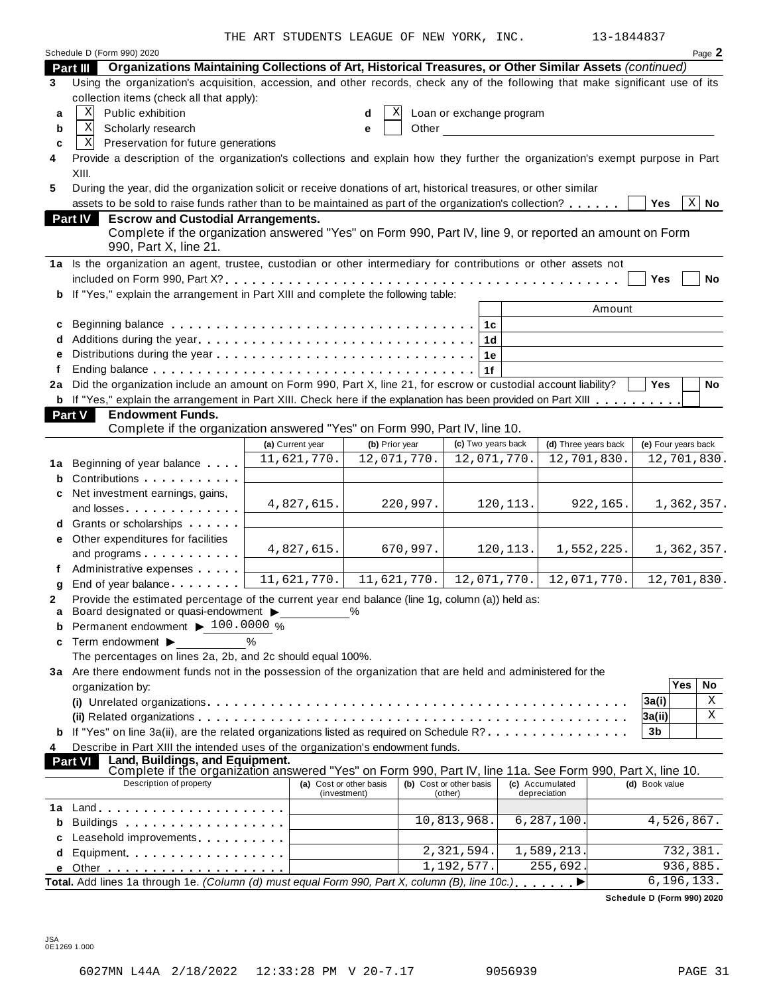THE ART STUDENTS LEAGUE OF NEW YORK, INC. 13-1844837

|        |                                                                                                                                                                                                                                | THE ART STUDENTS LEAGUE OF NEW YORK, INC. |                 |                          |           | $13 - 184483/$       |                     |              |             |  |
|--------|--------------------------------------------------------------------------------------------------------------------------------------------------------------------------------------------------------------------------------|-------------------------------------------|-----------------|--------------------------|-----------|----------------------|---------------------|--------------|-------------|--|
|        | Schedule D (Form 990) 2020                                                                                                                                                                                                     |                                           |                 |                          |           |                      |                     |              | Page 2      |  |
|        | Organizations Maintaining Collections of Art, Historical Treasures, or Other Similar Assets (continued)<br>Part III                                                                                                            |                                           |                 |                          |           |                      |                     |              |             |  |
| 3      | Using the organization's acquisition, accession, and other records, check any of the following that make significant use of its                                                                                                |                                           |                 |                          |           |                      |                     |              |             |  |
|        | collection items (check all that apply):<br>Χ<br>Public exhibition                                                                                                                                                             |                                           |                 |                          |           |                      |                     |              |             |  |
| a      | Χ                                                                                                                                                                                                                              |                                           | Χ<br>d<br>Other | Loan or exchange program |           |                      |                     |              |             |  |
| b      | Scholarly research<br>Preservation for future generations<br>X                                                                                                                                                                 |                                           | е               |                          |           |                      |                     |              |             |  |
| c<br>4 | Provide a description of the organization's collections and explain how they further the organization's exempt purpose in Part                                                                                                 |                                           |                 |                          |           |                      |                     |              |             |  |
|        | XIII.                                                                                                                                                                                                                          |                                           |                 |                          |           |                      |                     |              |             |  |
| 5      | During the year, did the organization solicit or receive donations of art, historical treasures, or other similar                                                                                                              |                                           |                 |                          |           |                      |                     |              |             |  |
|        | assets to be sold to raise funds rather than to be maintained as part of the organization's collection?                                                                                                                        |                                           |                 |                          |           |                      | <b>Yes</b>          | $\mathbf{x}$ | No          |  |
|        |                                                                                                                                                                                                                                |                                           |                 |                          |           |                      |                     |              |             |  |
|        | <b>Part IV</b><br><b>Escrow and Custodial Arrangements.</b><br>Complete if the organization answered "Yes" on Form 990, Part IV, line 9, or reported an amount on Form<br>990, Part X, line 21.                                |                                           |                 |                          |           |                      |                     |              |             |  |
|        | 1a Is the organization an agent, trustee, custodian or other intermediary for contributions or other assets not                                                                                                                |                                           |                 |                          |           |                      |                     |              |             |  |
|        |                                                                                                                                                                                                                                |                                           |                 |                          |           |                      | <b>Yes</b>          |              | <b>No</b>   |  |
| b      | If "Yes," explain the arrangement in Part XIII and complete the following table:                                                                                                                                               |                                           |                 |                          |           |                      |                     |              |             |  |
|        |                                                                                                                                                                                                                                |                                           |                 |                          |           | Amount               |                     |              |             |  |
| c      |                                                                                                                                                                                                                                |                                           |                 | 1c                       |           |                      |                     |              |             |  |
| d      |                                                                                                                                                                                                                                |                                           |                 | 1d                       |           |                      |                     |              |             |  |
| e      |                                                                                                                                                                                                                                |                                           |                 | 1е                       |           |                      |                     |              |             |  |
| f      |                                                                                                                                                                                                                                |                                           |                 | 1f                       |           |                      |                     |              |             |  |
| 2a     | Did the organization include an amount on Form 990, Part X, line 21, for escrow or custodial account liability?                                                                                                                |                                           |                 |                          |           |                      | <b>Yes</b>          |              | <b>No</b>   |  |
| b      | If "Yes," explain the arrangement in Part XIII. Check here if the explanation has been provided on Part XIII                                                                                                                   |                                           |                 |                          |           |                      |                     |              |             |  |
|        | <b>Part V</b><br><b>Endowment Funds.</b>                                                                                                                                                                                       |                                           |                 |                          |           |                      |                     |              |             |  |
|        | Complete if the organization answered "Yes" on Form 990, Part IV, line 10.                                                                                                                                                     |                                           |                 |                          |           |                      |                     |              |             |  |
|        |                                                                                                                                                                                                                                | (a) Current year                          | (b) Prior year  | (c) Two years back       |           | (d) Three years back | (e) Four years back |              |             |  |
| 1а     | Beginning of year balance                                                                                                                                                                                                      | 11,621,770.                               | 12,071,770.     | 12,071,770.              |           | 12,701,830.          |                     |              | 12,701,830. |  |
| b      | Contributions                                                                                                                                                                                                                  |                                           |                 |                          |           |                      |                     |              |             |  |
| c      | Net investment earnings, gains,                                                                                                                                                                                                |                                           |                 |                          |           |                      |                     |              |             |  |
|        | and losses                                                                                                                                                                                                                     | 4,827,615.                                | 220,997.        |                          | 120,113.  | 922,165.             |                     |              | 1,362,357.  |  |
| d      | Grants or scholarships                                                                                                                                                                                                         |                                           |                 |                          |           |                      |                     |              |             |  |
| е      | Other expenditures for facilities                                                                                                                                                                                              |                                           |                 |                          |           |                      |                     |              |             |  |
|        | and programs                                                                                                                                                                                                                   | 4,827,615.                                | 670,997.        |                          | 120, 113. | 1,552,225.           |                     |              | 1,362,357.  |  |
|        | Administrative expenses                                                                                                                                                                                                        |                                           |                 |                          |           |                      |                     |              |             |  |
| g      | End of year balance                                                                                                                                                                                                            | 11,621,770.                               | 11,621,770.     | 12,071,770.              |           | 12,071,770.          |                     |              | 12,701,830. |  |
| 2      | Provide the estimated percentage of the current year end balance (line 1g, column (a)) held as:                                                                                                                                |                                           |                 |                          |           |                      |                     |              |             |  |
|        | Board designated or quasi-endowment $\blacktriangleright$                                                                                                                                                                      |                                           | %               |                          |           |                      |                     |              |             |  |
| b      | Permanent endowment ▶ 100.0000 %                                                                                                                                                                                               |                                           |                 |                          |           |                      |                     |              |             |  |
| c      | Term endowment ▶                                                                                                                                                                                                               | $\%$                                      |                 |                          |           |                      |                     |              |             |  |
|        | The percentages on lines 2a, 2b, and 2c should equal 100%.                                                                                                                                                                     |                                           |                 |                          |           |                      |                     |              |             |  |
|        | 3a Are there endowment funds not in the possession of the organization that are held and administered for the                                                                                                                  |                                           |                 |                          |           |                      |                     |              |             |  |
|        | organization by:                                                                                                                                                                                                               |                                           |                 |                          |           |                      |                     | Yes          | No          |  |
|        |                                                                                                                                                                                                                                |                                           |                 |                          |           |                      | 3a(i)               |              | Χ           |  |
|        |                                                                                                                                                                                                                                |                                           |                 |                          |           |                      | 3a(ii)              |              | Χ           |  |
| b      | If "Yes" on line 3a(ii), are the related organizations listed as required on Schedule R?                                                                                                                                       |                                           |                 |                          |           |                      | 3b                  |              |             |  |
| 4      | Describe in Part XIII the intended uses of the organization's endowment funds.                                                                                                                                                 |                                           |                 |                          |           |                      |                     |              |             |  |
|        | Land, Buildings, and Equipment.<br><b>Part VI</b><br>Complete if the organization answered "Yes" on Form 990, Part IV, line 11a. See Form 990, Part X, line 10.                                                                |                                           |                 |                          |           |                      |                     |              |             |  |
|        | Description of property                                                                                                                                                                                                        | (a) Cost or other basis                   |                 | (b) Cost or other basis  |           | (c) Accumulated      | (d) Book value      |              |             |  |
|        |                                                                                                                                                                                                                                | (investment)                              |                 | (other)                  |           | depreciation         |                     |              |             |  |
| 1a     |                                                                                                                                                                                                                                |                                           |                 |                          |           |                      |                     |              |             |  |
| b      | Buildings                                                                                                                                                                                                                      |                                           |                 | 10,813,968.              |           | 6, 287, 100.         |                     | 4,526,867.   |             |  |
|        | Leasehold improvements entitled and the set of the set of the set of the set of the set of the set of the set of the set of the set of the set of the set of the set of the set of the set of the set of the set of the set of |                                           |                 |                          |           |                      |                     |              |             |  |
| d      | Equipment                                                                                                                                                                                                                      |                                           |                 | 2,321,594.               |           | 1,589,213.           |                     | 732,381.     |             |  |
| е      |                                                                                                                                                                                                                                |                                           |                 | 1,192,577.               |           | 255,692.             |                     | 936,885.     |             |  |
|        | Total. Add lines 1a through 1e. (Column (d) must equal Form 990, Part X, column (B), line 10c.)                                                                                                                                |                                           |                 |                          |           |                      |                     | 6, 196, 133. |             |  |

**Schedule D (Form 990) 2020**

JSA 0E1269 1.000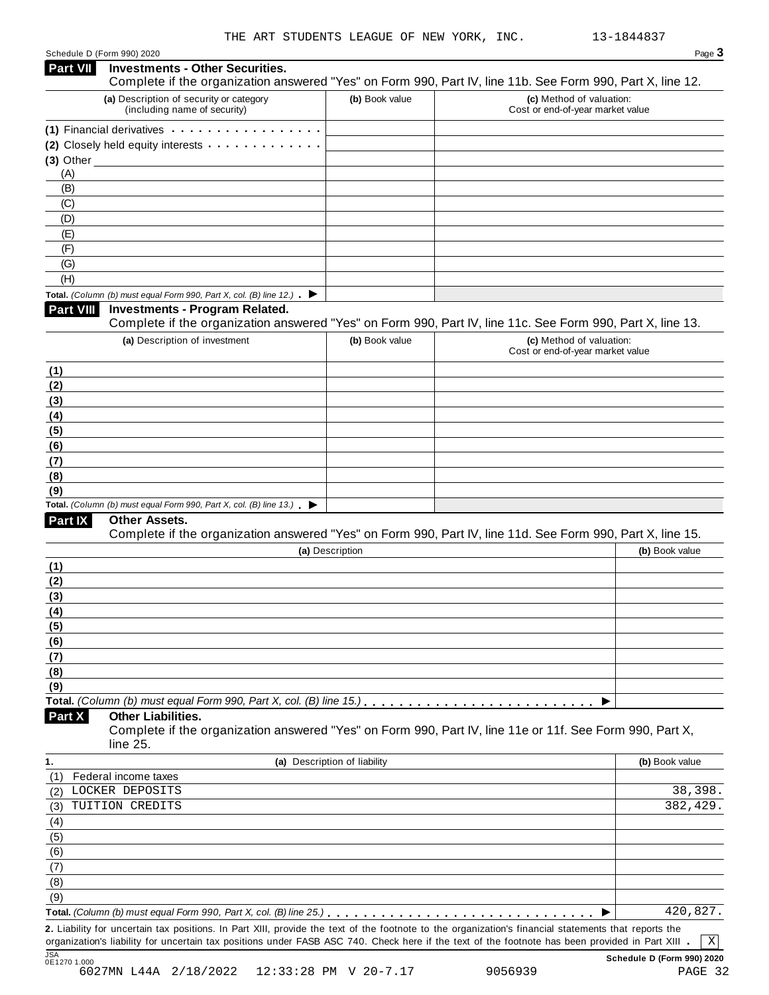| Schedule D (Form 990) 2020 | Page $\bullet$ |
|----------------------------|----------------|
|                            |                |

| Part VII         | <b>Investments - Other Securities.</b><br>Complete if the organization answered "Yes" on Form 990, Part IV, line 11b. See Form 990, Part X, line 12.                                                                                                                                                     |                              |                                                              |                |
|------------------|----------------------------------------------------------------------------------------------------------------------------------------------------------------------------------------------------------------------------------------------------------------------------------------------------------|------------------------------|--------------------------------------------------------------|----------------|
|                  | (a) Description of security or category<br>(including name of security)                                                                                                                                                                                                                                  | (b) Book value               | (c) Method of valuation:<br>Cost or end-of-year market value |                |
|                  | (1) Financial derivatives                                                                                                                                                                                                                                                                                |                              |                                                              |                |
|                  | (2) Closely held equity interests                                                                                                                                                                                                                                                                        |                              |                                                              |                |
| $(3)$ Other $\_$ |                                                                                                                                                                                                                                                                                                          |                              |                                                              |                |
| (A)              |                                                                                                                                                                                                                                                                                                          |                              |                                                              |                |
| (B)              |                                                                                                                                                                                                                                                                                                          |                              |                                                              |                |
| (C)              |                                                                                                                                                                                                                                                                                                          |                              |                                                              |                |
| (D)              |                                                                                                                                                                                                                                                                                                          |                              |                                                              |                |
| (E)              |                                                                                                                                                                                                                                                                                                          |                              |                                                              |                |
| (F)<br>(G)       |                                                                                                                                                                                                                                                                                                          |                              |                                                              |                |
| (H)              |                                                                                                                                                                                                                                                                                                          |                              |                                                              |                |
|                  | Total. (Column (b) must equal Form 990, Part X, col. (B) line 12.) $\blacktriangleright$                                                                                                                                                                                                                 |                              |                                                              |                |
| <b>Part VIII</b> | <b>Investments - Program Related.</b><br>Complete if the organization answered "Yes" on Form 990, Part IV, line 11c. See Form 990, Part X, line 13.                                                                                                                                                      |                              |                                                              |                |
|                  | (a) Description of investment                                                                                                                                                                                                                                                                            | (b) Book value               | (c) Method of valuation:<br>Cost or end-of-year market value |                |
| (1)              |                                                                                                                                                                                                                                                                                                          |                              |                                                              |                |
| (2)              |                                                                                                                                                                                                                                                                                                          |                              |                                                              |                |
| (3)              |                                                                                                                                                                                                                                                                                                          |                              |                                                              |                |
| (4)              |                                                                                                                                                                                                                                                                                                          |                              |                                                              |                |
| (5)              |                                                                                                                                                                                                                                                                                                          |                              |                                                              |                |
| (6)              |                                                                                                                                                                                                                                                                                                          |                              |                                                              |                |
| (7)              |                                                                                                                                                                                                                                                                                                          |                              |                                                              |                |
| (8)              |                                                                                                                                                                                                                                                                                                          |                              |                                                              |                |
| (9)              |                                                                                                                                                                                                                                                                                                          |                              |                                                              |                |
|                  | Total. (Column (b) must equal Form 990, Part X, col. (B) line 13.) $\blacktriangleright$                                                                                                                                                                                                                 |                              |                                                              |                |
| Part IX          | Other Assets.<br>Complete if the organization answered "Yes" on Form 990, Part IV, line 11d. See Form 990, Part X, line 15.                                                                                                                                                                              |                              |                                                              |                |
|                  |                                                                                                                                                                                                                                                                                                          | (a) Description              |                                                              | (b) Book value |
| (1)              |                                                                                                                                                                                                                                                                                                          |                              |                                                              |                |
| (2)              |                                                                                                                                                                                                                                                                                                          |                              |                                                              |                |
| (3)              |                                                                                                                                                                                                                                                                                                          |                              |                                                              |                |
| (4)              |                                                                                                                                                                                                                                                                                                          |                              |                                                              |                |
| (5)              |                                                                                                                                                                                                                                                                                                          |                              |                                                              |                |
| (6)              |                                                                                                                                                                                                                                                                                                          |                              |                                                              |                |
| (7)              |                                                                                                                                                                                                                                                                                                          |                              |                                                              |                |
| (8)              |                                                                                                                                                                                                                                                                                                          |                              |                                                              |                |
| (9)              |                                                                                                                                                                                                                                                                                                          |                              |                                                              |                |
|                  |                                                                                                                                                                                                                                                                                                          |                              |                                                              |                |
| Part X           | <b>Other Liabilities.</b><br>Complete if the organization answered "Yes" on Form 990, Part IV, line 11e or 11f. See Form 990, Part X,<br>line 25.                                                                                                                                                        |                              |                                                              |                |
| 1.               |                                                                                                                                                                                                                                                                                                          | (a) Description of liability |                                                              | (b) Book value |
| (1)              | Federal income taxes                                                                                                                                                                                                                                                                                     |                              |                                                              |                |
| (2)              | LOCKER DEPOSITS                                                                                                                                                                                                                                                                                          |                              |                                                              | 38,398.        |
| (3)              | TUITION CREDITS                                                                                                                                                                                                                                                                                          |                              |                                                              | 382,429.       |
| (4)              |                                                                                                                                                                                                                                                                                                          |                              |                                                              |                |
| (5)              |                                                                                                                                                                                                                                                                                                          |                              |                                                              |                |
| (6)              |                                                                                                                                                                                                                                                                                                          |                              |                                                              |                |
| (7)              |                                                                                                                                                                                                                                                                                                          |                              |                                                              |                |
| (8)              |                                                                                                                                                                                                                                                                                                          |                              |                                                              |                |
| (9)              |                                                                                                                                                                                                                                                                                                          |                              |                                                              |                |
|                  |                                                                                                                                                                                                                                                                                                          |                              |                                                              | 420,827.       |
|                  | 2. Liability for uncertain tax positions. In Part XIII, provide the text of the footnote to the organization's financial statements that reports the<br>organization's liability for uncertain tax positions under FASB ASC 740. Check here if the text of the footnote has been provided in Part XIII . |                              |                                                              | $\mathbf X$    |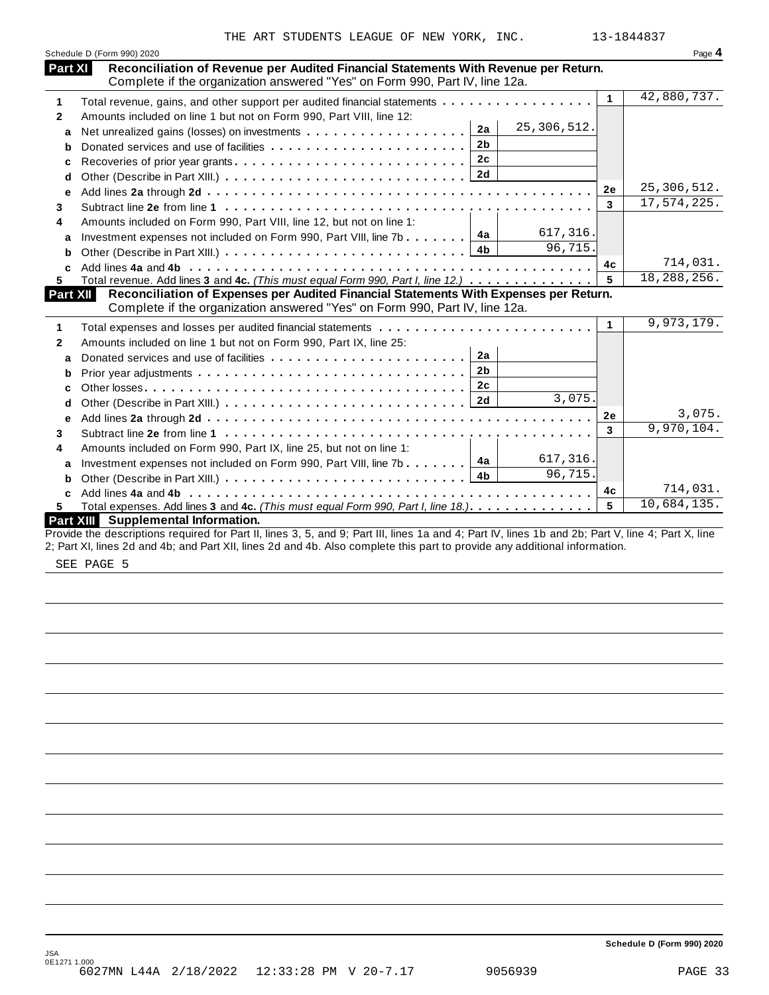|              | Schedule D (Form 990) 2020                                                                                                                                           |              | Page 4        |
|--------------|----------------------------------------------------------------------------------------------------------------------------------------------------------------------|--------------|---------------|
| Part XI      | Reconciliation of Revenue per Audited Financial Statements With Revenue per Return.<br>Complete if the organization answered "Yes" on Form 990, Part IV, line 12a.   |              |               |
| 1            | Total revenue, gains, and other support per audited financial statements                                                                                             | $\mathbf{1}$ | 42,880,737.   |
| $\mathbf{2}$ | Amounts included on line 1 but not on Form 990, Part VIII, line 12:                                                                                                  |              |               |
| a            | 25, 306, 512.<br>2a                                                                                                                                                  |              |               |
|              | 2 <sub>b</sub><br>Donated services and use of facilities                                                                                                             |              |               |
| c            |                                                                                                                                                                      |              |               |
| d            |                                                                                                                                                                      |              |               |
| е            |                                                                                                                                                                      | 2e           | 25,306,512.   |
| 3            |                                                                                                                                                                      | 3            | 17,574,225.   |
| 4            | Amounts included on Form 990, Part VIII, line 12, but not on line 1:                                                                                                 |              |               |
| a            | 617,316.<br>4a<br>Investment expenses not included on Form 990, Part VIII, line 7b $\ldots \ldots$                                                                   |              |               |
|              | 96,715.<br>4b                                                                                                                                                        |              |               |
| C.           |                                                                                                                                                                      | 4c           | 714,031.      |
| 5.           | Total revenue. Add lines 3 and 4c. (This must equal Form 990, Part I, line 12.)                                                                                      | 5            | 18, 288, 256. |
| Part XII     | Reconciliation of Expenses per Audited Financial Statements With Expenses per Return.<br>Complete if the organization answered "Yes" on Form 990, Part IV, line 12a. |              |               |
| 1            |                                                                                                                                                                      | $\mathbf{1}$ | 9,973,179.    |
| $\mathbf{2}$ | Amounts included on line 1 but not on Form 990, Part IX, line 25:                                                                                                    |              |               |
| a            | 2a<br>Donated services and use of facilities                                                                                                                         |              |               |
| b            | 2 <sub>b</sub>                                                                                                                                                       |              |               |
| c            | 2c                                                                                                                                                                   |              |               |
| d            | 3,075.                                                                                                                                                               |              |               |
| e            |                                                                                                                                                                      | 2e           | 3,075.        |
| 3            |                                                                                                                                                                      | 3            | 9,970,104.    |
| 4            | Amounts included on Form 990, Part IX, line 25, but not on line 1:                                                                                                   |              |               |
| a            | 617,316.<br>Investment expenses not included on Form 990, Part VIII, line 7b $\boxed{4a}$                                                                            |              |               |
| b            | 96, 715.                                                                                                                                                             |              |               |
| c            |                                                                                                                                                                      | 4c           | 714,031.      |
| 5.           | Total expenses. Add lines 3 and 4c. (This must equal Form 990, Part I, line 18.)                                                                                     | 5            | 10,684,135.   |
|              | Part XIII Supplemental Information.                                                                                                                                  |              |               |
|              | Provide the descriptions required for Part II, lines 3, 5, and 9; Part III, lines 1a and 4; Part IV, lines 1b and 2b; Part V, line 4; Part X, line                   |              |               |

2; Part XI, lines 2d and 4b; and Part XII, lines 2d and 4b. Also complete this part to provide any additional information.

SEE PAGE 5

**Schedule D (Form 990) 2020**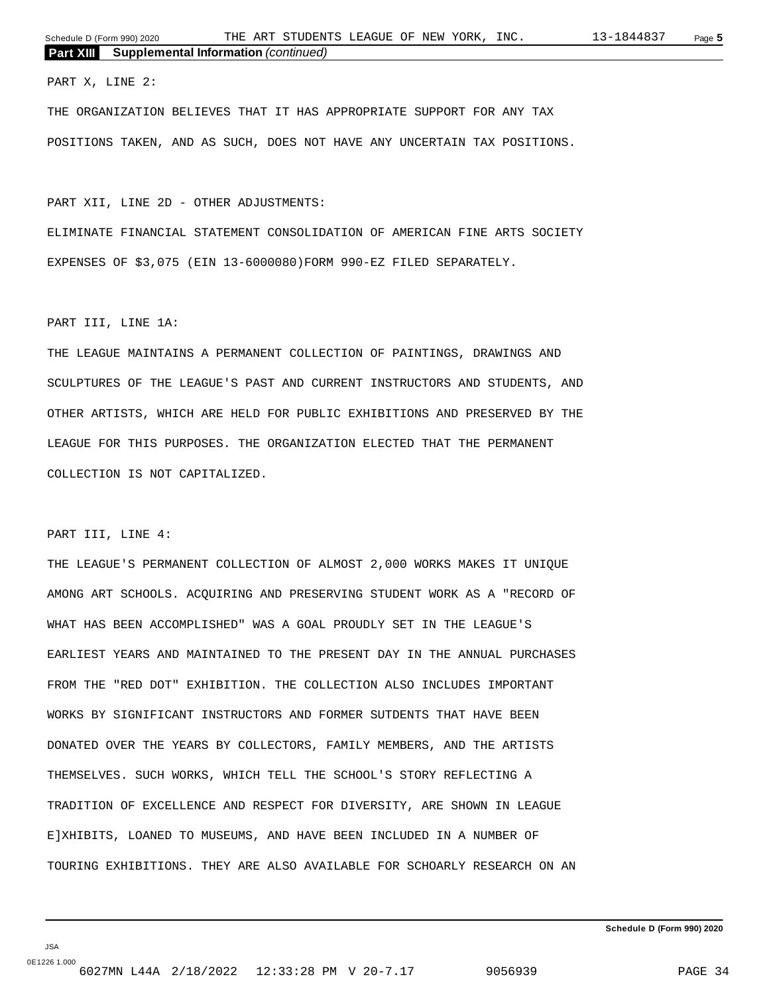### PART X, LINE 2:

THE ORGANIZATION BELIEVES THAT IT HAS APPROPRIATE SUPPORT FOR ANY TAX POSITIONS TAKEN, AND AS SUCH, DOES NOT HAVE ANY UNCERTAIN TAX POSITIONS.

PART XII, LINE 2D - OTHER ADJUSTMENTS:

ELIMINATE FINANCIAL STATEMENT CONSOLIDATION OF AMERICAN FINE ARTS SOCIETY EXPENSES OF \$3,075 (EIN 13-6000080)FORM 990-EZ FILED SEPARATELY.

PART III, LINE 1A:

THE LEAGUE MAINTAINS A PERMANENT COLLECTION OF PAINTINGS, DRAWINGS AND SCULPTURES OF THE LEAGUE'S PAST AND CURRENT INSTRUCTORS AND STUDENTS, AND OTHER ARTISTS, WHICH ARE HELD FOR PUBLIC EXHIBITIONS AND PRESERVED BY THE LEAGUE FOR THIS PURPOSES. THE ORGANIZATION ELECTED THAT THE PERMANENT COLLECTION IS NOT CAPITALIZED.

PART III, LINE 4:

THE LEAGUE'S PERMANENT COLLECTION OF ALMOST 2,000 WORKS MAKES IT UNIQUE AMONG ART SCHOOLS. ACQUIRING AND PRESERVING STUDENT WORK AS A "RECORD OF WHAT HAS BEEN ACCOMPLISHED" WAS A GOAL PROUDLY SET IN THE LEAGUE'S EARLIEST YEARS AND MAINTAINED TO THE PRESENT DAY IN THE ANNUAL PURCHASES FROM THE "RED DOT" EXHIBITION. THE COLLECTION ALSO INCLUDES IMPORTANT WORKS BY SIGNIFICANT INSTRUCTORS AND FORMER SUTDENTS THAT HAVE BEEN DONATED OVER THE YEARS BY COLLECTORS, FAMILY MEMBERS, AND THE ARTISTS THEMSELVES. SUCH WORKS, WHICH TELL THE SCHOOL'S STORY REFLECTING A TRADITION OF EXCELLENCE AND RESPECT FOR DIVERSITY, ARE SHOWN IN LEAGUE E]XHIBITS, LOANED TO MUSEUMS, AND HAVE BEEN INCLUDED IN A NUMBER OF TOURING EXHIBITIONS. THEY ARE ALSO AVAILABLE FOR SCHOARLY RESEARCH ON AN

**Schedule D (Form 990) 2020**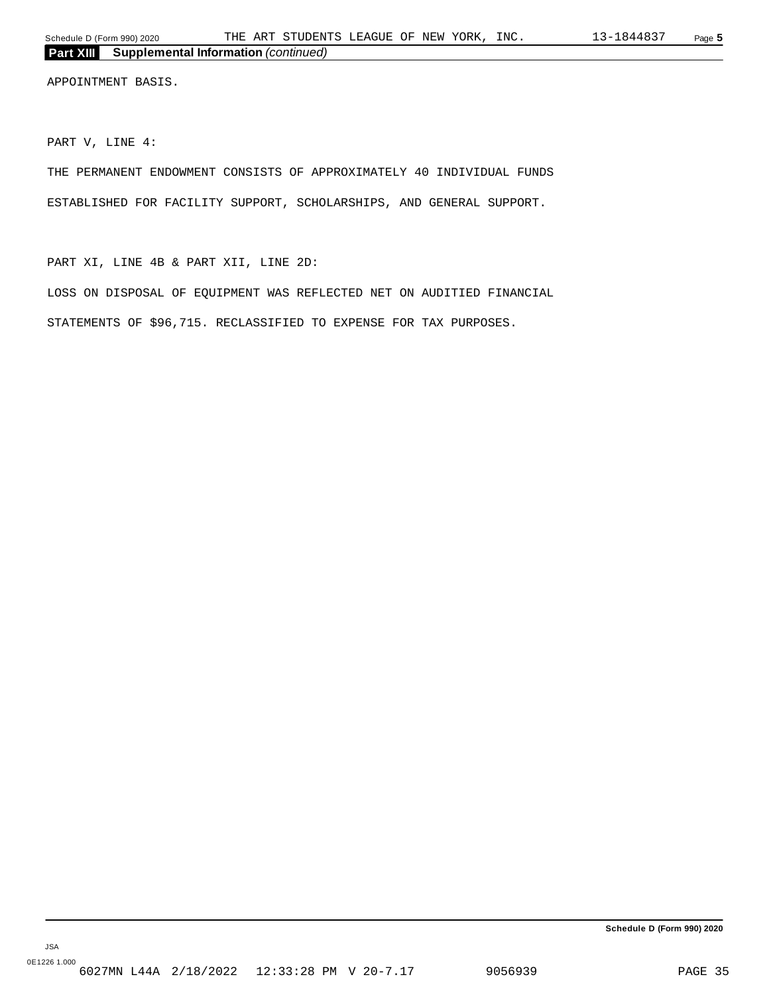APPOINTMENT BASIS.

PART V, LINE 4:

THE PERMANENT ENDOWMENT CONSISTS OF APPROXIMATELY 40 INDIVIDUAL FUNDS ESTABLISHED FOR FACILITY SUPPORT, SCHOLARSHIPS, AND GENERAL SUPPORT.

PART XI, LINE 4B & PART XII, LINE 2D:

LOSS ON DISPOSAL OF EQUIPMENT WAS REFLECTED NET ON AUDITIED FINANCIAL STATEMENTS OF \$96,715. RECLASSIFIED TO EXPENSE FOR TAX PURPOSES.

**Schedule D (Form 990) 2020**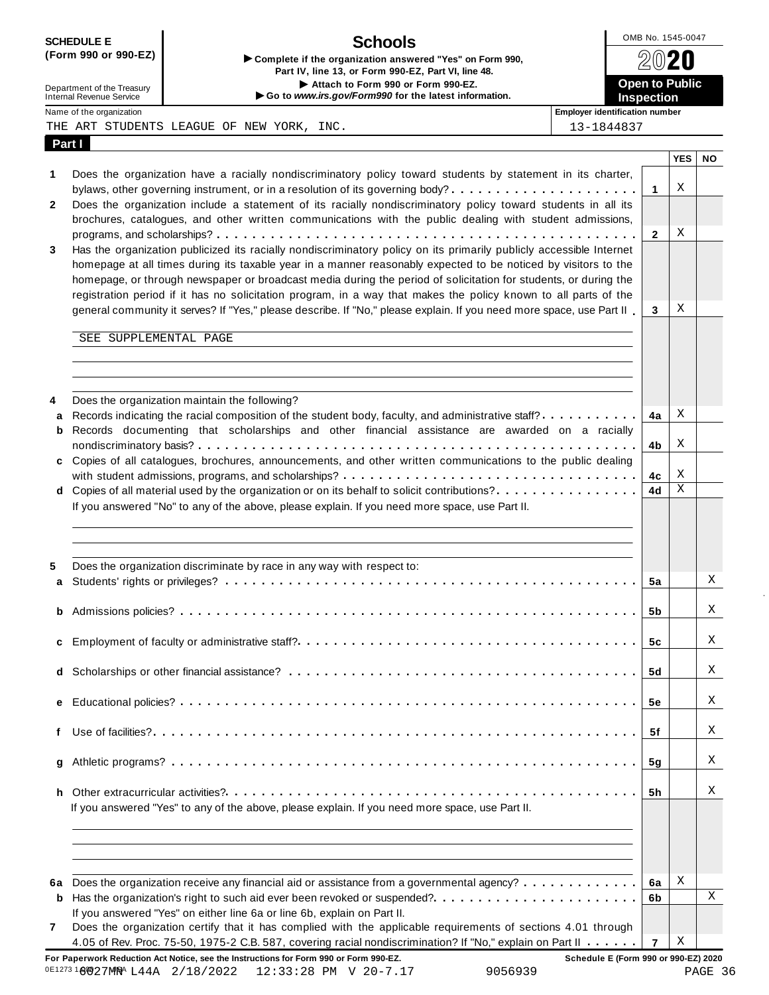| <b>SCHEDULE E</b>    | <b>Schools</b>                                             | OMB No. 1545-0047            |
|----------------------|------------------------------------------------------------|------------------------------|
| (Form 990 or 990-EZ) |                                                            |                              |
|                      | ► Complete if the organization answered "Yes" on Form 990. | $\mathfrak{D} \mathsf{M}$ 20 |

ï

| <b>UVIILDULL L</b><br>(Form 990 or 990-EZ) | <b>JUNUUS</b><br>Complete if the organization answered "Yes" on Form 990,<br>Part IV, line 13, or Form 990-EZ, Part VI, line 48. | 2020                  |
|--------------------------------------------|----------------------------------------------------------------------------------------------------------------------------------|-----------------------|
| Department of the Treasury                 | Attach to Form 990 or Form 990-EZ.                                                                                               | <b>Open to Public</b> |
| Internal Revenue Service                   | Go to www.irs.gov/Form990 for the latest information.                                                                            | <b>Inspection</b>     |

Name of the organization **intervalse and the organization intervalse and the organization is expected to the organization** number

THE ART STUDENTS LEAGUE OF NEW YORK, INC.  $\vert$  13-1844837

|        | Part I                                                                                                               |                |            |           |
|--------|----------------------------------------------------------------------------------------------------------------------|----------------|------------|-----------|
|        |                                                                                                                      |                | <b>YES</b> | <b>NO</b> |
|        | Does the organization have a racially nondiscriminatory policy toward students by statement in its charter,          |                |            |           |
|        |                                                                                                                      | $\mathbf{1}$   | Χ          |           |
|        | Does the organization include a statement of its racially nondiscriminatory policy toward students in all its        |                |            |           |
|        | brochures, catalogues, and other written communications with the public dealing with student admissions,             |                |            |           |
|        |                                                                                                                      | $\overline{2}$ | Χ          |           |
|        | Has the organization publicized its racially nondiscriminatory policy on its primarily publicly accessible Internet  |                |            |           |
|        | homepage at all times during its taxable year in a manner reasonably expected to be noticed by visitors to the       |                |            |           |
|        | homepage, or through newspaper or broadcast media during the period of solicitation for students, or during the      |                |            |           |
|        | registration period if it has no solicitation program, in a way that makes the policy known to all parts of the      |                |            |           |
|        | general community it serves? If "Yes," please describe. If "No," please explain. If you need more space, use Part II | 3              | Χ          |           |
|        |                                                                                                                      |                |            |           |
|        | SEE SUPPLEMENTAL PAGE                                                                                                |                |            |           |
|        |                                                                                                                      |                |            |           |
|        |                                                                                                                      |                |            |           |
|        | Does the organization maintain the following?                                                                        |                |            |           |
|        | Records indicating the racial composition of the student body, faculty, and administrative staff?                    | 4a             | Χ          |           |
| a<br>b | Records documenting that scholarships and other financial assistance are awarded on a racially                       |                |            |           |
|        |                                                                                                                      | 4b             | Χ          |           |
|        | c Copies of all catalogues, brochures, announcements, and other written communications to the public dealing         |                |            |           |
|        |                                                                                                                      | 4c             | Χ          |           |
|        | d Copies of all material used by the organization or on its behalf to solicit contributions?                         | 4d             | Χ          |           |
|        | If you answered "No" to any of the above, please explain. If you need more space, use Part II.                       |                |            |           |
|        |                                                                                                                      |                |            |           |
|        |                                                                                                                      |                |            |           |
|        |                                                                                                                      |                |            |           |
|        | Does the organization discriminate by race in any way with respect to:                                               |                |            |           |
| a      |                                                                                                                      | 5a             |            | X         |
|        |                                                                                                                      |                |            |           |
|        |                                                                                                                      | 5b             |            | Χ         |
|        |                                                                                                                      | 5с             |            | Χ         |
| c      |                                                                                                                      |                |            |           |
|        |                                                                                                                      | 5d             |            | Χ         |
|        |                                                                                                                      |                |            |           |
|        |                                                                                                                      | 5e             |            | Χ         |
|        |                                                                                                                      |                |            |           |
|        |                                                                                                                      | 5f             |            | Χ         |
|        |                                                                                                                      |                |            |           |
| g      |                                                                                                                      | 5g             |            | X         |
|        |                                                                                                                      |                |            |           |
| h.     |                                                                                                                      | 5h             |            | Χ         |
|        | If you answered "Yes" to any of the above, please explain. If you need more space, use Part II.                      |                |            |           |
|        |                                                                                                                      |                |            |           |
|        |                                                                                                                      |                |            |           |
|        |                                                                                                                      |                |            |           |
|        | 6a Does the organization receive any financial aid or assistance from a governmental agency?                         | 6a             | Χ          |           |
|        | <b>b</b> Has the organization's right to such aid ever been revoked or suspended?                                    | 6b             |            | X         |
|        | If you answered "Yes" on either line 6a or line 6b, explain on Part II.                                              |                |            |           |
|        | Does the organization certify that it has complied with the applicable requirements of sections 4.01 through         |                |            |           |
|        | 4.05 of Rev. Proc. 75-50, 1975-2 C.B. 587, covering racial nondiscrimination? If "No," explain on Part II            | $\overline{7}$ | Χ          |           |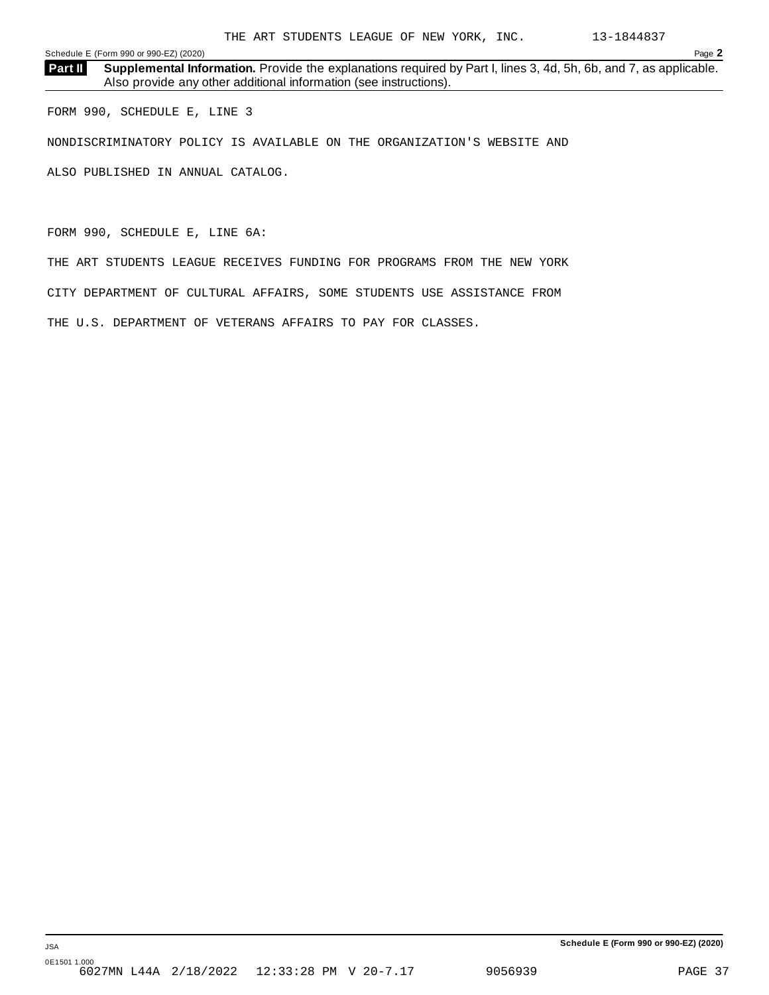Schedule E (Form 990 or 990-EZ) (2020) Page **2**

**Supplemental Information.** Provide the explanations required by Part I, lines 3, 4d, 5h, 6b, and 7, as applicable. **Part II** Supplemental Information. Provide the explanations required Maso provide any other additional information (see instructions).

FORM 990, SCHEDULE E, LINE 3

NONDISCRIMINATORY POLICY IS AVAILABLE ON THE ORGANIZATION'S WEBSITE AND

ALSO PUBLISHED IN ANNUAL CATALOG.

FORM 990, SCHEDULE E, LINE 6A:

THE ART STUDENTS LEAGUE RECEIVES FUNDING FOR PROGRAMS FROM THE NEW YORK

CITY DEPARTMENT OF CULTURAL AFFAIRS, SOME STUDENTS USE ASSISTANCE FROM

THE U.S. DEPARTMENT OF VETERANS AFFAIRS TO PAY FOR CLASSES.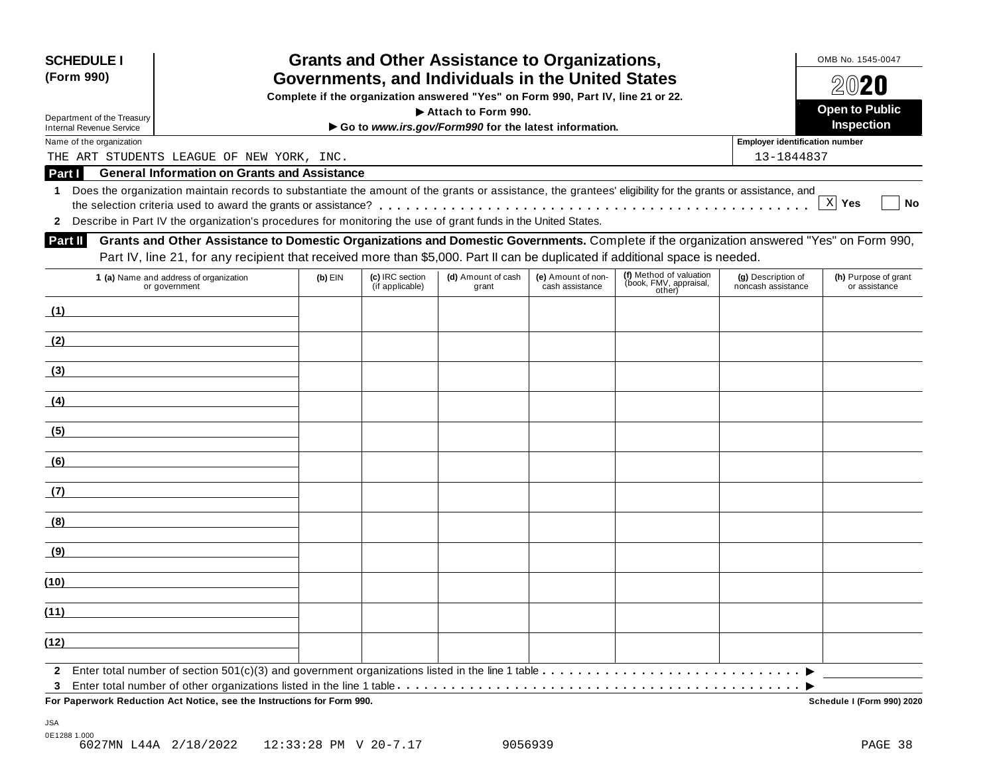| <b>SCHEDULE I</b><br>(Form 990) |                                                                                                                                                            | OMB No. 1545-0047<br>2020 |                                    |                                                                                  |                                       |                                                             |                                          |                                       |
|---------------------------------|------------------------------------------------------------------------------------------------------------------------------------------------------------|---------------------------|------------------------------------|----------------------------------------------------------------------------------|---------------------------------------|-------------------------------------------------------------|------------------------------------------|---------------------------------------|
|                                 |                                                                                                                                                            |                           |                                    | Complete if the organization answered "Yes" on Form 990, Part IV, line 21 or 22. |                                       |                                                             |                                          |                                       |
| Department of the Treasury      |                                                                                                                                                            |                           |                                    | Attach to Form 990.                                                              |                                       |                                                             |                                          | <b>Open to Public</b>                 |
| <b>Internal Revenue Service</b> |                                                                                                                                                            |                           |                                    | Go to www.irs.gov/Form990 for the latest information.                            |                                       |                                                             |                                          | Inspection                            |
| Name of the organization        |                                                                                                                                                            |                           |                                    |                                                                                  |                                       |                                                             | <b>Employer identification number</b>    |                                       |
|                                 | THE ART STUDENTS LEAGUE OF NEW YORK, INC.                                                                                                                  |                           |                                    |                                                                                  |                                       |                                                             | 13-1844837                               |                                       |
| Part I                          | <b>General Information on Grants and Assistance</b>                                                                                                        |                           |                                    |                                                                                  |                                       |                                                             |                                          |                                       |
| 1                               | Does the organization maintain records to substantiate the amount of the grants or assistance, the grantees' eligibility for the grants or assistance, and |                           |                                    |                                                                                  |                                       |                                                             |                                          |                                       |
|                                 |                                                                                                                                                            |                           |                                    |                                                                                  |                                       |                                                             |                                          | X Yes<br>No                           |
| $\mathbf{2}$                    | Describe in Part IV the organization's procedures for monitoring the use of grant funds in the United States.                                              |                           |                                    |                                                                                  |                                       |                                                             |                                          |                                       |
| <b>Part II</b>                  | Grants and Other Assistance to Domestic Organizations and Domestic Governments. Complete if the organization answered "Yes" on Form 990,                   |                           |                                    |                                                                                  |                                       |                                                             |                                          |                                       |
|                                 | Part IV, line 21, for any recipient that received more than \$5,000. Part II can be duplicated if additional space is needed.                              |                           |                                    |                                                                                  |                                       |                                                             |                                          |                                       |
|                                 | 1 (a) Name and address of organization<br>or government                                                                                                    | $(b)$ EIN                 | (c) IRC section<br>(if applicable) | (d) Amount of cash<br>grant                                                      | (e) Amount of non-<br>cash assistance | (f) Method of valuation<br>(book, FMV, appraisal,<br>other) | (g) Description of<br>noncash assistance | (h) Purpose of grant<br>or assistance |
| (1)                             |                                                                                                                                                            |                           |                                    |                                                                                  |                                       |                                                             |                                          |                                       |
| (2)                             |                                                                                                                                                            |                           |                                    |                                                                                  |                                       |                                                             |                                          |                                       |
|                                 |                                                                                                                                                            |                           |                                    |                                                                                  |                                       |                                                             |                                          |                                       |
| (3)                             |                                                                                                                                                            |                           |                                    |                                                                                  |                                       |                                                             |                                          |                                       |
| (4)                             |                                                                                                                                                            |                           |                                    |                                                                                  |                                       |                                                             |                                          |                                       |
| (5)                             |                                                                                                                                                            |                           |                                    |                                                                                  |                                       |                                                             |                                          |                                       |
| (6)                             |                                                                                                                                                            |                           |                                    |                                                                                  |                                       |                                                             |                                          |                                       |
| (7)                             |                                                                                                                                                            |                           |                                    |                                                                                  |                                       |                                                             |                                          |                                       |
| (8)                             |                                                                                                                                                            |                           |                                    |                                                                                  |                                       |                                                             |                                          |                                       |
| (9)                             |                                                                                                                                                            |                           |                                    |                                                                                  |                                       |                                                             |                                          |                                       |
| (10)                            |                                                                                                                                                            |                           |                                    |                                                                                  |                                       |                                                             |                                          |                                       |
| (11)                            |                                                                                                                                                            |                           |                                    |                                                                                  |                                       |                                                             |                                          |                                       |
| (12)                            |                                                                                                                                                            |                           |                                    |                                                                                  |                                       |                                                             |                                          |                                       |
| $\mathbf{2}$                    |                                                                                                                                                            |                           |                                    |                                                                                  |                                       |                                                             |                                          |                                       |
| 3                               |                                                                                                                                                            |                           |                                    |                                                                                  |                                       |                                                             |                                          |                                       |
|                                 | For Paperwork Reduction Act Notice, see the Instructions for Form 990.                                                                                     |                           |                                    |                                                                                  |                                       |                                                             |                                          | Schedule I (Form 990) 2020            |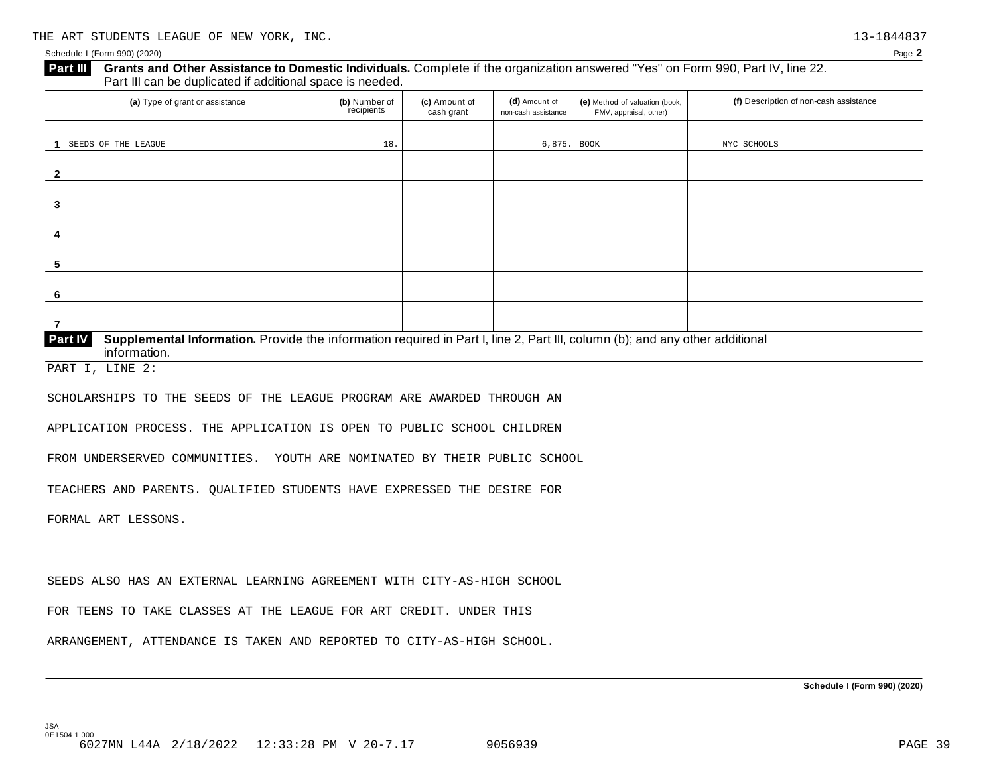### **Grants and Other Assistance to Domestic Individuals.** Complete ifthe organization answered "Yes" on Form 990, Part IV, line 22. **Part III** Grants and Other Assistance to Domestic Individuals<br>Part III can be duplicated if additional space is needed.

| (a) Type of grant or assistance                                                                                                                         | (b) Number of<br>recipients | (c) Amount of<br>cash grant | (d) Amount of<br>non-cash assistance | (e) Method of valuation (book,<br>FMV, appraisal, other) | (f) Description of non-cash assistance |  |  |  |  |  |
|---------------------------------------------------------------------------------------------------------------------------------------------------------|-----------------------------|-----------------------------|--------------------------------------|----------------------------------------------------------|----------------------------------------|--|--|--|--|--|
|                                                                                                                                                         |                             |                             |                                      |                                                          |                                        |  |  |  |  |  |
| SEEDS OF THE LEAGUE                                                                                                                                     | 18.                         |                             | 6,875.                               | BOOK                                                     | NYC SCHOOLS                            |  |  |  |  |  |
|                                                                                                                                                         |                             |                             |                                      |                                                          |                                        |  |  |  |  |  |
| $\mathbf{2}$                                                                                                                                            |                             |                             |                                      |                                                          |                                        |  |  |  |  |  |
|                                                                                                                                                         |                             |                             |                                      |                                                          |                                        |  |  |  |  |  |
| 3                                                                                                                                                       |                             |                             |                                      |                                                          |                                        |  |  |  |  |  |
|                                                                                                                                                         |                             |                             |                                      |                                                          |                                        |  |  |  |  |  |
| 4                                                                                                                                                       |                             |                             |                                      |                                                          |                                        |  |  |  |  |  |
|                                                                                                                                                         |                             |                             |                                      |                                                          |                                        |  |  |  |  |  |
| 5                                                                                                                                                       |                             |                             |                                      |                                                          |                                        |  |  |  |  |  |
|                                                                                                                                                         |                             |                             |                                      |                                                          |                                        |  |  |  |  |  |
| 6                                                                                                                                                       |                             |                             |                                      |                                                          |                                        |  |  |  |  |  |
|                                                                                                                                                         |                             |                             |                                      |                                                          |                                        |  |  |  |  |  |
|                                                                                                                                                         |                             |                             |                                      |                                                          |                                        |  |  |  |  |  |
| Part IV<br>Supplemental Information. Provide the information required in Part I, line 2, Part III, column (b); and any other additional<br>information. |                             |                             |                                      |                                                          |                                        |  |  |  |  |  |

PART I, LINE 2:

SCHOLARSHIPS TO THE SEEDS OF THE LEAGUE PROGRAM ARE AWARDED THROUGH AN

APPLICATION PROCESS. THE APPLICATION IS OPEN TO PUBLIC SCHOOL CHILDREN

FROM UNDERSERVED COMMUNITIES. YOUTH ARE NOMINATED BY THEIR PUBLIC SCHOOL

TEACHERS AND PARENTS. QUALIFIED STUDENTS HAVE EXPRESSED THE DESIRE FOR

FORMAL ART LESSONS.

SEEDS ALSO HAS AN EXTERNAL LEARNING AGREEMENT WITH CITY-AS-HIGH SCHOOL

FOR TEENS TO TAKE CLASSES AT THE LEAGUE FOR ART CREDIT. UNDER THIS

ARRANGEMENT, ATTENDANCE IS TAKEN AND REPORTED TO CITY-AS-HIGH SCHOOL.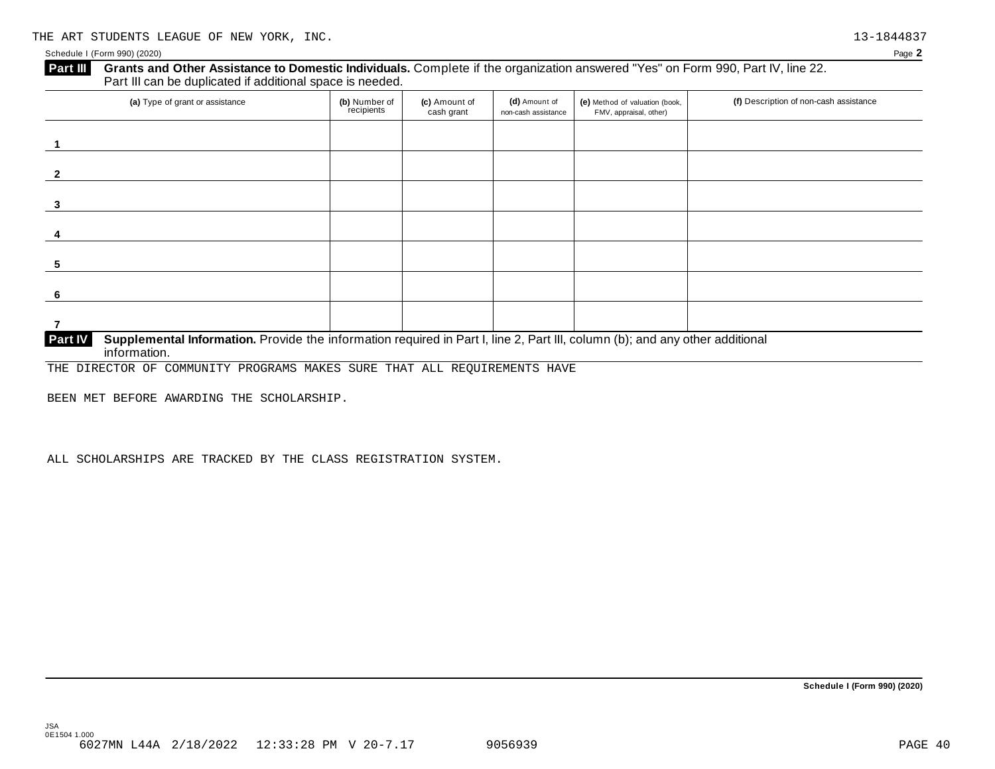### **Grants and Other Assistance to Domestic Individuals.** Complete ifthe organization answered "Yes" on Form 990, Part IV, line 22. **Part III** Grants and Other Assistance to Domestic Individuals<br>Part III can be duplicated if additional space is needed.

| (a) Type of grant or assistance                                                                                                         | (b) Number of<br>recipients | (c) Amount of<br>cash grant | (d) Amount of<br>non-cash assistance | (e) Method of valuation (book,<br>FMV, appraisal, other) | (f) Description of non-cash assistance |
|-----------------------------------------------------------------------------------------------------------------------------------------|-----------------------------|-----------------------------|--------------------------------------|----------------------------------------------------------|----------------------------------------|
|                                                                                                                                         |                             |                             |                                      |                                                          |                                        |
|                                                                                                                                         |                             |                             |                                      |                                                          |                                        |
|                                                                                                                                         |                             |                             |                                      |                                                          |                                        |
|                                                                                                                                         |                             |                             |                                      |                                                          |                                        |
|                                                                                                                                         |                             |                             |                                      |                                                          |                                        |
| 6                                                                                                                                       |                             |                             |                                      |                                                          |                                        |
|                                                                                                                                         |                             |                             |                                      |                                                          |                                        |
| Supplemental Information. Provide the information required in Part I, line 2, Part III, column (b); and any other additional<br>Part IV |                             |                             |                                      |                                                          |                                        |

 $\mathbf{F}$  information.

THE DIRECTOR OF COMMUNITY PROGRAMS MAKES SURE THAT ALL REQUIREMENTS HAVE

BEEN MET BEFORE AWARDING THE SCHOLARSHIP.

ALL SCHOLARSHIPS ARE TRACKED BY THE CLASS REGISTRATION SYSTEM.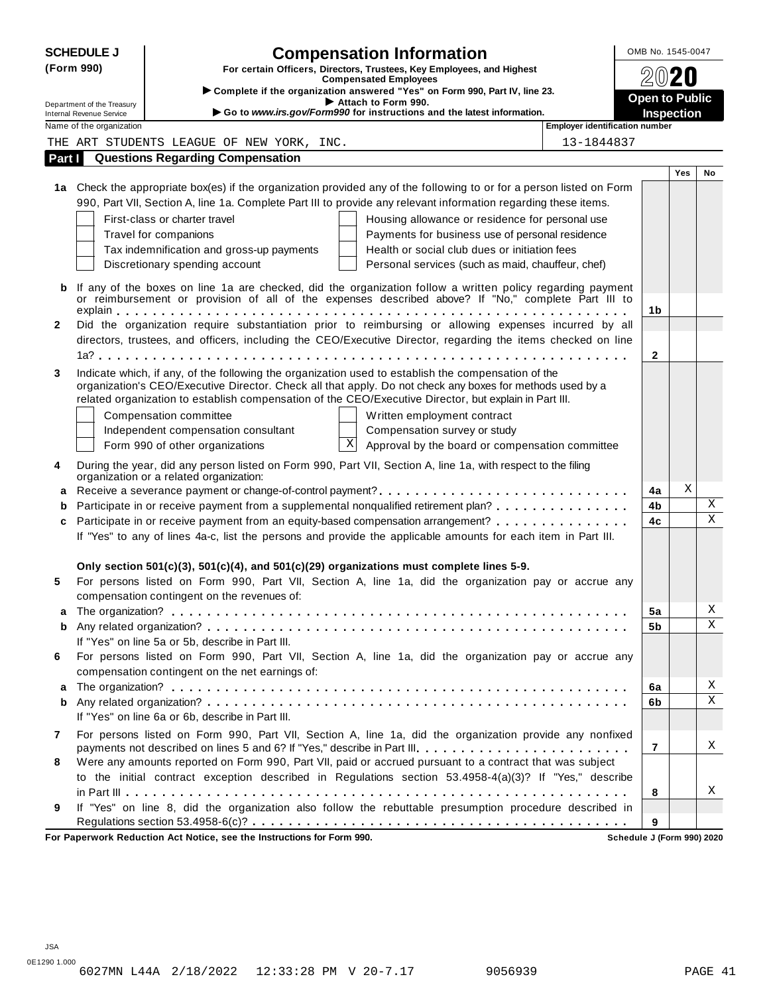| <b>SCHEDULE J</b> |                                                               | <b>Compensation Information</b>                                                                                                                                                                                                                                                                                            | OMB No. 1545-0047 |     |                       |
|-------------------|---------------------------------------------------------------|----------------------------------------------------------------------------------------------------------------------------------------------------------------------------------------------------------------------------------------------------------------------------------------------------------------------------|-------------------|-----|-----------------------|
| (Form 990)        |                                                               | For certain Officers, Directors, Trustees, Key Employees, and Highest<br><b>Compensated Employees</b>                                                                                                                                                                                                                      |                   |     |                       |
|                   |                                                               | Complete if the organization answered "Yes" on Form 990, Part IV, line 23.                                                                                                                                                                                                                                                 |                   |     | <b>Open to Public</b> |
|                   | Department of the Treasury<br><b>Internal Revenue Service</b> | Attach to Form 990.<br>Go to www.irs.gov/Form990 for instructions and the latest information.                                                                                                                                                                                                                              | <b>Inspection</b> |     |                       |
|                   | Name of the organization                                      | <b>Employer identification number</b>                                                                                                                                                                                                                                                                                      |                   |     |                       |
|                   |                                                               | THE ART STUDENTS LEAGUE OF NEW YORK, INC.<br>13-1844837                                                                                                                                                                                                                                                                    |                   |     |                       |
| Part I            |                                                               | <b>Questions Regarding Compensation</b>                                                                                                                                                                                                                                                                                    |                   |     |                       |
|                   |                                                               |                                                                                                                                                                                                                                                                                                                            |                   | Yes | No                    |
|                   |                                                               | 1a Check the appropriate box(es) if the organization provided any of the following to or for a person listed on Form                                                                                                                                                                                                       |                   |     |                       |
|                   |                                                               | 990, Part VII, Section A, line 1a. Complete Part III to provide any relevant information regarding these items.                                                                                                                                                                                                            |                   |     |                       |
|                   |                                                               | First-class or charter travel<br>Housing allowance or residence for personal use                                                                                                                                                                                                                                           |                   |     |                       |
|                   |                                                               | Travel for companions<br>Payments for business use of personal residence                                                                                                                                                                                                                                                   |                   |     |                       |
|                   |                                                               | Tax indemnification and gross-up payments<br>Health or social club dues or initiation fees                                                                                                                                                                                                                                 |                   |     |                       |
|                   |                                                               | Discretionary spending account<br>Personal services (such as maid, chauffeur, chef)                                                                                                                                                                                                                                        |                   |     |                       |
| b                 |                                                               | If any of the boxes on line 1a are checked, did the organization follow a written policy regarding payment<br>or reimbursement or provision of all of the expenses described above? If "No," complete Part III to                                                                                                          |                   |     |                       |
|                   |                                                               |                                                                                                                                                                                                                                                                                                                            | 1b                |     |                       |
| $\mathbf{2}$      |                                                               | Did the organization require substantiation prior to reimbursing or allowing expenses incurred by all<br>directors, trustees, and officers, including the CEO/Executive Director, regarding the items checked on line                                                                                                      |                   |     |                       |
|                   |                                                               |                                                                                                                                                                                                                                                                                                                            | $\mathbf{2}$      |     |                       |
| 3                 |                                                               | Indicate which, if any, of the following the organization used to establish the compensation of the<br>organization's CEO/Executive Director. Check all that apply. Do not check any boxes for methods used by a<br>related organization to establish compensation of the CEO/Executive Director, but explain in Part III. |                   |     |                       |
|                   |                                                               | Compensation committee<br>Written employment contract                                                                                                                                                                                                                                                                      |                   |     |                       |
|                   |                                                               | Independent compensation consultant<br>Compensation survey or study                                                                                                                                                                                                                                                        |                   |     |                       |
|                   |                                                               | $\mathbf X$<br>Approval by the board or compensation committee<br>Form 990 of other organizations                                                                                                                                                                                                                          |                   |     |                       |
| 4                 |                                                               | During the year, did any person listed on Form 990, Part VII, Section A, line 1a, with respect to the filing<br>organization or a related organization:                                                                                                                                                                    |                   |     |                       |
| a                 |                                                               |                                                                                                                                                                                                                                                                                                                            | 4a                | Χ   |                       |
| b                 |                                                               | Participate in or receive payment from a supplemental nonqualified retirement plan?                                                                                                                                                                                                                                        | 4b                |     | Χ                     |
| c                 |                                                               | Participate in or receive payment from an equity-based compensation arrangement?                                                                                                                                                                                                                                           | 4c                |     | $\mathbf X$           |
|                   |                                                               | If "Yes" to any of lines 4a-c, list the persons and provide the applicable amounts for each item in Part III.                                                                                                                                                                                                              |                   |     |                       |
|                   |                                                               | Only section 501(c)(3), 501(c)(4), and 501(c)(29) organizations must complete lines 5-9.                                                                                                                                                                                                                                   |                   |     |                       |
| 5                 |                                                               | For persons listed on Form 990, Part VII, Section A, line 1a, did the organization pay or accrue any                                                                                                                                                                                                                       |                   |     |                       |
|                   |                                                               | compensation contingent on the revenues of:                                                                                                                                                                                                                                                                                |                   |     |                       |
|                   |                                                               |                                                                                                                                                                                                                                                                                                                            | 5a                |     | Χ                     |
| b                 |                                                               |                                                                                                                                                                                                                                                                                                                            | 5b                |     | X                     |
|                   |                                                               | If "Yes" on line 5a or 5b, describe in Part III.                                                                                                                                                                                                                                                                           |                   |     |                       |
| 6                 |                                                               | For persons listed on Form 990, Part VII, Section A, line 1a, did the organization pay or accrue any<br>compensation contingent on the net earnings of:                                                                                                                                                                    |                   |     |                       |
| a                 |                                                               |                                                                                                                                                                                                                                                                                                                            | 6a                |     | Χ                     |
| b                 |                                                               |                                                                                                                                                                                                                                                                                                                            | 6b                |     | X                     |
|                   |                                                               | If "Yes" on line 6a or 6b, describe in Part III.                                                                                                                                                                                                                                                                           |                   |     |                       |
| 7                 |                                                               | For persons listed on Form 990, Part VII, Section A, line 1a, did the organization provide any nonfixed                                                                                                                                                                                                                    |                   |     |                       |
|                   |                                                               | payments not described on lines 5 and 6? If "Yes," describe in Part III.                                                                                                                                                                                                                                                   | $\overline{7}$    |     | Χ                     |
| 8                 |                                                               | Were any amounts reported on Form 990, Part VII, paid or accrued pursuant to a contract that was subject                                                                                                                                                                                                                   |                   |     |                       |
|                   |                                                               | to the initial contract exception described in Regulations section 53.4958-4(a)(3)? If "Yes," describe                                                                                                                                                                                                                     |                   |     |                       |
|                   |                                                               |                                                                                                                                                                                                                                                                                                                            | 8                 |     | Χ                     |
| 9                 |                                                               | If "Yes" on line 8, did the organization also follow the rebuttable presumption procedure described in                                                                                                                                                                                                                     |                   |     |                       |
|                   |                                                               | $n$ of $n$ of $n = 1$ $n = 0$<br>aule Die der estern Ales Mastern in der                                                                                                                                                                                                                                                   | 9                 |     |                       |

**For Paperwork Reduction Act Notice, see the Instructions for Form 990. Schedule J (Form 990) 2020**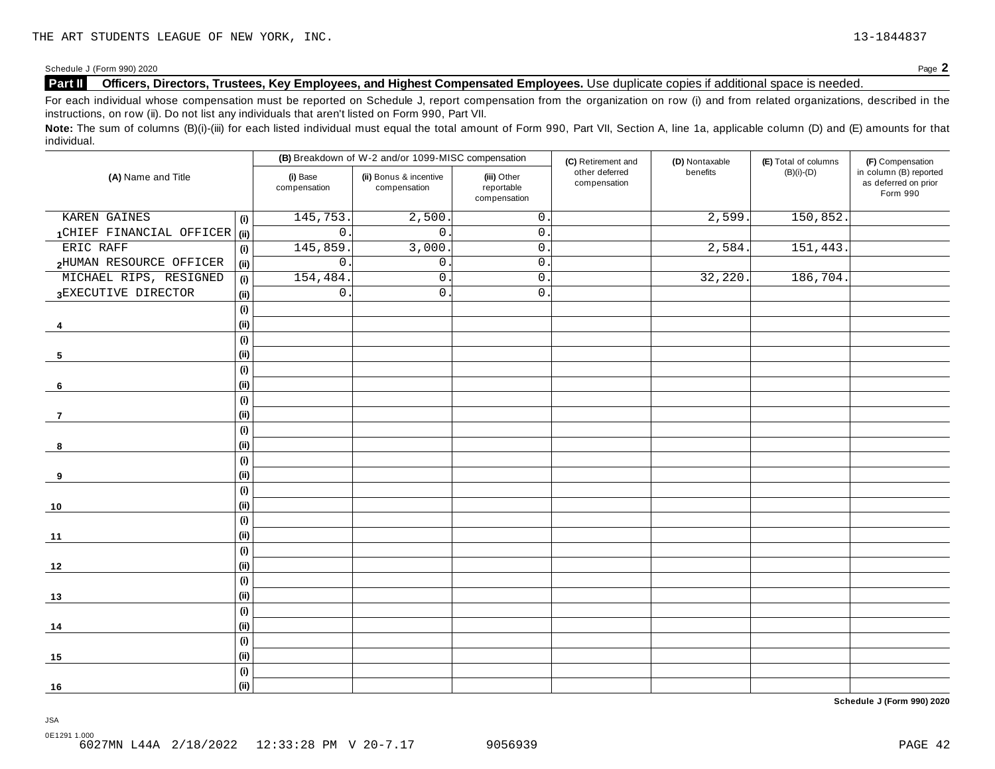Schedule <sup>J</sup> (Form 990) <sup>2020</sup> Page **2**

### **Part II Officers, Directors, Trustees, Key Employees, and Highest Compensated Employees.** Use duplicate copies ifadditional space is needed.

For each individual whose compensation must be reported on Schedule J, report compensation from the organization on row (i) and from related organizations, described in the instructions, on row (ii). Do not list any individuals that aren't listed on Form 990, Part VII.

Note: The sum of columns (B)(i)-(iii) for each listed individual must equal the total amount of Form 990, Part VII, Section A, line 1a, applicable column (D) and (E) amounts for that individual.

| (A) Name and Title            |      |                          | (B) Breakdown of W-2 and/or 1099-MISC compensation |                                           | (C) Retirement and             | (D) Nontaxable | (E) Total of columns | (F) Compensation                                           |
|-------------------------------|------|--------------------------|----------------------------------------------------|-------------------------------------------|--------------------------------|----------------|----------------------|------------------------------------------------------------|
|                               |      | (i) Base<br>compensation | (ii) Bonus & incentive<br>compensation             | (iii) Other<br>reportable<br>compensation | other deferred<br>compensation | benefits       | $(B)(i)-(D)$         | in column (B) reported<br>as deferred on prior<br>Form 990 |
| KAREN GAINES                  | (i)  | 145,753.                 | $\overline{2,500}$ .                               | $\mathsf{O}$ .                            |                                | 2,599.         | 150,852.             |                                                            |
| 1CHIEF FINANCIAL OFFICER (ii) |      | $\mathsf{O}$             | $\mathbf{0}$ .                                     | $\mathsf{O}$ .                            |                                |                |                      |                                                            |
| ERIC RAFF                     | (i)  | 145,859                  | 3,000                                              | $0\,$ .                                   |                                | 2,584.         | 151,443.             |                                                            |
| 2HUMAN RESOURCE OFFICER       | (ii) | 0                        | $\mathsf{O}$ .                                     | $\mathbf 0$ .                             |                                |                |                      |                                                            |
| MICHAEL RIPS, RESIGNED        | (i)  | 154,484                  | $\mathsf{O}$ .                                     | $\mathsf{O}\xspace$                       |                                | 32,220.        | 186,704.             |                                                            |
| 3EXECUTIVE DIRECTOR           | (ii) | $\mathbf 0$              | 0.                                                 | $\mathsf{0}$ .                            |                                |                |                      |                                                            |
|                               | (i)  |                          |                                                    |                                           |                                |                |                      |                                                            |
| 4                             | (i)  |                          |                                                    |                                           |                                |                |                      |                                                            |
|                               | (i)  |                          |                                                    |                                           |                                |                |                      |                                                            |
| 5                             | (i)  |                          |                                                    |                                           |                                |                |                      |                                                            |
|                               | (i)  |                          |                                                    |                                           |                                |                |                      |                                                            |
| 6                             | (i)  |                          |                                                    |                                           |                                |                |                      |                                                            |
|                               | (i)  |                          |                                                    |                                           |                                |                |                      |                                                            |
| $\overline{7}$                | (i)  |                          |                                                    |                                           |                                |                |                      |                                                            |
|                               | (i)  |                          |                                                    |                                           |                                |                |                      |                                                            |
| 8                             | (i)  |                          |                                                    |                                           |                                |                |                      |                                                            |
|                               | (i)  |                          |                                                    |                                           |                                |                |                      |                                                            |
| 9                             | (i)  |                          |                                                    |                                           |                                |                |                      |                                                            |
|                               | (i)  |                          |                                                    |                                           |                                |                |                      |                                                            |
| 10                            | (i)  |                          |                                                    |                                           |                                |                |                      |                                                            |
|                               | (i)  |                          |                                                    |                                           |                                |                |                      |                                                            |
| 11                            | (i)  |                          |                                                    |                                           |                                |                |                      |                                                            |
|                               | (i)  |                          |                                                    |                                           |                                |                |                      |                                                            |
| 12                            | (i)  |                          |                                                    |                                           |                                |                |                      |                                                            |
|                               | (i)  |                          |                                                    |                                           |                                |                |                      |                                                            |
| 13                            | (i)  |                          |                                                    |                                           |                                |                |                      |                                                            |
|                               | (i)  |                          |                                                    |                                           |                                |                |                      |                                                            |
| 14                            | (i)  |                          |                                                    |                                           |                                |                |                      |                                                            |
|                               | (i)  |                          |                                                    |                                           |                                |                |                      |                                                            |
| 15                            | (i)  |                          |                                                    |                                           |                                |                |                      |                                                            |
|                               | (i)  |                          |                                                    |                                           |                                |                |                      |                                                            |
| 16                            | (ii) |                          |                                                    |                                           |                                |                |                      |                                                            |

**Schedule J (Form 990) 2020**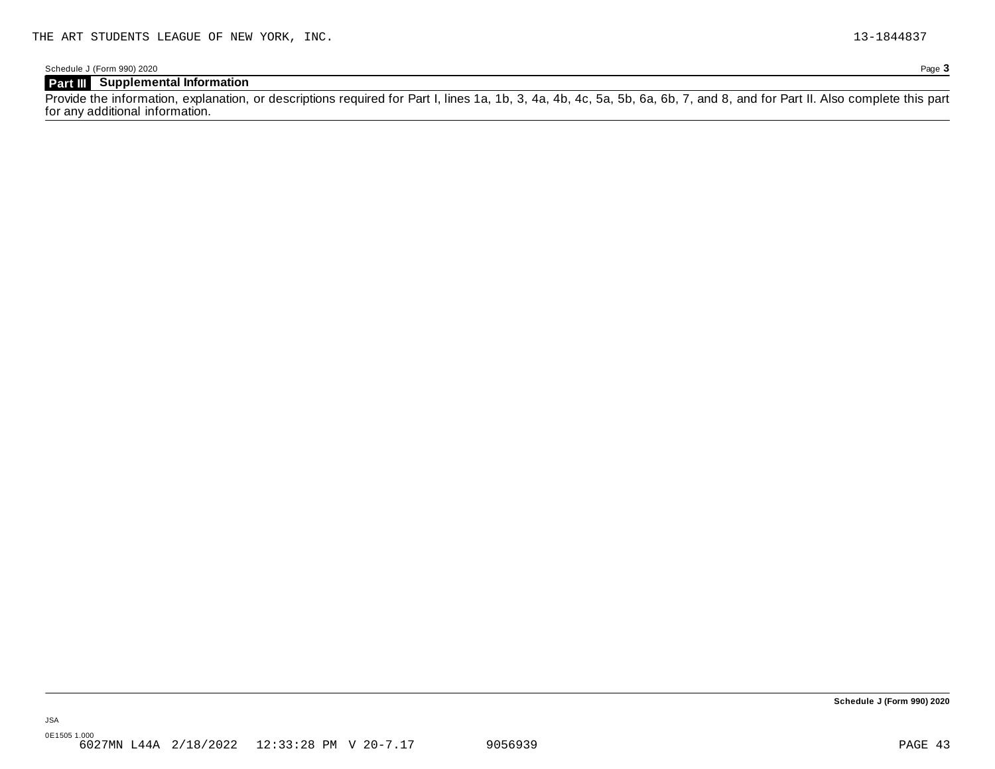Schedule J (Form 990) 2020 Page **3**

### **Part III Supplemental Information**

Provide the information, explanation, or descriptions required for Part I, lines 1a, 1b, 3, 4a, 4b, 4c, 5a, 5b, 6a, 6b, 7, and 8, and for Part II. Also complete this part for any additional information.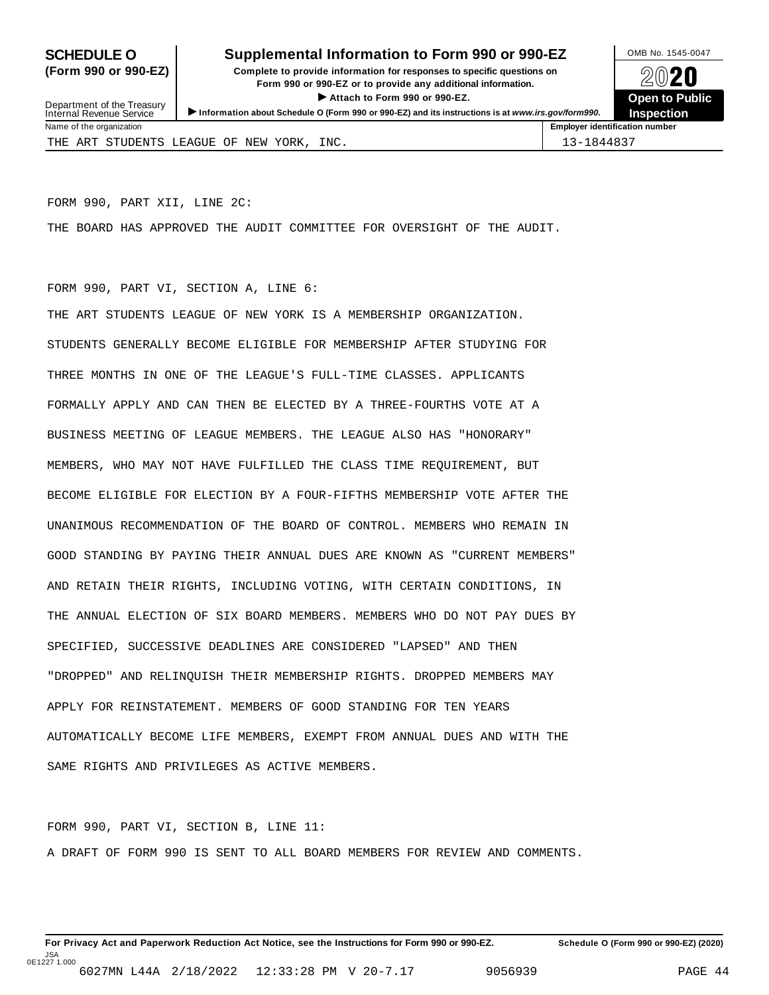### **SCHEDULE O** Supplemental Information to Form 990 or 990-EZ DMB No. 1545-0047

**(Form 990 or 990-EZ) Complete to provide information for responses to specific questions on** plete to provide information for responses to specific questions on  $\bigotimes_{\mathbb{Z}}\mathbb{Q}$  20 **EVECT**<br>
Attach to Form 990 or 990-EZ.<br>
and the Communication of the Communication of the Communication of the Communication of the Communication of the Communication of the Communication of the Communication of the Commu



| Department of the Treasury<br>Internal Revenue Service | $\blacktriangleright$ Attach to Form 990 or 990-EZ.<br>Information about Schedule O (Form 990 or 990-EZ) and its instructions is at www.irs.gov/form990. | <b>Open to Public</b><br><b>Inspection</b> |  |
|--------------------------------------------------------|----------------------------------------------------------------------------------------------------------------------------------------------------------|--------------------------------------------|--|
| Name of the organization                               |                                                                                                                                                          | <b>Employer identification number</b>      |  |
|                                                        | THE ART STUDENTS LEAGUE OF NEW YORK, INC.                                                                                                                | 13-1844837                                 |  |

FORM 990, PART XII, LINE 2C:

THE BOARD HAS APPROVED THE AUDIT COMMITTEE FOR OVERSIGHT OF THE AUDIT.

### FORM 990, PART VI, SECTION A, LINE 6:

THE ART STUDENTS LEAGUE OF NEW YORK IS A MEMBERSHIP ORGANIZATION. STUDENTS GENERALLY BECOME ELIGIBLE FOR MEMBERSHIP AFTER STUDYING FOR THREE MONTHS IN ONE OF THE LEAGUE'S FULL-TIME CLASSES. APPLICANTS FORMALLY APPLY AND CAN THEN BE ELECTED BY A THREE-FOURTHS VOTE AT A BUSINESS MEETING OF LEAGUE MEMBERS. THE LEAGUE ALSO HAS "HONORARY" MEMBERS, WHO MAY NOT HAVE FULFILLED THE CLASS TIME REQUIREMENT, BUT BECOME ELIGIBLE FOR ELECTION BY A FOUR-FIFTHS MEMBERSHIP VOTE AFTER THE UNANIMOUS RECOMMENDATION OF THE BOARD OF CONTROL. MEMBERS WHO REMAIN IN GOOD STANDING BY PAYING THEIR ANNUAL DUES ARE KNOWN AS "CURRENT MEMBERS" AND RETAIN THEIR RIGHTS, INCLUDING VOTING, WITH CERTAIN CONDITIONS, IN THE ANNUAL ELECTION OF SIX BOARD MEMBERS. MEMBERS WHO DO NOT PAY DUES BY SPECIFIED, SUCCESSIVE DEADLINES ARE CONSIDERED "LAPSED" AND THEN "DROPPED" AND RELINQUISH THEIR MEMBERSHIP RIGHTS. DROPPED MEMBERS MAY APPLY FOR REINSTATEMENT. MEMBERS OF GOOD STANDING FOR TEN YEARS AUTOMATICALLY BECOME LIFE MEMBERS, EXEMPT FROM ANNUAL DUES AND WITH THE SAME RIGHTS AND PRIVILEGES AS ACTIVE MEMBERS.

FORM 990, PART VI, SECTION B, LINE 11: A DRAFT OF FORM 990 IS SENT TO ALL BOARD MEMBERS FOR REVIEW AND COMMENTS.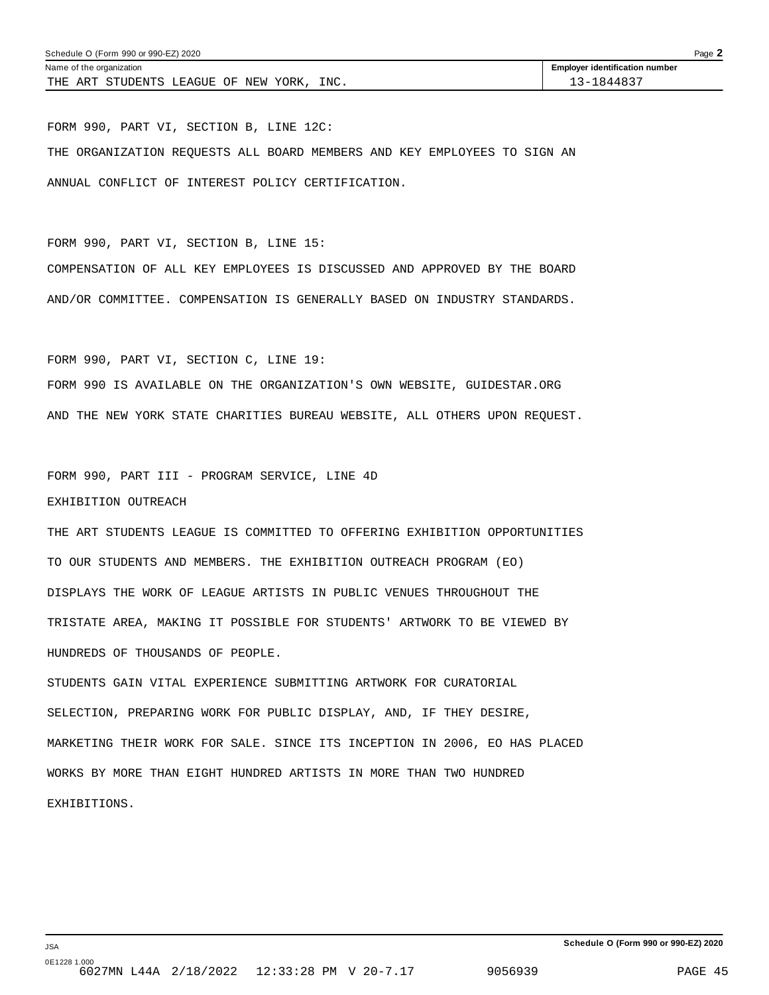| Page $\blacktriangle$<br>Schedule O (Form 990 or 990-EZ) 2020 |                                       |  |
|---------------------------------------------------------------|---------------------------------------|--|
| Name of the organization                                      | <b>Employer identification number</b> |  |
| INC.<br>STUDENTS LEAGUE OF NEW YORK<br>THE ART                | 3-1844837                             |  |

FORM 990, PART VI, SECTION B, LINE 12C: THE ORGANIZATION REQUESTS ALL BOARD MEMBERS AND KEY EMPLOYEES TO SIGN AN ANNUAL CONFLICT OF INTEREST POLICY CERTIFICATION.

FORM 990, PART VI, SECTION B, LINE 15: COMPENSATION OF ALL KEY EMPLOYEES IS DISCUSSED AND APPROVED BY THE BOARD AND/OR COMMITTEE. COMPENSATION IS GENERALLY BASED ON INDUSTRY STANDARDS.

FORM 990, PART VI, SECTION C, LINE 19:

FORM 990 IS AVAILABLE ON THE ORGANIZATION'S OWN WEBSITE, GUIDESTAR.ORG AND THE NEW YORK STATE CHARITIES BUREAU WEBSITE, ALL OTHERS UPON REQUEST.

FORM 990, PART III - PROGRAM SERVICE, LINE 4D EXHIBITION OUTREACH

THE ART STUDENTS LEAGUE IS COMMITTED TO OFFERING EXHIBITION OPPORTUNITIES TO OUR STUDENTS AND MEMBERS. THE EXHIBITION OUTREACH PROGRAM (EO) DISPLAYS THE WORK OF LEAGUE ARTISTS IN PUBLIC VENUES THROUGHOUT THE TRISTATE AREA, MAKING IT POSSIBLE FOR STUDENTS' ARTWORK TO BE VIEWED BY HUNDREDS OF THOUSANDS OF PEOPLE.

STUDENTS GAIN VITAL EXPERIENCE SUBMITTING ARTWORK FOR CURATORIAL SELECTION, PREPARING WORK FOR PUBLIC DISPLAY, AND, IF THEY DESIRE, MARKETING THEIR WORK FOR SALE. SINCE ITS INCEPTION IN 2006, EO HAS PLACED WORKS BY MORE THAN EIGHT HUNDRED ARTISTS IN MORE THAN TWO HUNDRED EXHIBITIONS.

JSA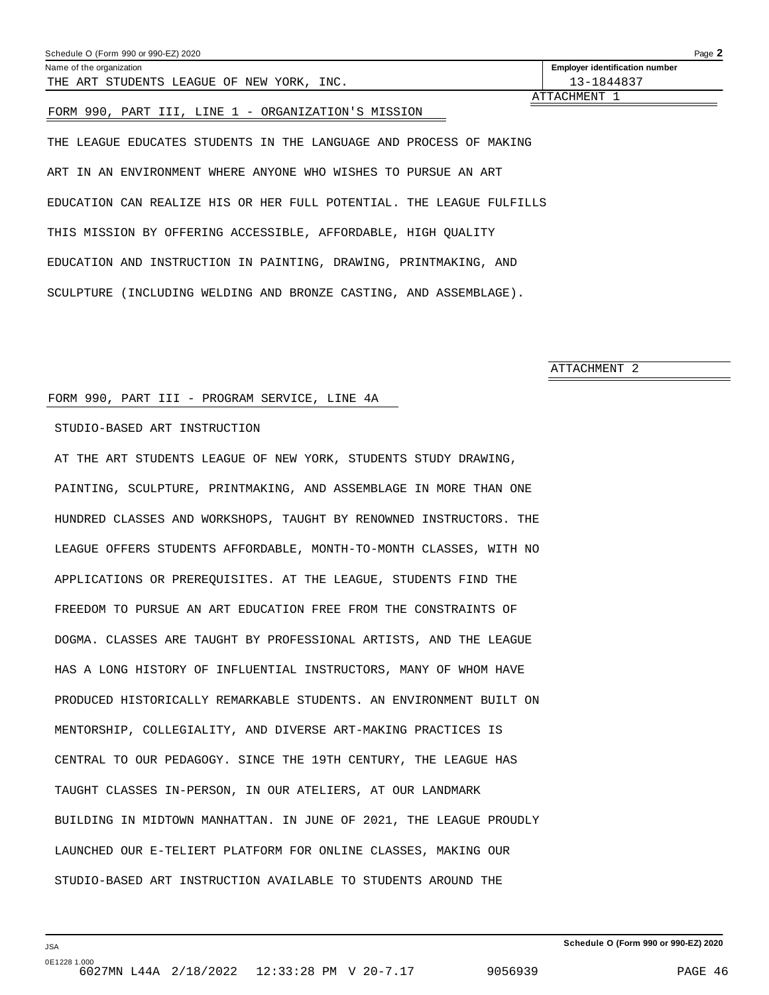<span id="page-36-0"></span>

| Schedule O (Form 990 or 990-EZ) 2020                                  | Page 2                                |
|-----------------------------------------------------------------------|---------------------------------------|
| Name of the organization                                              | <b>Employer identification number</b> |
| THE ART STUDENTS LEAGUE OF NEW YORK, INC.                             | 13-1844837                            |
| FORM 990, PART III, LINE 1 - ORGANIZATION'S MISSION                   | ATTACHMENT 1                          |
| THE LEAGUE EDUCATES STUDENTS IN THE LANGUAGE AND PROCESS OF<br>MAKING |                                       |
| ART IN AN ENVIRONMENT WHERE ANYONE WHO WISHES TO PURSUE AN ART        |                                       |
| EDUCATION CAN REALIZE HIS OR HER FULL POTENTIAL. THE LEAGUE FULFILLS  |                                       |
| THIS MISSION BY OFFERING ACCESSIBLE, AFFORDABLE, HIGH OUALITY         |                                       |

EDUCATION AND INSTRUCTION IN PAINTING, DRAWING, PRINTMAKING, AND SCULPTURE (INCLUDING WELDING AND BRONZE CASTING, AND ASSEMBLAGE).

ATTACHMENT 2

### FORM 990, PART III - PROGRAM SERVICE, LINE 4A

### STUDIO-BASED ART INSTRUCTION

AT THE ART STUDENTS LEAGUE OF NEW YORK, STUDENTS STUDY DRAWING, PAINTING, SCULPTURE, PRINTMAKING, AND ASSEMBLAGE IN MORE THAN ONE HUNDRED CLASSES AND WORKSHOPS, TAUGHT BY RENOWNED INSTRUCTORS. THE LEAGUE OFFERS STUDENTS AFFORDABLE, MONTH-TO-MONTH CLASSES, WITH NO APPLICATIONS OR PREREQUISITES. AT THE LEAGUE, STUDENTS FIND THE FREEDOM TO PURSUE AN ART EDUCATION FREE FROM THE CONSTRAINTS OF DOGMA. CLASSES ARE TAUGHT BY PROFESSIONAL ARTISTS, AND THE LEAGUE HAS A LONG HISTORY OF INFLUENTIAL INSTRUCTORS, MANY OF WHOM HAVE PRODUCED HISTORICALLY REMARKABLE STUDENTS. AN ENVIRONMENT BUILT ON MENTORSHIP, COLLEGIALITY, AND DIVERSE ART-MAKING PRACTICES IS CENTRAL TO OUR PEDAGOGY. SINCE THE 19TH CENTURY, THE LEAGUE HAS TAUGHT CLASSES IN-PERSON, IN OUR ATELIERS, AT OUR LANDMARK BUILDING IN MIDTOWN MANHATTAN. IN JUNE OF 2021, THE LEAGUE PROUDLY LAUNCHED OUR E-TELIERT PLATFORM FOR ONLINE CLASSES, MAKING OUR STUDIO-BASED ART INSTRUCTION AVAILABLE TO STUDENTS AROUND THE

JSA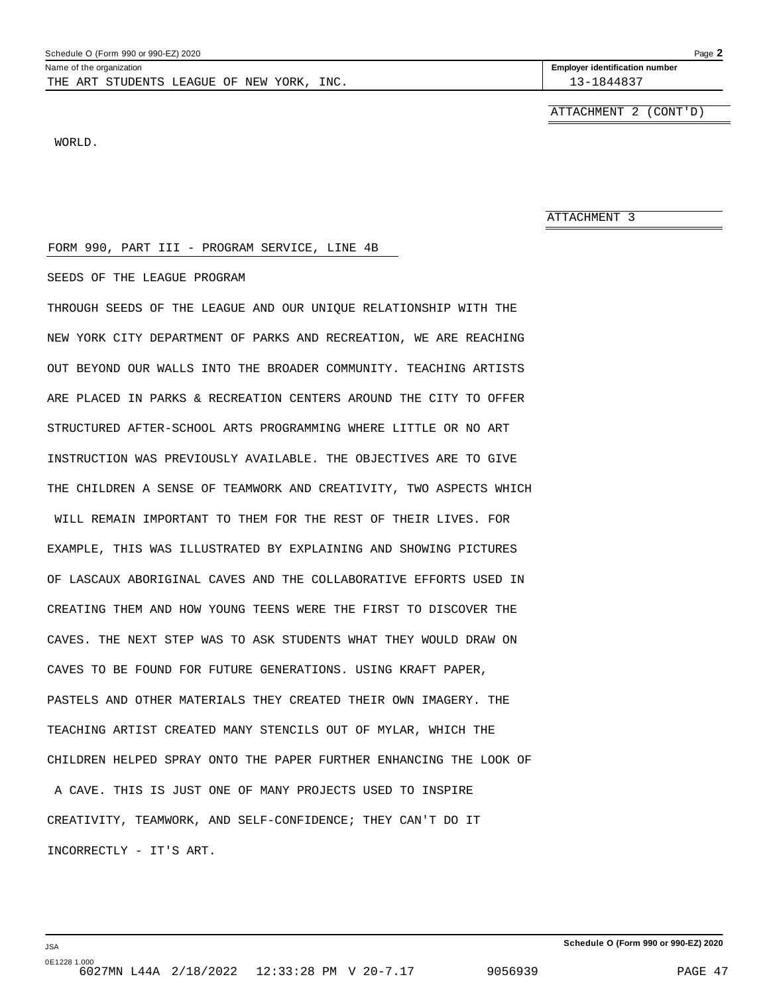THE ART STUDENTS LEAGUE OF NEW YORK, INC.  $\vert$  13-1844837

<span id="page-37-0"></span>Name of the organization **intervalse of the organization <b>intervalse intervalse intervalse in the set of the organization intervalse intervalse in the set of the organization number** 

ATTACHMENT 2 (CONT'D)

WORLD.

JSA 0E1228 1.000 ATTACHMENT 3

### FORM 990, PART III - PROGRAM SERVICE, LINE 4B

### SEEDS OF THE LEAGUE PROGRAM

THROUGH SEEDS OF THE LEAGUE AND OUR UNIQUE RELATIONSHIP WITH THE NEW YORK CITY DEPARTMENT OF PARKS AND RECREATION, WE ARE REACHING OUT BEYOND OUR WALLS INTO THE BROADER COMMUNITY. TEACHING ARTISTS ARE PLACED IN PARKS & RECREATION CENTERS AROUND THE CITY TO OFFER STRUCTURED AFTER-SCHOOL ARTS PROGRAMMING WHERE LITTLE OR NO ART INSTRUCTION WAS PREVIOUSLY AVAILABLE. THE OBJECTIVES ARE TO GIVE THE CHILDREN A SENSE OF TEAMWORK AND CREATIVITY, TWO ASPECTS WHICH WILL REMAIN IMPORTANT TO THEM FOR THE REST OF THEIR LIVES. FOR EXAMPLE, THIS WAS ILLUSTRATED BY EXPLAINING AND SHOWING PICTURES OF LASCAUX ABORIGINAL CAVES AND THE COLLABORATIVE EFFORTS USED IN CREATING THEM AND HOW YOUNG TEENS WERE THE FIRST TO DISCOVER THE CAVES. THE NEXT STEP WAS TO ASK STUDENTS WHAT THEY WOULD DRAW ON CAVES TO BE FOUND FOR FUTURE GENERATIONS. USING KRAFT PAPER, PASTELS AND OTHER MATERIALS THEY CREATED THEIR OWN IMAGERY. THE TEACHING ARTIST CREATED MANY STENCILS OUT OF MYLAR, WHICH THE CHILDREN HELPED SPRAY ONTO THE PAPER FURTHER ENHANCING THE LOOK OF A CAVE. THIS IS JUST ONE OF MANY PROJECTS USED TO INSPIRE CREATIVITY, TEAMWORK, AND SELF-CONFIDENCE; THEY CAN'T DO IT INCORRECTLY - IT'S ART.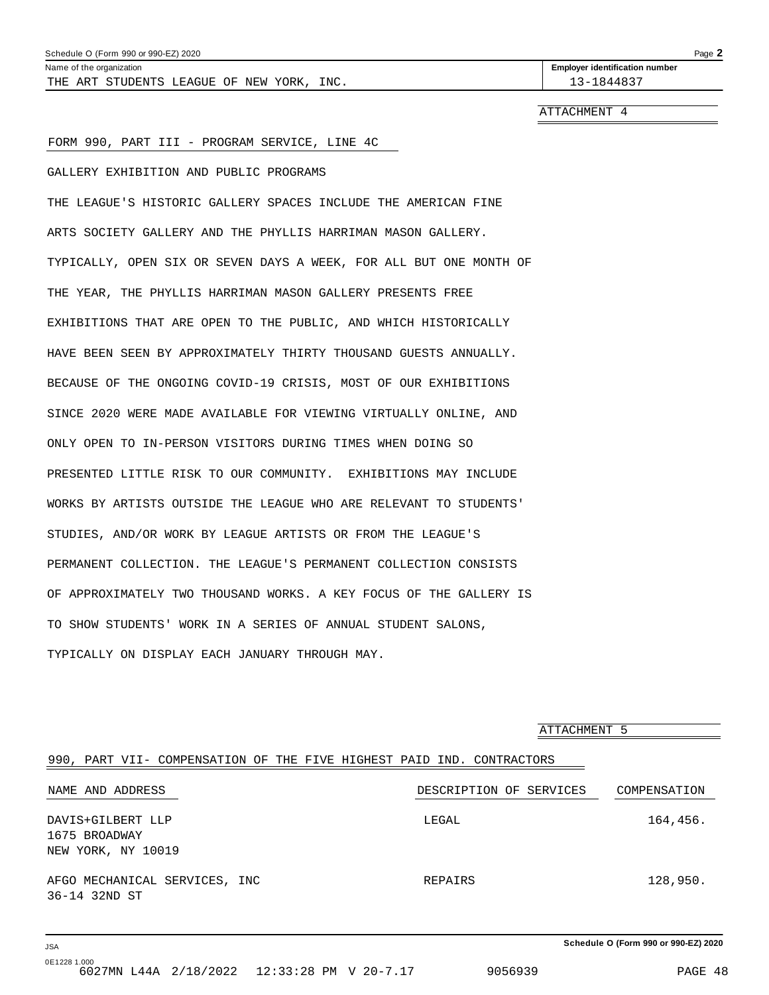<span id="page-38-0"></span>

|  | Schedule O (Form 990 or 990-EZ) 2020 | Page |  |
|--|--------------------------------------|------|--|
|--|--------------------------------------|------|--|

Name of the organization **intervalse of the organization number intervalse of the organization number intervalse of the organization number** THE ART STUDENTS LEAGUE OF NEW YORK, INC.  $\vert$  13-1844837

ATTACHMENT 4

### FORM 990, PART III - PROGRAM SERVICE, LINE 4C

GALLERY EXHIBITION AND PUBLIC PROGRAMS

THE LEAGUE'S HISTORIC GALLERY SPACES INCLUDE THE AMERICAN FINE ARTS SOCIETY GALLERY AND THE PHYLLIS HARRIMAN MASON GALLERY. TYPICALLY, OPEN SIX OR SEVEN DAYS A WEEK, FOR ALL BUT ONE MONTH OF THE YEAR, THE PHYLLIS HARRIMAN MASON GALLERY PRESENTS FREE EXHIBITIONS THAT ARE OPEN TO THE PUBLIC, AND WHICH HISTORICALLY HAVE BEEN SEEN BY APPROXIMATELY THIRTY THOUSAND GUESTS ANNUALLY. BECAUSE OF THE ONGOING COVID-19 CRISIS, MOST OF OUR EXHIBITIONS SINCE 2020 WERE MADE AVAILABLE FOR VIEWING VIRTUALLY ONLINE, AND ONLY OPEN TO IN-PERSON VISITORS DURING TIMES WHEN DOING SO PRESENTED LITTLE RISK TO OUR COMMUNITY. EXHIBITIONS MAY INCLUDE WORKS BY ARTISTS OUTSIDE THE LEAGUE WHO ARE RELEVANT TO STUDENTS' STUDIES, AND/OR WORK BY LEAGUE ARTISTS OR FROM THE LEAGUE'S PERMANENT COLLECTION. THE LEAGUE'S PERMANENT COLLECTION CONSISTS OF APPROXIMATELY TWO THOUSAND WORKS. A KEY FOCUS OF THE GALLERY IS TO SHOW STUDENTS' WORK IN A SERIES OF ANNUAL STUDENT SALONS, TYPICALLY ON DISPLAY EACH JANUARY THROUGH MAY.

| ATTACHMENT |  |
|------------|--|
|            |  |

| 990, PART VII- COMPENSATION OF THE FIVE HIGHEST PAID IND. CONTRACTORS |                         |              |
|-----------------------------------------------------------------------|-------------------------|--------------|
| NAME AND ADDRESS                                                      | DESCRIPTION OF SERVICES | COMPENSATION |
| DAVIS+GILBERT LLP                                                     | LEGAL                   | 164,456.     |
| 1675 BROADWAY<br>NEW YORK, NY 10019                                   |                         |              |
| AFGO MECHANICAL SERVICES, INC<br>36-14 32ND ST                        | <b>REPAIRS</b>          | 128,950.     |

**Schedule O (Form 990 or 990-EZ) 2020**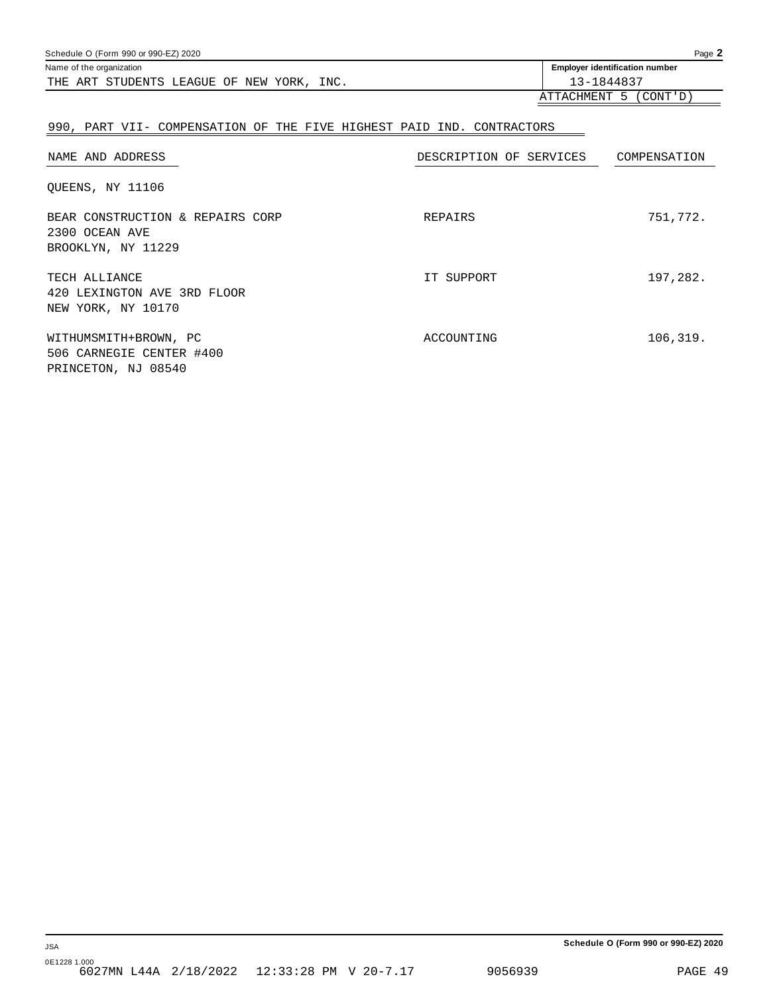| Schedule O (Form 990 or 990-EZ) 2020      | Page $2$                              |
|-------------------------------------------|---------------------------------------|
| Name of the organization                  | <b>Employer identification number</b> |
| THE ART STUDENTS LEAGUE OF NEW YORK, INC. | 13-1844837                            |
|                                           | .5<br>' CONT ' D )<br>ATTACHMENT      |

### 990, PART VII- COMPENSATION OF THE FIVE HIGHEST PAID IND. CONTRACTORS

| NAME AND ADDRESS                                                         | DESCRIPTION OF SERVICES | COMPENSATION |
|--------------------------------------------------------------------------|-------------------------|--------------|
| OUEENS, NY 11106                                                         |                         |              |
| BEAR CONSTRUCTION & REPAIRS CORP<br>2300 OCEAN AVE<br>BROOKLYN, NY 11229 | REPAIRS                 | 751,772.     |
| TECH ALLIANCE<br>420 LEXINGTON AVE 3RD FLOOR<br>NEW YORK, NY 10170       | IT SUPPORT              | 197,282.     |
| WITHUMSMITH+BROWN, PC<br>506 CARNEGIE CENTER #400<br>PRINCETON, NJ 08540 | ACCOUNTING              | 106,319.     |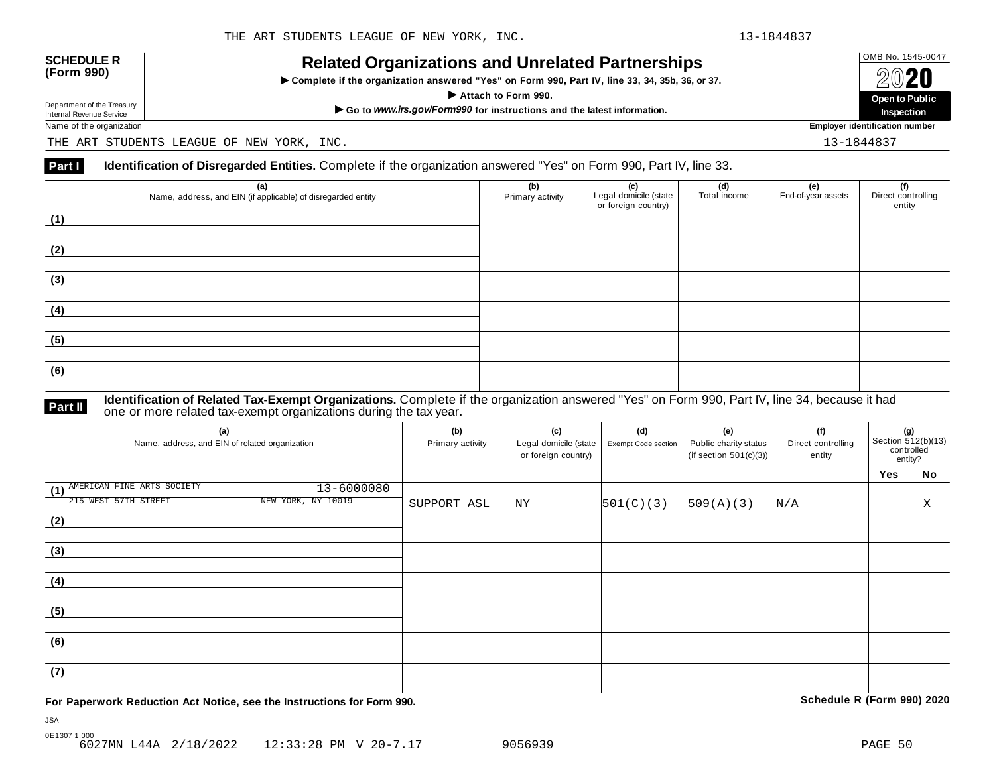## OMB No. 1545-0047 **SCHEDULE R (Form 990) Related Organizations and Unrelated Partnerships**

 $\triangleright$  Complete if the organization answered "Yes" on Form 990, Part IV, line 33, 34, 35b, 36, or 37.



Department of the Treasury

THE ART STUDENTS LEAGUE OF NEW YORK, INC. 13-1844837

### **Part I Identification of Disregarded Entities.** Complete if the organization answered "Yes" on Form 990, Part IV, line 33.

| (a)<br>Name, address, and EIN (if applicable) of disregarded entity | (b)<br>Primary activity | (c)<br>Legal domicile (state<br>or foreign country) | (d)<br>Total income | (e)<br>End-of-year assets | (f)<br>Direct controlling<br>entity |
|---------------------------------------------------------------------|-------------------------|-----------------------------------------------------|---------------------|---------------------------|-------------------------------------|
| (1)                                                                 |                         |                                                     |                     |                           |                                     |
| (2)                                                                 |                         |                                                     |                     |                           |                                     |
| (3)                                                                 |                         |                                                     |                     |                           |                                     |
| (4)                                                                 |                         |                                                     |                     |                           |                                     |
| (5)                                                                 |                         |                                                     |                     |                           |                                     |
| (6)                                                                 |                         |                                                     |                     |                           |                                     |

**Identification of Related Tax-Exempt Organizations.** Complete if the organization answered "Yes" on Form 990, Part IV, line 34, because it had **Part II** one or more related tax-exempt organizations during the tax year.

| (a)<br>Name, address, and EIN of related organization | (b)<br>Primary activity | (c)<br>Legal domicile (state<br>or foreign country) | (d)<br>Exempt Code section | (e)<br>Public charity status<br>(if section $501(c)(3)$ ) | (f)<br>Direct controlling<br>entity | (g)<br>Section $\frac{3}{12(b)(13)}$<br>controlled<br>entity? |    |
|-------------------------------------------------------|-------------------------|-----------------------------------------------------|----------------------------|-----------------------------------------------------------|-------------------------------------|---------------------------------------------------------------|----|
|                                                       |                         |                                                     |                            |                                                           |                                     | Yes                                                           | No |
| (1) AMERICAN FINE ARTS SOCIETY<br>13-6000080          |                         |                                                     |                            |                                                           |                                     |                                                               |    |
| 215 WEST 57TH STREET<br>NEW YORK, NY 10019            | SUPPORT ASL             | ΝY                                                  | 501(C)(3)                  | 509(A)(3)                                                 | N/A                                 |                                                               | Χ  |
| (2)                                                   |                         |                                                     |                            |                                                           |                                     |                                                               |    |
|                                                       |                         |                                                     |                            |                                                           |                                     |                                                               |    |
| (3)                                                   |                         |                                                     |                            |                                                           |                                     |                                                               |    |
|                                                       |                         |                                                     |                            |                                                           |                                     |                                                               |    |
| (4)                                                   |                         |                                                     |                            |                                                           |                                     |                                                               |    |
|                                                       |                         |                                                     |                            |                                                           |                                     |                                                               |    |
| (5)                                                   |                         |                                                     |                            |                                                           |                                     |                                                               |    |
|                                                       |                         |                                                     |                            |                                                           |                                     |                                                               |    |
| (6)                                                   |                         |                                                     |                            |                                                           |                                     |                                                               |    |
|                                                       |                         |                                                     |                            |                                                           |                                     |                                                               |    |
| (7)                                                   |                         |                                                     |                            |                                                           |                                     |                                                               |    |
|                                                       |                         |                                                     |                            |                                                           |                                     |                                                               |    |

**For Paperwork Reduction Act Notice, see the Instructions for Form 990. Schedule R (Form 990) 2020**

JSA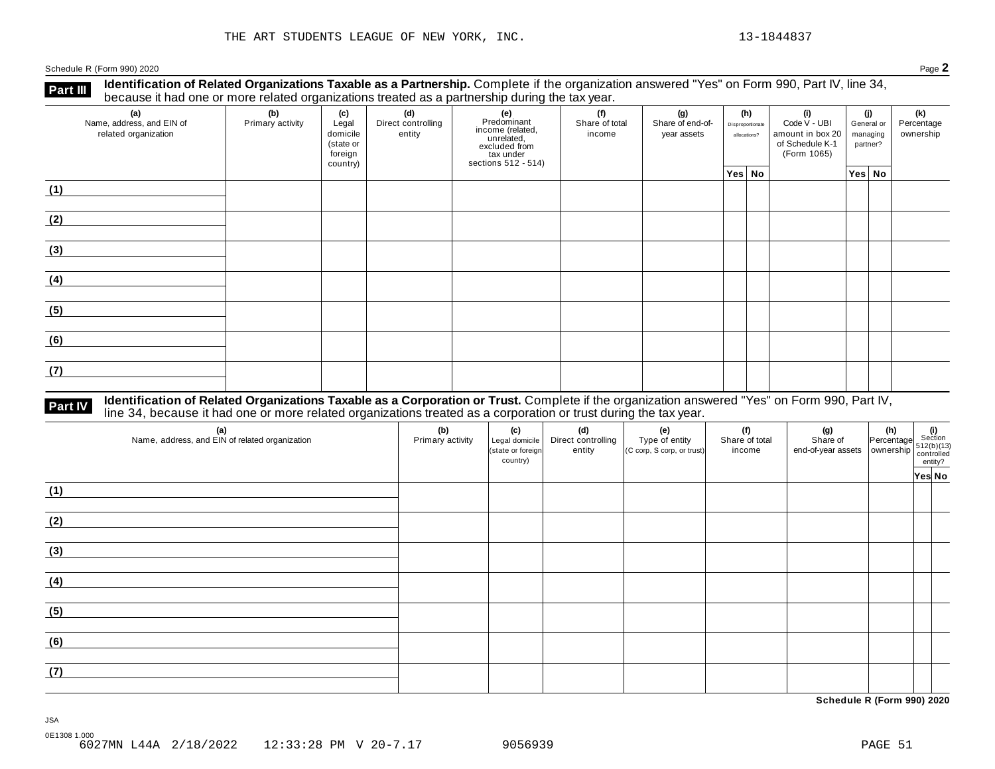Schedule <sup>R</sup> (Form 990) <sup>2020</sup> Page **2**

**Part III** Identification of Related Organizations Taxable as a Partnership. Complete if the organization answered "Yes" on Form 990, Part IV, line 34,<br>because it had one or more related organizations treated as a partners

| (a)<br>Name, address, and EIN of<br>related organization | (b)<br>Primary activity | (c)<br>Legal<br>domicile<br>(state or<br>foreign<br>country) | (d)<br>Direct controlling<br>entity | (f)<br>(g)<br>(e)<br>Predominant<br>Share of total<br>Share of end-of-<br>income (related,<br>unrelated,<br>excluded from<br>income<br>year assets<br>tax under<br>sections 512 - 514) |  |  |        | (h)<br>Disproportionate<br>allocations? |  |  |        | (i)<br>Code V - UBI<br>of Schedule K-1<br>(Form 1065) |  | amount in box 20 | (j)<br>General or<br>managing<br>partner? |  | (k)<br>Percentage<br>ownership |
|----------------------------------------------------------|-------------------------|--------------------------------------------------------------|-------------------------------------|----------------------------------------------------------------------------------------------------------------------------------------------------------------------------------------|--|--|--------|-----------------------------------------|--|--|--------|-------------------------------------------------------|--|------------------|-------------------------------------------|--|--------------------------------|
|                                                          |                         |                                                              |                                     |                                                                                                                                                                                        |  |  | Yes No |                                         |  |  | Yes No |                                                       |  |                  |                                           |  |                                |
| (1)                                                      |                         |                                                              |                                     |                                                                                                                                                                                        |  |  |        |                                         |  |  |        |                                                       |  |                  |                                           |  |                                |
| (2)                                                      |                         |                                                              |                                     |                                                                                                                                                                                        |  |  |        |                                         |  |  |        |                                                       |  |                  |                                           |  |                                |
| (3)                                                      |                         |                                                              |                                     |                                                                                                                                                                                        |  |  |        |                                         |  |  |        |                                                       |  |                  |                                           |  |                                |
| (4)                                                      |                         |                                                              |                                     |                                                                                                                                                                                        |  |  |        |                                         |  |  |        |                                                       |  |                  |                                           |  |                                |
| (5)                                                      |                         |                                                              |                                     |                                                                                                                                                                                        |  |  |        |                                         |  |  |        |                                                       |  |                  |                                           |  |                                |
| (6)                                                      |                         |                                                              |                                     |                                                                                                                                                                                        |  |  |        |                                         |  |  |        |                                                       |  |                  |                                           |  |                                |
| (7)                                                      |                         |                                                              |                                     |                                                                                                                                                                                        |  |  |        |                                         |  |  |        |                                                       |  |                  |                                           |  |                                |

# **Part IV** Identification of Related Organizations Taxable as a Corporation or Trust. Complete if the organization answered "Yes" on Form 990, Part IV,<br>line 34, because it had one or more related organizations treated as a

| (b)<br>Primary activity | (c)<br>country) | (d)<br>Direct controlling<br>entity | (e)<br>Type of entity<br>(C corp, S corp, or trust) | (f)<br>Share of total<br>income |  |                                                                                                                                                                                                               |
|-------------------------|-----------------|-------------------------------------|-----------------------------------------------------|---------------------------------|--|---------------------------------------------------------------------------------------------------------------------------------------------------------------------------------------------------------------|
|                         |                 |                                     |                                                     |                                 |  | Yes No                                                                                                                                                                                                        |
|                         |                 |                                     |                                                     |                                 |  |                                                                                                                                                                                                               |
|                         |                 |                                     |                                                     |                                 |  |                                                                                                                                                                                                               |
|                         |                 |                                     |                                                     |                                 |  |                                                                                                                                                                                                               |
|                         |                 |                                     |                                                     |                                 |  |                                                                                                                                                                                                               |
|                         |                 |                                     |                                                     |                                 |  |                                                                                                                                                                                                               |
|                         |                 |                                     |                                                     |                                 |  |                                                                                                                                                                                                               |
|                         |                 | Legal domicile                      | (state or foreign                                   |                                 |  | (g) (h) $\frac{1}{2}$ (i) $\frac{1}{2}$ (i) $\frac{1}{2}$ (i) $\frac{1}{2}$ (i) $\frac{1}{2}$ (b)(13) $\frac{1}{2}$ (c)(b)(13) $\frac{1}{2}$ (c)(b)(13) $\frac{1}{2}$ (c)(c)(l)(d) $\frac{1}{2}$ (c)(r)(l)(d) |

**Schedule R (Form 990) 2020**

JSA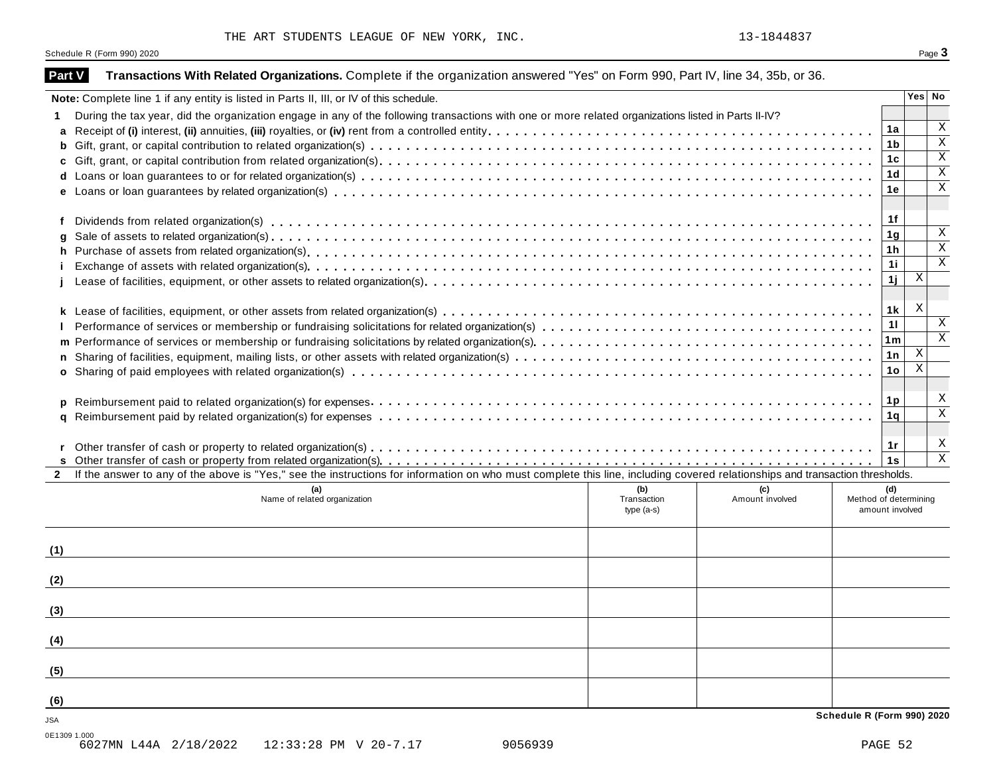THE ART STUDENTS LEAGUE OF NEW YORK, INC.  $13-1844837$ 

Schedule R (Form 990) 2020 Page 3

| Part V       | Transactions With Related Organizations. Complete if the organization answered "Yes" on Form 990, Part IV, line 34, 35b, or 36.                                              |                      |                                                    |  |  |  |  |  |  |  |
|--------------|------------------------------------------------------------------------------------------------------------------------------------------------------------------------------|----------------------|----------------------------------------------------|--|--|--|--|--|--|--|
|              | Note: Complete line 1 if any entity is listed in Parts II, III, or IV of this schedule.                                                                                      |                      | Yes No                                             |  |  |  |  |  |  |  |
|              | During the tax year, did the organization engage in any of the following transactions with one or more related organizations listed in Parts II-IV?                          |                      |                                                    |  |  |  |  |  |  |  |
| a            |                                                                                                                                                                              | 1a                   | $\overline{X}$                                     |  |  |  |  |  |  |  |
| b            |                                                                                                                                                                              | 1 <sub>b</sub>       | $\overline{\mathbf{x}}$                            |  |  |  |  |  |  |  |
| c            |                                                                                                                                                                              | 1c                   | $\overline{\mathbf{x}}$                            |  |  |  |  |  |  |  |
| d            |                                                                                                                                                                              | 1 <sub>d</sub>       | $\overline{\mathbf{x}}$                            |  |  |  |  |  |  |  |
| e            |                                                                                                                                                                              | 1e                   | $\mathbf X$                                        |  |  |  |  |  |  |  |
| f            |                                                                                                                                                                              | 1f                   |                                                    |  |  |  |  |  |  |  |
|              |                                                                                                                                                                              | 1g                   | $\overline{X}$                                     |  |  |  |  |  |  |  |
| h            | q                                                                                                                                                                            |                      |                                                    |  |  |  |  |  |  |  |
|              |                                                                                                                                                                              | 1 <sub>h</sub><br>11 | $\overline{\mathbf{x}}$<br>$\overline{\mathbf{x}}$ |  |  |  |  |  |  |  |
|              |                                                                                                                                                                              | 1j                   | X                                                  |  |  |  |  |  |  |  |
|              |                                                                                                                                                                              |                      |                                                    |  |  |  |  |  |  |  |
|              |                                                                                                                                                                              | 1k                   | X                                                  |  |  |  |  |  |  |  |
|              |                                                                                                                                                                              | 11                   | $\mathbf{X}$                                       |  |  |  |  |  |  |  |
| m            |                                                                                                                                                                              | 1m                   | $\overline{\mathbf{x}}$                            |  |  |  |  |  |  |  |
| n.           |                                                                                                                                                                              | 1n                   | Χ                                                  |  |  |  |  |  |  |  |
| $\mathbf{o}$ | 1 <sub>o</sub>                                                                                                                                                               |                      |                                                    |  |  |  |  |  |  |  |
|              |                                                                                                                                                                              |                      |                                                    |  |  |  |  |  |  |  |
| <b>D</b>     |                                                                                                                                                                              | 1 <sub>p</sub>       | $\boldsymbol{\mathrm{X}}$                          |  |  |  |  |  |  |  |
| a            |                                                                                                                                                                              | 1q                   | $\overline{\mathbf{x}}$                            |  |  |  |  |  |  |  |
|              |                                                                                                                                                                              |                      |                                                    |  |  |  |  |  |  |  |
|              |                                                                                                                                                                              | 1r                   | X                                                  |  |  |  |  |  |  |  |
|              |                                                                                                                                                                              | 1s                   | $\overline{\mathbf{x}}$                            |  |  |  |  |  |  |  |
| $\mathbf{2}$ | If the answer to any of the above is "Yes," see the instructions for information on who must complete this line, including covered relationships and transaction thresholds. |                      |                                                    |  |  |  |  |  |  |  |
|              | (b)<br>(a)<br>(c)<br>Name of related organization<br>Transaction<br>Amount involved<br>Method of determining<br>amount involved<br>type $(a-s)$                              | (d)                  |                                                    |  |  |  |  |  |  |  |
| (1)          |                                                                                                                                                                              |                      |                                                    |  |  |  |  |  |  |  |
| (2)          |                                                                                                                                                                              |                      |                                                    |  |  |  |  |  |  |  |
| (3)          |                                                                                                                                                                              |                      |                                                    |  |  |  |  |  |  |  |
|              |                                                                                                                                                                              |                      |                                                    |  |  |  |  |  |  |  |
| (4)          |                                                                                                                                                                              |                      |                                                    |  |  |  |  |  |  |  |
| (5)          |                                                                                                                                                                              |                      |                                                    |  |  |  |  |  |  |  |
| (6)          |                                                                                                                                                                              |                      |                                                    |  |  |  |  |  |  |  |
| <b>JSA</b>   | Schedule R (Form 990) 2020                                                                                                                                                   |                      |                                                    |  |  |  |  |  |  |  |
|              |                                                                                                                                                                              |                      |                                                    |  |  |  |  |  |  |  |

0E1309 1.000 6027MN L44A 2/18/2022 12:33:28 PM V 20-7.17 9056939 PAGE 52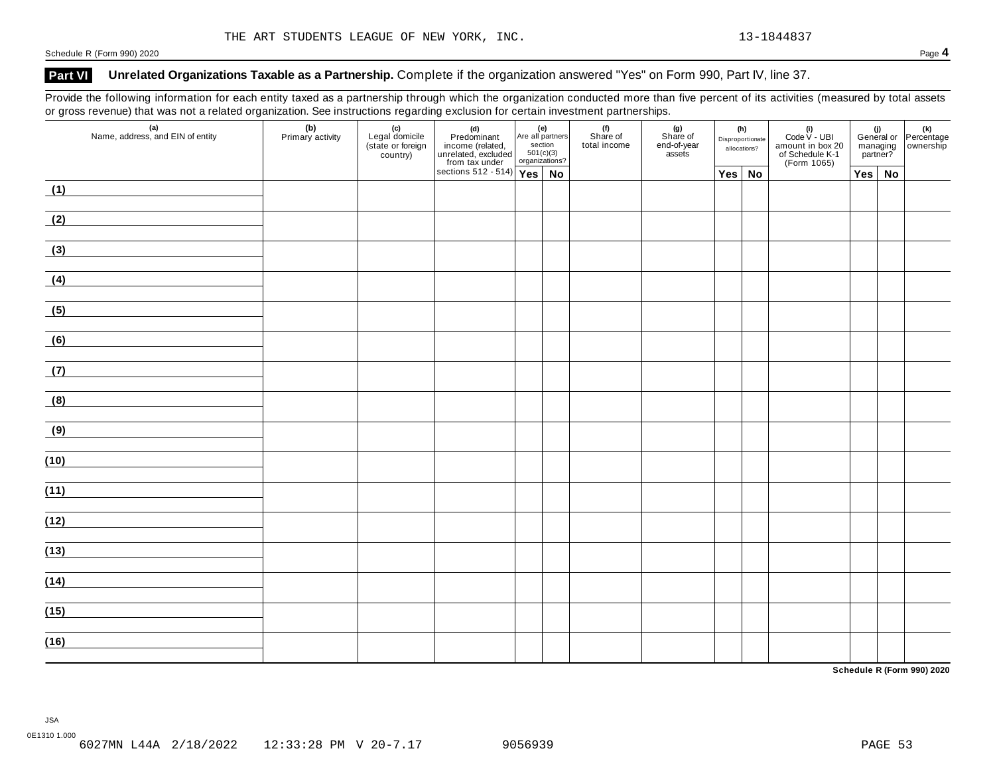Schedule <sup>R</sup> (Form 990) <sup>2020</sup> Page **4**

### **Part VI Unrelated Organizations Taxable as a Partnership.** Complete if the organization answered "Yes" on Form 990, Part IV, line 37.

Provide the following information for each entity taxed as a partnership through which the organization conducted more than five percent of its activities (measured by total assets or gross revenue) that was not a related organization. See instructions regarding exclusion for certain investment partnerships.

| $\sim$ $\sim$ $\sim$<br>∸<br>(a)<br>Name, address, and EIN of entity | (b)<br>Primary activity | - ت<br>(c)<br>Legal domicile<br>(state or foreign<br>country) | (d)<br>Predominant<br>income (related,<br>unrelated, excluded<br>from tax under | (e)<br>Are all partners<br>section<br>501(c)(3)<br>organizations? |  | .<br>(f)<br>Share of<br>total income | $(n)$<br>Share of<br>end-of-year<br>assets | (h)<br>Disproportionate<br>allocations? |        | (i)<br>Code V - UBI<br>amount in box 20<br>of Schedule K-1<br>(Form 1065) |  |               | (i)<br>General or Percentage<br>managing ownership<br>partner? |
|----------------------------------------------------------------------|-------------------------|---------------------------------------------------------------|---------------------------------------------------------------------------------|-------------------------------------------------------------------|--|--------------------------------------|--------------------------------------------|-----------------------------------------|--------|---------------------------------------------------------------------------|--|---------------|----------------------------------------------------------------|
|                                                                      |                         |                                                               | sections $512 - 514$ $\sqrt{Yes}$ No                                            |                                                                   |  |                                      |                                            |                                         | Yes No |                                                                           |  | $Yes \mid No$ |                                                                |
| (1)                                                                  |                         |                                                               |                                                                                 |                                                                   |  |                                      |                                            |                                         |        |                                                                           |  |               |                                                                |
| (2)                                                                  |                         |                                                               |                                                                                 |                                                                   |  |                                      |                                            |                                         |        |                                                                           |  |               |                                                                |
| (3)                                                                  |                         |                                                               |                                                                                 |                                                                   |  |                                      |                                            |                                         |        |                                                                           |  |               |                                                                |
| (4)                                                                  |                         |                                                               |                                                                                 |                                                                   |  |                                      |                                            |                                         |        |                                                                           |  |               |                                                                |
| (5)                                                                  |                         |                                                               |                                                                                 |                                                                   |  |                                      |                                            |                                         |        |                                                                           |  |               |                                                                |
| (6)                                                                  |                         |                                                               |                                                                                 |                                                                   |  |                                      |                                            |                                         |        |                                                                           |  |               |                                                                |
| (7)                                                                  |                         |                                                               |                                                                                 |                                                                   |  |                                      |                                            |                                         |        |                                                                           |  |               |                                                                |
| (8)<br>the control of the control of the                             |                         |                                                               |                                                                                 |                                                                   |  |                                      |                                            |                                         |        |                                                                           |  |               |                                                                |
| (9)                                                                  |                         |                                                               |                                                                                 |                                                                   |  |                                      |                                            |                                         |        |                                                                           |  |               |                                                                |
| (10)                                                                 |                         |                                                               |                                                                                 |                                                                   |  |                                      |                                            |                                         |        |                                                                           |  |               |                                                                |
| (11)                                                                 |                         |                                                               |                                                                                 |                                                                   |  |                                      |                                            |                                         |        |                                                                           |  |               |                                                                |
| (12)                                                                 |                         |                                                               |                                                                                 |                                                                   |  |                                      |                                            |                                         |        |                                                                           |  |               |                                                                |
| (13)                                                                 |                         |                                                               |                                                                                 |                                                                   |  |                                      |                                            |                                         |        |                                                                           |  |               |                                                                |
| (14)                                                                 |                         |                                                               |                                                                                 |                                                                   |  |                                      |                                            |                                         |        |                                                                           |  |               |                                                                |
| (15)                                                                 |                         |                                                               |                                                                                 |                                                                   |  |                                      |                                            |                                         |        |                                                                           |  |               |                                                                |
| (16)                                                                 |                         |                                                               |                                                                                 |                                                                   |  |                                      |                                            |                                         |        |                                                                           |  |               |                                                                |
|                                                                      |                         |                                                               |                                                                                 |                                                                   |  |                                      |                                            |                                         |        |                                                                           |  |               |                                                                |

**Schedule R (Form 990) 2020**

JSA